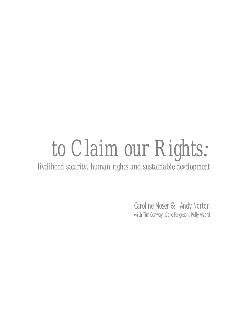# *to Claim our Rights:*

*livelihood security, human rights and sustainable development*

Caroline Moser *&* Andy Norton *with* Tim Conway, Clare Ferguson, Polly Vizard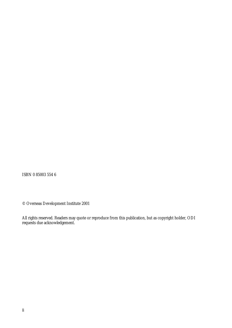ISBN 0 85003 554 6

© Overseas Development Institute 2001

All rights reserved. Readers may quote or reproduce from this publication, but as copyright holder, ODI requests due acknowledgement.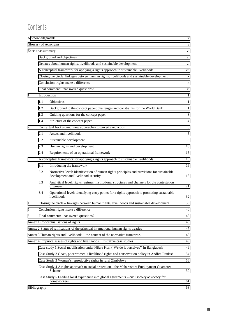# **Contents**

| Acknowledgements     |                                                                                                      |                                                                                                                                  |     |  |  |  |
|----------------------|------------------------------------------------------------------------------------------------------|----------------------------------------------------------------------------------------------------------------------------------|-----|--|--|--|
| Glossary of Acronyms |                                                                                                      |                                                                                                                                  |     |  |  |  |
| Executive summary    |                                                                                                      |                                                                                                                                  |     |  |  |  |
|                      |                                                                                                      | Background and objectives                                                                                                        | Vİ. |  |  |  |
|                      |                                                                                                      | Debates about human rights, livelihoods and sustainable development                                                              | V1  |  |  |  |
|                      |                                                                                                      | A conceptual framework for applying a rights approach to sustainable livelihoods                                                 | vii |  |  |  |
|                      | Closing the circle: linkages between human rights, livelihoods and sustainable development           |                                                                                                                                  |     |  |  |  |
|                      | Conclusion: rights make a difference                                                                 |                                                                                                                                  |     |  |  |  |
|                      |                                                                                                      | Final comment: unanswered questions?                                                                                             | xi  |  |  |  |
| 1                    | Introduction                                                                                         |                                                                                                                                  | 1   |  |  |  |
|                      | 1.1                                                                                                  | Objectives                                                                                                                       | 1   |  |  |  |
|                      | 1.2                                                                                                  | Background to the concept paper: challenges and constraints for the World Bank                                                   | 1   |  |  |  |
|                      | 1.3                                                                                                  | Guiding questions for the concept paper                                                                                          | 3   |  |  |  |
|                      | 1.4                                                                                                  | Structure of the concept paper                                                                                                   | 4   |  |  |  |
| 2                    |                                                                                                      | Contextual background: new approaches to poverty reduction                                                                       | 5   |  |  |  |
|                      | 2.1                                                                                                  | Assets and livelihoods                                                                                                           | 5   |  |  |  |
|                      | 2.2                                                                                                  | Sustainable development                                                                                                          | 8   |  |  |  |
|                      | 2.3                                                                                                  | Human rights and development                                                                                                     | 10  |  |  |  |
|                      | 2.4                                                                                                  | Requirements of an operational framework                                                                                         | 15  |  |  |  |
| 3                    |                                                                                                      | A conceptual framework for applying a rights approach to sustainable livelihoods                                                 | 16  |  |  |  |
|                      | 3.1                                                                                                  | Introducing the framework                                                                                                        | 16  |  |  |  |
|                      | 3.2                                                                                                  | Normative level: identification of human rights principles and provisions for sustainable<br>development and livelihood security | 18  |  |  |  |
|                      | 3.3                                                                                                  | Analytical level: rights regimes, institutional structures and channels for the contestation<br>of power                         | 21  |  |  |  |
|                      | 3.4                                                                                                  | Operational level: identifying entry points for a rights approach to promoting sustainable<br>livelihoods                        | 32  |  |  |  |
| $\overline{4}$       |                                                                                                      | Closing the circle – linkages between human rights, livelihoods and sustainable development                                      | 36  |  |  |  |
| 5                    |                                                                                                      | Conclusion: rights make a difference                                                                                             | 40  |  |  |  |
| 6                    |                                                                                                      | Final comment: unanswered questions?                                                                                             | 43  |  |  |  |
|                      |                                                                                                      | Annex 1 Conceptualisations of rights                                                                                             | 45  |  |  |  |
|                      |                                                                                                      | Annex 2 Status of ratifications of the principal international human rights treaties                                             | 47  |  |  |  |
|                      |                                                                                                      | Annex 3 Human rights and livelihoods – the content of the normative framework                                                    | 48  |  |  |  |
|                      |                                                                                                      | Annex 4 Empirical issues of rights and livelihoods: illustrative case studies                                                    | 49  |  |  |  |
|                      |                                                                                                      | Case study 1 Social mobilisation under Nijera Kori ('We do it ourselves') in Bangladesh                                          | 49  |  |  |  |
|                      | Case Study 2 Goats, poor women's livelihood rights and conservation policy in Andhra Pradesh         |                                                                                                                                  |     |  |  |  |
|                      | Case Study 3 Women's reproductive rights in rural Zimbabwe                                           |                                                                                                                                  |     |  |  |  |
|                      | Case Study 4 A rights approach to social protection - the Maharashtra Employment Guarantee<br>Scheme |                                                                                                                                  |     |  |  |  |
|                      |                                                                                                      | Case Study 5 Feeding local experience into global agreements – civil society advocacy for<br>homeworkers                         | 61  |  |  |  |
| Bibliography         |                                                                                                      |                                                                                                                                  |     |  |  |  |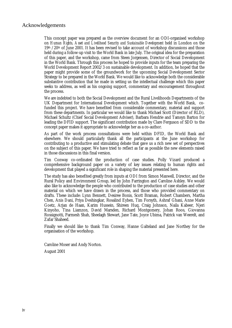#### <span id="page-3-0"></span>Acknowledgements

This concept paper was prepared as the overview document for an ODI-organised workshop on *Human Rights, Asset and Livelihood Security and Sustainable Development* held in London on the  $19<sup>th</sup>$ /20<sup>th</sup> of June 2001. It has been revised to take account of workshop discussions and those held during a follow-up visit to the World Bank in late July. The original idea for the preparation of this paper, and the workshop, came from Steen Jorgensen, Director of Social Development in the World Bank. Through this process he hoped to provide inputs for the team preparing the World Development Report 2002/3 on sustainable development. In addition, he hoped that the paper might provide some of the groundwork for the upcoming Social Development Sector Strategy to be prepared in the World Bank. We would like to acknowledge both the considerable substantive contribution that he made in setting us the intellectual challenge which this paper seeks to address, as well as his ongoing support, commentary and encouragement throughout the process.

We are indebted to both the Social Development and the Rural Livelihoods Departments of the UK Department for International Development which. Together with the World Bank, cofunded this project. We have benefited from considerable commentary, material and support from these departments. In particular we would like to thank Michael Scott (Director of RLD), Michael Schultz (Chief Social Development Adviser), Barbara Hendrie and Tamsyn Barton for leading the DFID support. The significant contribution made by Clare Ferguson of SDD to the concept paper makes it appropriate to acknowledge her as a co-author.

As part of the work process consultations were held within DFID, the World Bank and elsewhere. We should particularly thank all the participants at the June workshop for contributing to a productive and stimulating debate that gave us a rich new set of perspectives on the subject of this paper. We have tried to reflect as far as possible the new elements raised in those discussions in this final version.

Tim Conway co-ordinated the production of case studies. Polly Vizard produced a comprehensive background paper on a variety of key issues relating to human rights and development that played a significant role in shaping the material presented here.

The study has also benefited greatly from inputs at ODI from Simon Maxwell, Director, and the Rural Policy and Environment Group, led by John Farrington and Caroline Ashley. We would also like to acknowledge the people who contributed to the production of case studies and other material on which we have drawn in the process, and those who provided commentary on drafts. These include: Lynn Bennett, Desiree Bonis, Scott Braman, Robert Chambers, Martha Chen, Anis Dani, Priya Deshingkar, Rosalind Eyben, Tim Forsyth, Ashraf Ghani, Anne Marie Goetz, Arjan de Haan, Karim Hussein, Shireen Huq, Craig Johnson, Naila Kabeer, Njeri Kinyoho, Tina Liamzon, David Marsden, Richard Montgomery, Johan Roos, Giovanna Rossignotti, Parmesh Shah, Sheelagh Stewart, Jane Tate, Joyce Ubima, Patrick van Weerelt, and Zafar Shaheed.

Finally we should like to thank Tim Conway, Hanne Galteland and Jane Northey for the organisation of the workshop.

Caroline Moser and Andy Norton. August 2001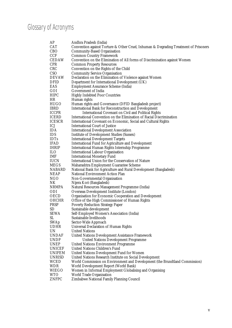# <span id="page-4-0"></span>Glossary of Acronyms

| AP                   | Andhra Pradesh (India)                                                               |
|----------------------|--------------------------------------------------------------------------------------|
| CAT                  | Convention against Torture & Other Cruel, Inhuman & Degrading Treatment of Prisoners |
| CBO                  | <b>Community-Based Organisation</b>                                                  |
| CCF                  | <b>Common Country Framework</b>                                                      |
| CEDAW                | Convention on the Elimination of All forms of Discrimination against Women           |
| CPR                  | <b>Common Property Resources</b>                                                     |
| $\operatorname{CRC}$ | Convention on the Rights of the Child                                                |
| CSO                  | <b>Community Service Organisation</b>                                                |
| DEVAW                | Declaration on the Elimination of Violence against Women                             |
| DFID                 | Department for International Development (UK)                                        |
| EAS                  | <b>Employment Assurance Scheme (India)</b>                                           |
| GOI                  | <b>Government of India</b>                                                           |
| HIPC                 | <b>Highly Indebted Poor Countries</b>                                                |
| HR                   | Human rights                                                                         |
| HUGO                 | Human rights and Governance (DFID Bangladesh project)                                |
| IBRD                 | <b>International Bank for Reconstruction and Development</b>                         |
| ICCPR                | <b>International Covenant on Civil and Political Rights</b>                          |
| ICERD                | International Convention on the Elimination of Racial Discrimination                 |
| ICESCR               | International Covenant on Economic, Social and Cultural Rights                       |
| ICJ                  | <b>International Court of Justice</b>                                                |
| IDA                  | <b>International Development Association</b>                                         |
| IDS                  | <b>Institute of Development Studies (Sussex)</b>                                     |
| <b>IDTs</b>          | <b>International Development Targets</b>                                             |
| IFAD                 | <b>International Fund for Agriculture and Development</b>                            |
| IHRIP                | <b>International Human Rights Internship Programme</b>                               |
| ILО                  | <b>International Labour Organisation</b>                                             |
| IMF                  | <b>International Monetary Fund</b>                                                   |
| IUCN                 | International Union for the Conservation of Nature                                   |
| MEGS                 | Maharashtra Employment Guarantee Scheme                                              |
| NABARD               | National Bank for Agriculture and Rural Development (Bangladesh)                     |
| NEAP                 | <b>National Environment Action Plan</b>                                              |
| NGO                  | Non-Governmental Organisation                                                        |
| NK                   | Nijera Kori (Bangladesh)                                                             |
| NRMPA                | Natural Resources Management Programme (India)                                       |
| ODI                  | <b>Overseas Development Institute (London)</b>                                       |
| OECD                 | <b>Organisation for Economic Cooperation and Development</b>                         |
| OHCHR                | Office of the High Commissioner of Human Rights                                      |
| PRSP                 | <b>Poverty Reduction Strategy Paper</b>                                              |
| SD                   | Sustainable development                                                              |
| SEWA                 | Self-Employed Women's Association (India)                                            |
| SL                   | Sustainable livelihoods                                                              |
| SWAp                 | Sector-Wide Approach                                                                 |
| UDHR                 | <b>Universal Declaration of Human Rights</b>                                         |
| UN                   | <b>United Nations</b>                                                                |
| UNDAF                | <b>United Nations Development Assistance Framework</b>                               |
| UNDP                 | <b>United Nations Development Programme</b>                                          |
| UNEP                 | <b>United Nations Environment Programme</b>                                          |
| UNICEF               | <b>United Nations Children's Fund</b>                                                |
| UNIFEM               | United Nations Development Fund for Women                                            |
| UNRISD               | United Nations Research Institute on Social Development                              |
| WCED                 | World Commission on Environment and Development (the Brundtland Commission)          |
| WDR                  | World Development Report (World Bank)                                                |
| WIEGO                |                                                                                      |
|                      | Women in Informal Employment Globalising and Organising                              |
| WTO                  | World Trade Organisation<br>Zimbabwe National Family Planning Council                |
| ZNFPC                |                                                                                      |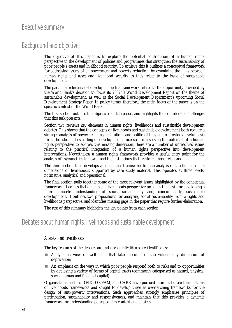# <span id="page-5-0"></span>Executive summary

# Background and objectives

The objective of this paper is to explore the potential contribution of a human rights perspective to the development of policies and programmes that strengthen the sustainability of poor people's assets and livelihood security. To achieve this it outlines a conceptual framework for addressing issues of empowerment and poverty reduction, by examining the links between human rights and asset and livelihood security as they relate to the issue of sustainable development.

The particular relevance of developing such a framework relates to the opportunity provided by the World Bank's decision to focus its 2002/3 World Development Report on the theme of sustainable development, as well as the Social Development Department's upcoming Social Development Strategy Paper. In policy terms, therefore, the main focus of the paper is on the specific context of the World Bank.

The first section outlines the objectives of the paper, and highlights the considerable challenges that this task presents.

Section two reviews key elements in human rights, livelihoods and sustainable development debates. This shows that the concepts of livelihoods and sustainable development both require a stronger analysis of power relations, institutions and politics if they are to provide a useful basis for an holistic understanding of development processes. In assessing the potential of a human rights perspective to address this missing dimension, there are a number of unresolved issues relating to the practical integration of a human rights perspective into development interventions. Nevertheless a human rights framework provides a useful entry point for the analysis of asymmetries in power and the institutions that reinforce those relations.

The third section then develops a conceptual framework for the analysis of the human rights dimensions of livelihoods, supported by case study material. This operates at three levels; normative, analytical and operational.

The final section pulls together some of the most relevant issues highlighted by the conceptual framework. It argues that a rights and livelihoods perspective provides the basis for developing a more concrete understanding of social sustainability and, concomitantly, sustainable development. It outlines two propositions for analysing social sustainability from a rights and livelihoods perspective, and identifies missing gaps in the paper that require further elaboration.

The rest of this summary highlights the key points from each section.

## Debates about human rights, livelihoods and sustainable development

#### *Assets and livelihoods*

The key features of the debates around *assets and livelihoods* are identified as:

- ! A dynamic view of well-being that takes account of the vulnerability dimension of deprivation;
- ! An emphasis on the ways in which poor people respond both to risks and to opportunities by deploying a variety of forms of capital assets (commonly categorised as natural, physical, social, human and financial capital).

Organisations such as DFID, OXFAM, and CARE have pursued more elaborate formulations of livelihoods frameworks and sought to develop these as over-arching frameworks for the design of anti-poverty interventions. Such approaches strongly emphasise principles of participation, sustainability and responsiveness, and maintain that this provides a dynamic framework for understanding poor people's context and choices.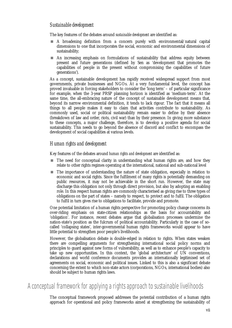#### <span id="page-6-0"></span>*Sustainable development*

The key features of the debates around *sustainable development* are identified as:

- ! A broadening definition from a concern purely with environmental/natural capital dimensions to one that incorporates the social, economic and environmental dimensions of sustainability;
- ! An increasing emphasis on formulations of sustainability that address equity between present and future generations (defined by Sen as 'development that promotes the capabilities of people in the present without compromising the capabilities of future generations').

As a concept, sustainable development has rapidly received widespread support from most governments, private businesses and NGOs. At a very fundamental level, the concept has proved invaluable in forcing stakeholders to consider the 'long term' – of particular significance for example, when the 3-year PRSP planning horizon is identified as 'medium-term'. At the same time, the all-embracing nature of the concept of sustainable development means that, beyond its narrow environmental definition, it tends to lack rigour. The fact that it means all things to all people makes it easy to claim that activities contribute to sustainability. As commonly used, social or political sustainability remain easier to define by their absence (breakdown of law and order, riots, civil war) than by their presence. In giving more substance to these concepts, a major challenge, therefore, is to develop a positive agenda for social sustainability. This needs to go beyond the absence of discord and conflict to encompass the development of social capabilities at various levels.

#### *Human rights and development*

Key features of the debates around *human rights and development* are identified as:

- **If the need for conceptual clarity in understanding what human rights are, and how they** relate to other rights regimes operating at the international, national and sub-national level
- ! The importance of understanding the nature of state obligation, especially in relation to economic and social rights. Since the fulfilment of many rights is potentially demanding on public resources, it may not be achievable in the short run. However, the state may discharge this obligation not only through direct provision, but also by adopting an enabling role. In this respect human rights are commonly characterised as giving rise to three types of obligations on the part of states – namely to respect, to protect and to fulfil. The obligation to fulfil in turn gives rise to obligations to facilitate, provide and promote.

One potential limitation of a human rights perspective for promoting policy change concerns its over-riding emphasis on state-citizen relationships as the basis for accountability and 'obligation'. For instance, recent debates argue that globalisation processes undermine the nation-state's position as the fulcrum of political accountability. Particularly in the case of socalled 'collapsing states', inter-governmental human rights frameworks would appear to have little potential to strengthen poor people's livelihoods.

However, the globalisation debate is double-edged in relation to rights. When states weaken there are compelling arguments for strengthening international social policy norms and principles to guard against new forms of vulnerability, as well as to enhance people's capacity to take up new opportunities. In this context, the 'global architecture' of UN conventions, declarations and world conference documents provides an internationally legitimised set of agreements on social, economic and political issues. Linked to this is also a significant debate concerning the extent to which non-state actors (corporations, NGOs, international bodies) also should be subject to human rights laws.

# A conceptual framework for applying a rights approach to sustainable livelihoods

The conceptual framework proposed addresses the potential contribution of a human rights approach for operational and policy frameworks aimed at strengthening the sustainability of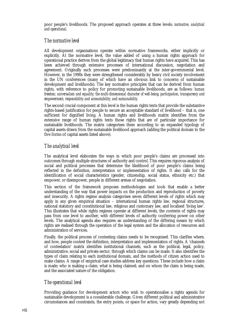poor people's livelihoods. The proposed approach operates at three levels: *normative, analytical and operational.*

#### *The normative level*

All development organisations operate within normative frameworks, either implicitly or explicitly. At the normative level, the value added of using a human rights approach for operational practice derives from the global legitimacy that human rights have acquired. This has been achieved through extensive processes of international discussion, negotiation and agreement. Originally such processes were predominantly at the inter-governmental level. However, in the 1990s they were strengthened considerably by heavy civil society involvement in the UN conferences (many of which have an obvious link to concerns of sustainable development and livelihoods). The key normative principles that can be derived from human rights, with reference to policy for promoting sustainable livelihoods, are as follows: *human freedom; universalism and equality; the multi-dimensional character of well-being; participation, transparency and empowerment; responsibility and accountability; and sustainability.*

The second crucial component at this level is the human rights texts that provide the substantive rights-based justification for people to secure an acceptable standard of livelihood – that is, one sufficient for dignified living. A human rights and livelihoods matrix identifies from the extensive range of human rights texts those rights that are of particular importance for sustainable livelihoods. The matrix categorises them according to an expanded typology of capital assets drawn from the sustainable livelihood approach (adding the political domain to the five forms of capital assets listed above).

#### *The analytical level*

The analytical level elaborates the ways in which poor people's claims are processed into outcomes through multiple structures of authority and control. This requires rigorous analysis of social and political processes that determine the likelihood of poor people's claims being reflected in the definition, interpretation or implementation of rights. It also calls for the identification of social characteristics (gender, citizenship, social status, ethnicity etc.) that empower, or disempower, people in different arenas of negotiation.

This section of the framework proposes methodologies and tools that enable a better understanding of the way that power impacts on the production and reproduction of poverty and insecurity. A rights regime analysis categorises seven different levels of rights which may apply in any given empirical situation – international human rights law, regional structures, national statutory and constitutional law, religious and customary law, and localised 'living law'. This illustrates that while rights regimes operate at different levels, the contents of rights may pass from one level to another, with different levels of authority conferring power on other levels. The analytical agenda also requires an understanding of the differing means by which rights are realised through the operation of the legal system and the allocation of resources and administration of services.

Finally, the political process of contesting claims needs to be recognised. This clarifies where, and how, people contest the definition, interpretation and implementation of rights. A 'channels of contestation' matrix identifies institutional channels, such as the political, legal, policy, administrative, social and private sector, through which claims can be made. It also identifies the types of claim relating to each institutional domain, and the methods of citizen action used to make claims. A range of empirical case studies address key questions. These include how a claim is made; who is making a claim; what is being claimed; and on whom the claim is being made, and the associated nature of the obligation.

#### *The operational level*

Providing guidance for development actors who wish to operationalise a rights agenda for sustainable development is a considerable challenge. Given different political and administrative circumstances and constraints, the entry points, or space for action, vary greatly depending not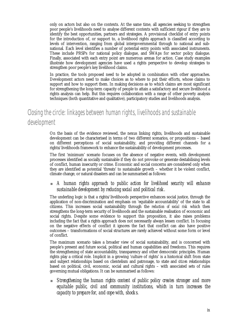<span id="page-8-0"></span>only on actors but also on the contexts. At the same time, all agencies seeking to strengthen poor people's livelihoods need to analyse different contexts with sufficient rigour if they are to identify the best opportunities, partners and strategies. A provisional checklist of entry points for the introduction of, or support to, a livelihood rights approach is classified according to levels of intervention, ranging from global intergovernmental through to national and subnational. Each level identifies a number of potential entry points with associated instruments. These include PRSPs for national policy dialogue, and SWAps for sector policy dialogue. Finally, associated with each entry point are numerous arenas for action. Case study examples illustrate how development agencies have used a rights perspective to develop strategies to strengthen poor people's key livelihood claims.

In practice, the tools proposed need to be adopted in combination with other approaches. Development actors need to make choices as to where to put their efforts, whose claims to support and how to support them. In making decisions as to which claims are most significant for strengthening the long-term capacity of people to attain a satisfactory and secure livelihood a rights analysis can help. But this requires collaboration with a range of other poverty analysis techniques (both quantitative and qualitative), participatory studies and livelihoods analysis.

# Closing the circle: linkages between human rights, livelihoods and sustainable development

On the basis of the evidence reviewed, the nexus linking rights, livelihoods and sustainable development can be characterised in terms of two different scenarios, or propositions – based on different perceptions of social sustainability, and providing different channels for a rights/livelihoods framework to enhance the sustainability of development processes.

The first 'minimum' scenario focuses on the absence of negative events, with development processes identified as socially sustainable if they do not provoke or generate destabilising levels of conflict, human insecurity or crime. Economic and social concerns are considered only when they are identified as potential 'threats' to sustainable growth – whether it be violent conflict, climate change, or natural disasters and can be summarised as follows:

#### ! *A human rights approach to public action for livelihood security will enhance sustainable development by reducing social and political risk.*

The underling logic is that a rights/livelihoods perspective enhances social justice, through the application of non-discrimination and emphasis on 'equitable accountability' of the state to all citizens. This increases social sustainability through the *reduction of social risk* which then strengthens the long-term security of livelihoods and the sustainable realisation of economic and social rights. Despite some evidence to support this proposition, it also raises problems including the fact that a rights approach does not necessarily always lessen conflict. In focusing on the negative effects of conflict it ignores the fact that conflict can also have positive outcomes – transformations of social structures are rarely achieved without some form or level of conflict.

The maximum scenario takes a broader view of social sustainability, and is concerned with people's present and future social, political and human capabilities and freedoms. This requires the strengthening of state accountability, transparency and other democratic principles. Human rights play a critical role. Implicit in a growing 'culture of rights' is a historical shift from state and subject relationships based on clientelism and patronage, to state and *citizen* relationships based on political, civil, economic, social and cultural rights – with associated sets of rules governing mutual obligations. It can be summarised as follows:

! *Strengthening the human rights content of public policy creates stronger and more equitable public, civil and community institutions, which in turn increases the capacity to prepare for, and cope with, shocks.*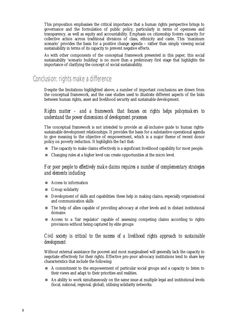<span id="page-9-0"></span>This proposition emphasises the critical importance that a human rights perspective brings to governance and the formulation of public policy, particularly in terms of openness and transparency, as well as equity and accountability. Emphasis on citizenship fosters capacity for collective action across traditional divisions of class, ethnicity and caste. This 'maximum scenario' provides the basis for a positive change agenda – rather than simply viewing social sustainability in terms of its capacity to prevent negative effects.

As with other components of the conceptual framework presented in this paper, this social sustainability 'scenario building' is no more than a preliminary first stage that highlights the importance of clarifying the concept of social sustainability.

## Conclusion: rights make a difference

Despite the limitations highlighted above, a number of important conclusions are drawn from the conceptual framework, and the case studies used to illustrate different aspects of the links between human rights, asset and livelihood security and sustainable development.

#### *Rights matter – and a framework that focuses on rights helps policymakers to understand the power dimensions of development processes*

The conceptual framework is not intended to provide an all-inclusive guide to human rightssustainable development relationships. It provides the basis for a substantive operational agenda to give meaning to the objective of empowerment, which is a major theme of recent donor policy on poverty reduction. It highlights the fact that:

- $\blacksquare$  The capacity to make claims effectively is a significant livelihood capability for most people.
- ! Changing rules at a higher level can create opportunities at the micro level.

#### *For poor people to effectively make claims requires a number of complementary strategies and elements including:*

- ! Access to information
- **Exercise Group solidarity**
- **EXECUTE:** Development of skills and capabilities: these help in making claims, especially organisational and communication skills
- ! The help of allies capable of providing advocacy at other levels and in distant institutional domains
- ! Access to a 'fair regulator' capable of assessing competing claims according to rights provisions without being captured by elite groups

#### *Civil society is critical to the success of a livelihood rights approach to sustainable development*

Without external assistance the poorest and most marginalised will generally lack the capacity to negotiate effectively for their rights. Effective pro-poor advocacy institutions tend to share key characteristics that include the following:

- ! A commitment to the empowerment of particular social groups and a capacity to listen to their views and adapt to their priorities and realities.
- ! An ability to work simultaneously on the same issue at multiple legal and institutional levels (local, national, regional, global), utilising solidarity networks.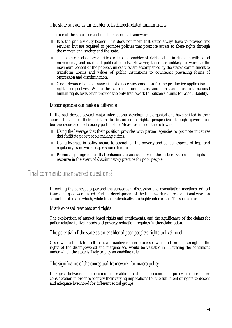#### <span id="page-10-0"></span>*The state can act as an enabler of livelihood-related human rights*

The role of the state is critical in a human rights framework:

- $\blacksquare$  It is the primary duty-bearer. This does not mean that states always have to provide free services, but are required to promote policies that promote access to these rights through the market, civil society and the state.
- ! The state can also play a critical role as an enabler of rights acting in dialogue with social movements, and civil and political society. However, these are unlikely to work to the maximum benefit of the poorest, unless they are accompanied by the state's commitment to transform norms and values of public institutions to counteract prevailing forms of oppression and discrimination.
- ! Good democratic governance is not a necessary condition for the productive application of rights perspectives. Where the state is discriminatory and non-transparent international human rights texts often provide the only framework for citizen's claims for accountability.

#### *Donor agencies can make a difference*

In the past decade several major international development organisations have shifted in their approach to use their position to introduce a rights perspectives though government bureaucracies and civil society partnership. Measures include the following:

- ! Using the leverage that their position provides with partner agencies to promote initiatives that facilitate poor people making claims.
- ! Using leverage in policy arenas to strengthen the poverty and gender aspects of legal and regulatory frameworks e.g. resource tenure.
- **EX** Promoting programmes that enhance the accessibility of the justice system and rights of recourse in the event of discriminatory practice for poor people.

## Final comment: unanswered questions?

In writing the concept paper and the subsequent discussion and consultation meetings, critical issues and gaps were raised. Further development of the framework requires additional work on a number of issues which, while listed individually, are highly interrelated. These include:

#### *Market-based freedoms and rights*

The exploration of market based rights and entitlements, and the significance of the claims for policy relating to livelihoods and poverty reduction, requires further elaboration.

#### *The potential of the state as an enabler of poor people's rights to livelihood*

Cases where the state itself takes a proactive role in processes which affirm and strengthen the rights of the disempowered and marginalised would be valuable in illustrating the conditions under which the state is likely to play an enabling role.

#### *The significance of the conceptual framework for macro policy*

Linkages between micro-economic realities and macro-economic policy require more consideration in order to identify their varying implications for the fulfilment of rights to decent and adequate livelihood for different social groups.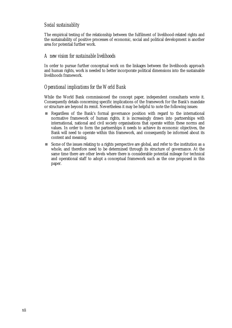#### *Social sustainablity*

The empirical testing of the relationship between the fulfilment of livelihood-related rights and the sustainability of positive processes of economic, social and political development is another area for potential further work.

#### *A new vision for sustainable livelihoods*

In order to pursue further conceptual work on the linkages between the livelihoods approach and human rights, work is needed to better incorporate political dimensions into the sustainable livelihoods framework.

#### *Operational implications for the World Bank*

While the World Bank commissioned the concept paper, independent consultants wrote it. Consequently details concerning specific implications of the framework for the Bank's mandate or structure are beyond its remit. Nevertheless it may be helpful to note the following issues:

- **EXECUTE:** Regardless of the Bank's formal governance position with regard to the international normative framework of human rights, it is increasingly drawn into partnerships with international, national and civil society organisations that operate within these norms and values. In order to form the partnerships it needs to achieve its economic objectives, the Bank will need to operate within this framework, and consequently be informed about its content and meaning.
- ! Some of the issues relating to a rights perspective are global, and refer to the institution as a whole, and therefore need to be determined through its structure of governance. At the same time there are other levels where there is considerable potential mileage for technical and operational staff to adopt a conceptual framework such as the one proposed in this paper.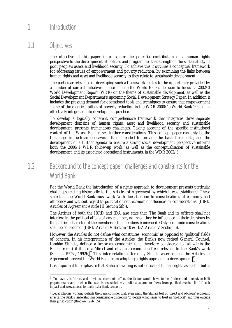# <span id="page-12-0"></span>1 Introduction

# 1.1 Objectives

l

The objective of this paper is to explore the potential contribution of a human rights perspective to the development of policies and programmes that strengthen the sustainability of poor people's assets and livelihood security. To achieve this it outlines a conceptual framework for addressing issues of empowerment and poverty reduction, by examining the links between human rights and asset and livelihood security as they relate to sustainable development.

The particular relevance of developing such a framework relates to the opportunity provided by a number of current initiatives. These include the World Bank's decision to focus its 2002/3 World Development Report (WDR) on the theme of sustainable development, as well as the Social Development Department's upcoming Social Development Strategy Paper. In addition it includes the pressing demand for operational tools and techniques to ensure that empowerment – one of three critical pillars of poverty reduction in the WDR 2000/1 (World Bank 2000) – is effectively integrated into development practice.

To develop a logically coherent, comprehensive framework that integrates three separate development domains of human rights, asset and livelihood security and sustainable development, presents tremendous challenges. Taking account of the specific institutional context of the World Bank raises further considerations. This concept paper can only be the first stage in such an endeavour. It is intended to provide the basis for debate, and the development of a further agenda to ensure a strong social development perspective informs both the 2000/1 WDR follow-up work, as well as the conceptualisation of sustainable development, and its associated operational instruments, in the WDR 2002/3.

# 1.2 Background to the concept paper: challenges and constraints for the World Bank

For the World Bank the introduction of a rights approach to development presents particular challenges relating historically to the Articles of Agreement by which it was established. These state that the World Bank must work 'with due attention to considerations of economy and efficiency and without regard to political or non-economic influences or considerations' (IBRD Articles of Agreement Article III Section 5(b)).

The Articles of both the IBRD and IDA also state that 'The Bank and its officers shall not interfere in the political affairs of any member, nor shall they be influenced in their decisions by the political character of the member or the members concerned. Only economic considerations shall be considered' (IBRD Article IV Section 10 & IDA Article V Section 6).

However, the Articles do not define what constitutes 'economic' as opposed to 'political' fields of concern. In his interpretation of the Articles, the Bank's now retired General Counsel, Ibrahim Shihata, defined a factor as 'economic' (and therefore considered to fall within the Bank's remit) if it had a 'direct and obvious' economic effect relevant to the Bank's work (Shihata 1992a, 1992b).<sup>1</sup> This interpretation offered by Shihata asserted that the Articles of Agreement prevent the World Bank from adopting a rights approach to development.<sup>2</sup>

It is important to emphasise that Shihata's writing is not critical of human rights as such – but is

<sup>1</sup> To have this 'direct and obvious' economic effect the factor would have to be i) clear and unequivocal; ii) preponderant; and – when the issue is associated with political actions or flows from political events - iii) 'of such impact and relevance as to make [it] a Bank concern'.

<sup>2</sup> Legal scholars working outside the Bank consider that, even using the Shihata test of 'direct and obvious' economic effects, the Bank's leadership has considerable discretion 'to decide what issues to treat as "political" and thus outside their jurisdiction' (Bradlow 1996: 55).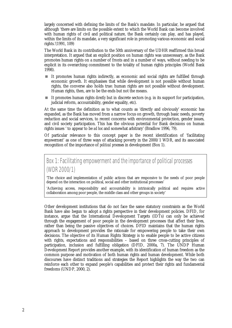largely concerned with defining the limits of the Bank's mandate. In particular, he argued that although 'there are limits on the possible extent to which the World Bank can become involved with human rights of civil and political nature, the Bank certainly can play, and has played, within the limits of its mandate, a very significant role in promoting various economic and social rights.'(1991, 109)

The World Bank in its contribution to the 50th anniversary of the UDHR reaffirmed this broad interpretation. It argued that an explicit position on human rights was unnecessary, as the Bank promotes human rights on a number of fronts and in a number of ways, without needing to be explicit in its overarching commitment to the totality of human rights principles (World Bank 1998).

- ! It promotes human rights indirectly, as economic and social rights are fulfilled through economic growth. It emphasises that while development is not possible without human rights, the converse also holds true: human rights are not possible without development. Human rights, then, are to be the ends but not the means.
- ! It promotes human rights *directly* but in discrete sectors (e.g. in its support for participation, judicial reform, accountability, gender equality, etc).

At the same time the definition as to what counts as 'directly and obviously' economic has expanded, as the Bank has moved from a narrow focus on growth, through basic needs, poverty reduction and social services, to recent concerns with environmental protection, gender issues, and civil society participation. This has the obvious potential for Bank decisions on human rights issues ' to appear to be *ad hoc* and somewhat arbitrary' (Bradlow 1996, 79).

Of particular relevance to this concept paper is the recent identification of 'facilitating *empowerment*' as one of three ways of attacking poverty in the 2000/1 WDR, and its associated recognition of the importance of *political processes* in development (Box 1).

Box 1: Facilitating empowerment and the importance of political processes (WDR 2000/1)

'The choice and implementation of public actions that are responsive to the needs of poor people depend on the interaction on political, social and other institutional processes'

'Achieving access, responsibility and accountability is intrinsically political and requires active collaboration among poor people, the middle class and other groups in society'

Other development institutions that do not face the same statutory constraints as the World Bank have also begun to adopt a rights perspective in their development policies. DFID, for instance, argue that the International Development Targets (IDTs) can only be achieved through the engagement of poor people in the development processes that affect their lives, rather than being the passive objectives of choices. DFID maintains that the human rights approach to development provides the rationale for empowering people to take their own decisions. The objective of its Human Rights Strategy is to enable people to be active citizens with rights, expectations and responsibilities – based on three cross-cutting principles of participation, inclusion and fulfilling obligation (DFID, 2000a, 7). The UNDP Human Development Report provides another example, with its identification of human freedom as the common purpose and motivation of both human rights and human development. While both discourses have distinct traditions and strategies the Report highlights the way the two can reinforce each other to expand people's capabilities and protect their rights and fundamental freedoms (UNDP, 2000, 2).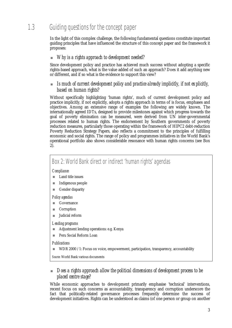# <span id="page-14-0"></span>1.3 Guiding questions for the concept paper

In the light of this complex challenge, the following fundamental questions constitute important guiding principles that have influenced the structure of this concept paper and the framework it proposes:

#### ! *Why is a rights approach to development needed?*

Since development policy and practice has achieved much success without adopting a specific rights-based approach, what is the value added of such an approach? Does it add anything new or different, and if so what is the evidence to support this view?

#### ! *Is much of current development policy and practice already implicitly, if not explicitly, based on human rights?*

Without specifically highlighting 'human rights', much of current development policy and practice implicitly, if not explicitly, adopts a rights approach in terms of is focus, emphases and objectives. Among an extensive range of examples the following are widely known. The internationally agreed IDTs, designed to provide milestones against which progress towards the goal of poverty elimination can be measured, were derived from UN inter-governmental processes related to human rights. The endorsement by Southern governments of poverty reduction measures, particularly those operating within the framework of HIPC2 debt-reduction Poverty Reduction Strategy Papers, also reflects a commitment to the principles of fulfilling economic and social rights. The range of policy and programmes initiatives in the World Bank's operational portfolio also shows considerable resonance with human rights concerns (see Box 2).

# Box 2: World Bank direct or indirect 'human rights' agendas

#### *Compliance*

- Land title issues
- **Indigenous people**
- **Executed** Gender disparity

#### *Policy agendas*

- **Exercise** Governance
- **Corruption**
- **I** Judicial reform

#### *Lending programs*

- **EXECUTE:** Adjustment lending operations: e.g. Kenya
- **Peru Social Reform Loan**

#### *Publications*

WDR 2000 /1: Focus on voice, empowerment, participation, transparency, accountability

*Source:* World Bank various documents

#### ! *Does a rights approach allow the political dimensions of development process to be placed centre stage?*

While economic approaches to development primarily emphasise 'technical' interventions, recent focus on such concerns as accountability, transparency and corruption underscore the fact that politically-related governance processes frequently determine the success of development initiatives. Rights can be understood as claims (of one person or group on another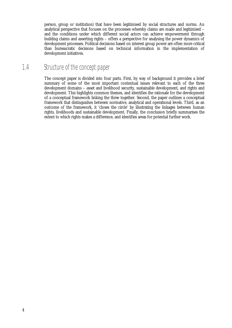<span id="page-15-0"></span>person, group or institution) that have been legitimised by social structures and norms. An analytical perspective that focuses on the processes whereby claims are made and legitimised – and the conditions under which different social actors can achieve empowerment through building claims and asserting rights – offers a perspective for analysing the power dynamics of development processes. Political decisions based on interest group power are often more critical than bureaucratic decisions based on technical information in the implementation of development initiatives.

# 1.4 Structure of the concept paper

The concept paper is divided into four parts. First, by way of background it provides a brief summary of some of the most important contextual issues relevant to each of the three development domains – asset and livelihood security, sustainable development, and rights and development. This highlights common themes, and identifies the rationale for the development of a conceptual framework linking the three together. Second, the paper outlines a conceptual framework that distinguishes between normative, analytical and operational levels. Third, as an outcome of the framework, it 'closes the circle' by illustrating the linkages between human rights, livelihoods and sustainable development. Finally, the conclusion briefly summarises the extent to which rights makes a difference, and identifies areas for potential further work.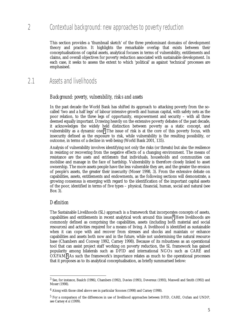# <span id="page-16-0"></span>2 Contextual background: new approaches to poverty reduction

This section provides a 'thumbnail sketch' of the three predominant domains of development theory and practice. It highlights the remarkable overlap that exists between their conceptualisations of capital assets, analytical focuses in terms of vulnerability, entitlements and claims, and overall objectives for poverty reduction associated with sustainable development. In each case, it seeks to assess the extent to which 'political' as against 'technical' processes are emphasised.

# 2.1 Assets and livelihoods

#### *Background: poverty, vulnerability, risks and assets*

In the past decade the World Bank has shifted its approach to attacking poverty from the socalled 'two and a half legs' of labour intensive growth and human capital, with safety nets as the poor relation, to the three legs of opportunity, empowerment and security – with all three deemed equally important. Drawing heavily on the extensive poverty debates of the past decade, it acknowledges the widely held distinction between poverty as a static concept, and vulnerability as a dynamic one.<sup>3</sup> The issue of risk is at the core of this poverty focus, with insecurity defined as the exposure to risk, while vulnerability is the resulting possibility, or outcome, in terms of a decline in well-being (World Bank 2001, 135).

Analysis of vulnerability involves identifying not only the risks (or threats) but also the resilience in resisting or recovering from the negative effects of a changing environment. The means of resistance are the *assets* and *entitlements* that individuals, households and communities can mobilise and manage in the face of hardship. Vulnerability is therefore closely linked to asset ownership. The more assets people have the less vulnerable they are, and the greater the erosion of people's assets, the greater their insecurity (Moser 1998, 3). From the extensive debate on capabilities, assets, entitlements and endowments, as the following sections will demonstrate, a growing consensus is emerging with regard to the identification of the important capital assets of the poor, identified in terms of five types – physical, financial, human, social and natural (see Box 3).

#### *Definition*

l

The Sustainable Livelihoods (SL) approach is a framework that incorporates concepts of assets, capabilities and entitlements in recent analytical work around this issue.4 Here livelihoods are commonly defined as comprising the capabilities, assets (including both material and social resources) and activities required for a means of living. A livelihood is identified as sustainable when it can cope with and recover from stresses and shocks and maintain or enhance capabilities and assets both now and in the future, while not undermining the natural resource base (Chambers and Conway 1992, Carney 1998). Because of its robustness as an operational tool that can assist project staff working on poverty reduction, the SL framework has gained popularity among bilaterals such as DFID and international NGOs such as CARE and OXFAM.5 As such the framework's importance relates as much to the operational processes that it proposes as to its analytical conceptualisation, as briefly summarised below:

<sup>3</sup> See, for instance, Baulch (1996), Chambers (1992), Davies (1993), Devereux (1993), Maxwell and Smith (1992) and Moser (1998).

<sup>4</sup> Along with those cited above see in particular Scoones (1998) and Carney (1998).

<sup>5</sup> For a comparison of the differences in use of livelihood approaches between DFID, CARE, Oxfam and UNDP, see Carney *et al* (1999).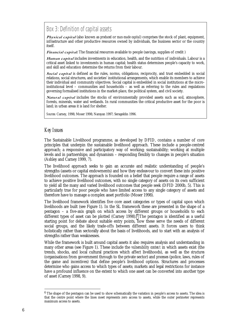Box 3: Definition of capital assets

Physical capital (also known as *produced* or *man-made capital*) comprises the stock of plant, equipment, infrastructure and other productive resources owned by individuals, the business sector or the country itself.

Financial capital: The financial resources available to people (savings, supplies of credit)

Human capital includes investments in education, health, and the nutrition of individuals. Labour is a critical asset linked to investments in human capital; health status determines people's capacity to work, and skill and education determine the returns from their labour.

Social capital is defined as the rules, norms, obligations, reciprocity, and trust embedded in social relations, social structures, and societies' institutional arrangements, which enable its members to achieve their individual and community objectives. Social capital is embedded in social institutions at the microinstitutional level – communities and households – as well as referring to the rules and regulations governing formalised institutions in the market-place, the political system, and civil society.

Natural capital includes the stocks of environmentally provided assets such as soil, atmosphere, forests, minerals, water and wetlands. In rural communities the critical productive asset for the poor is land; in urban areas it is land for shelter.

*Sources:* Carney, 1998; Moser 1998; Narayan 1997; Serageldin 1996.

#### *Key Issues*

The Sustainable Livelihood programme, as developed by DFID, contains a number of core principles that underpin the sustainable livelihood approach. These include a people-centred approach; a responsive and participatory way of working; sustainability; working at multiple levels and in partnerships; and dynamism – responding flexibly to changes in people's situation (Ashley and Carney 1999, 7).

The livelihood approach seeks to gain an accurate and realistic understanding of people's strengths (assets or capital endowments) and how they endeavour to convert these into positive livelihood outcomes. The approach is founded on a belief that people require a range of assets to achieve positive livelihood outcomes, with no single category of assets on its own sufficient to yield all the many and varied livelihood outcomes that people seek (DFID 2000b, 5). This is particularly true for poor people who have limited access to any single category of assets and therefore have to manage a complex asset portfolio (Moser 1998).

The livelihood framework identifies five core asset categories or types of capital upon which livelihoods are built (see Figure 1). In the SL framework these are presented in the shape of a pentagon – a five-axis graph on which access by different groups or households to each different types of asset can be plotted (Carney 1998).<sup>6</sup> The pentagon is identified as a useful starting point for debate about suitable entry points, how these serve the needs of different social groups, and the likely trade-offs between different assets. It forces users to think holistically rather than sectorally about the basis of livelihoods, and to start with an analysis of strengths rather than weaknesses.

While the framework is built around capital assets it also requires analysis and understanding in many other areas (see Figure 1). These include the *vulnerability context* in which assets exist (the trends, shocks, and local cultural practices which affect livelihoods), as well as the *structures* (organisations from government through to the private sector) and *processes* (police, laws, rules of the game and incentives) that define people's livelihood options. Structures and processes determine who gains access to which types of assets; markets and legal restrictions for instance have a profound influence on the extent to which one asset can be converted into another type of asset (Carney 1998, 9).

 $6$  The shape of the pentagon can be used to show schematically the variation in people's access to assets. The idea is that the centre point where the lines meet represents zero access to assets, while the outer perimeter represents maximum access to assets.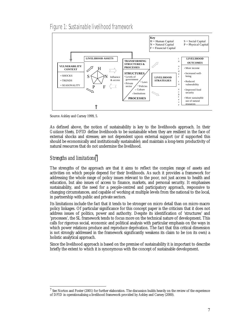Figure 1: Sustainable livelihood framework



Source: Ashley and Carney 1999, 5.

As defined above, the notion of sustainability is key to the livelihoods approach. In their *Guidance Sheets,* DFID define livelihoods to be sustainable when they are resilient in the face of external shocks and stresses; are not dependent upon external support (or if supported this should be economically and institutionally sustainable); and maintain a long-term productivity of natural resources that do not undermine the livelihood.

#### *Strengths and limitations*<sup>7</sup>

l

The strengths of the approach are that it aims to reflect the complex range of assets and activities on which people depend for their livelihoods. As such it provides a framework for addressing the whole range of policy issues relevant to the poor, not just access to health and education, but also issues of access to finance, markets, and personal security. It emphasises sustainability, and the need for a people-centred and participatory approach, responsive to changing circumstances, and capable of working at multiple levels from the national to the local, in partnership with public and private sectors.

Its limitations include the fact that it tends to be stronger on micro detail than on micro-macro policy linkages. Of particular significance for this concept paper is the criticism that it does not address issues of politics, power and authority. Despite its identification of 'structures' and 'processes', the SL framework tends to focus more on the technical nature of development. This calls for rigorous social, economic and political analysis with particular emphasis on the ways in which power relations produce and reproduce deprivation. The fact that this critical dimension is not strongly addressed in the framework significantly weakens its claim to be (on its own) a holistic analytical approach.

Since the livelihood approach is based on the premise of sustainability it is important to describe briefly the extent to which it is synonymous with the concept of sustainable development.

<sup>&</sup>lt;sup>7</sup> See Norton and Foster (2001) for further elaboration. The discussion builds heavily on the review of the experience of DFID in operationalising a livelihood framework provided by Ashley and Carney (2000).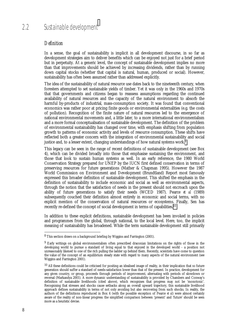#### <span id="page-19-0"></span>*Definition*

In a sense, the goal of sustainability is implicit in all development discourse, in so far as development strategies aim to deliver benefits which can be enjoyed not just for a brief period but in perpetuity. At a generic level, the concept of sustainable development implies no more than that improvements should be achieved by increasing dividends, rather than by running down capital stocks (whether that capital is natural, human, produced or social). However, sustainability has often been assumed rather than addressed explicitly.

The idea of the sustainability of natural resource use dates back to the nineteenth century, when foresters attempted to set sustainable yields of timber. Yet it was only in the 1960s and 1970s that that governments and citizens began to reassess assumptions regarding the continued availability of natural resources and the capacity of the natural environment to absorb the harmful by-products of industrial, mass-consumption society. It was found that conventional economics was rather poor at pricing finite goods or environmental externalities (e.g. the costs of pollution). Recognition of the finite nature of natural resources led to the emergence of national environmental movements and, a little later, to a more international environmentalism and a more formal conceptualisation of sustainable development. The definition of the problem of environmental sustainability has changed over time, with emphasis shifting from population growth to patterns of economic activity and levels of resource consumption. These shifts have reflected both a greater concern with the integration of environmental sustainability and social justice and, to a lesser extent, changing understandings of how natural systems work.<sup>9</sup>

This legacy can be seen in the range of recent definitions of sustainable development (see Box 4), which can be divided broadly into those that emphasise sustaining the environment, and those that look to sustain human systems as well. In an early reference, the 1980 World Conservation Strategy prepared for UNEP by the IUCN first defined conservation in terms of preserving resources for future generations (Mather & Chapman 1995). However the 1987 World Commission on Environment and Development (Brundtland) Report most famously expressed this broader definition of sustainable development. This shifted the emphasis in the definition of sustainability to include economic and social as well as environmental aspects, through the notion that the satisfaction of needs in the present should not encroach upon the ability of future generations to satisfy their needs (WCED 1987). Pearce *et al* (1989) subsequently couched their definition almost entirely in economic and social terms, with no explicit mention of the conservation of natural resources or ecosystems. Finally, Sen has recently re-defined the concept of social development in terms of capabilities.10

In addition to these explicit definitions, sustainable development has been invoked in policies and programmes from the global, through national, to the local level. Here, too, the implicit meaning of sustainability has broadened. While the term sustainable development still primarily

<sup>8</sup> This section draws on a background briefing by Wiggins and Farrington (2001).

<sup>&</sup>lt;sup>9</sup> Early writings on global environmentalism often prescribed draconian limitations on the rights of those in the developing world to pursue a standard of living equal to that enjoyed in the developed world - a position not unreasonably likened to one of the rich pulling the ladder up behind them. Recently, scientists have come to question the value of the concept of an equilibrium steady state with regard to many aspects of the natural environment (see Wiggins and Farrington 2001).

<sup>10</sup> All these definitions could be criticised for positing an idealised image of reality, in their implication that *no* future generation should suffer a standard of needs-satisfaction lower than that of the present. In practice, development for any given country, or group, proceeds through periods of improvement, alternating with periods of slowdown or reversal (Markandya 2001). A more dynamic understanding of sustainability is provided by Chambers and Conway's definition of sustainable livelihoods (cited above), which recognises that progress may not be 'monotonic'. Recognising that stresses and shocks cause setbacks along an overall upward trajectory, this sustainable livelihood approach defines sustainability in terms of not only avoiding but also recovering from such shocks. In reality, the authors of the definitions reproduced in Box 4 (with the possible exception of Pearce *et al*) were almost certainly aware of the reality of non-linear progress: the simplified comparison between 'present' and 'future' should be seen more as a heuristic devise.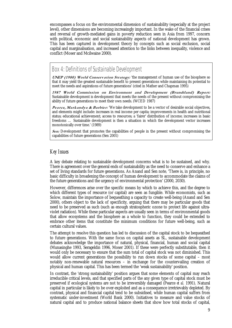encompasses a focus on the environmental dimension of sustainability (especially at the project level), other dimensions are becoming increasingly important. In the wake of the financial crises and reversal of growth-mediated gains in poverty reduction seen in Asia from 1997, concern with political, economic and social sustainability aspects of national development has grown. This has been captured in development theory by concepts such as social exclusion, social capital and marginalisation, and increased attention to the links between inequality, violence and conflict (Moser and Mcilwaine 2000).

## Box 4: Definitions of Sustainable Development

UNEP (1980) World Conservation Strategy: 'the management of human use of the biosphere so that it may yield the greatest sustainable benefit to present generations while maintaining its potential to meet the needs and aspirations of future generations' (cited in Mather and Chapman 1995)

1987 World Commission on Environment and Development (Brundtland) Report: Sustainable development is development that meets the needs of the present without compromising the ability of future generations to meet their own needs. (WCED 1987)

*Pearce, Markandya & Barbier:* 'We take development to be a vector of desirable social objectives, and elements might include: increases in real income per capita; improvements in health and nutritional status; educational achievement; access to resources; a 'fairer' distribution of income; increases in basic freedoms … Sustainable development is then a situation in which the development vector increases monotonically over time.' (1989)

Sen: Development that promotes the capabilities of people in the present without compromising the capabilities of future generations (Sen 2001)

#### *Key Issues*

A key debate relating to sustainable development concerns what is to be sustained, and why. There is agreement over the general ends of sustainability as the need to conserve and enhance a set of living standards for future generations. As Anand and Sen note*,* 'There is, in principle, no basic difficulty in broadening the concept of human development to accommodate the claims of the future generations and the urgency of environmental protection' (2000, 2030).

However, differences arise over the specific means by which to achieve this, and the degree to which different types of resource (or capital) are seen as fungible. While economists, such as Solow, maintain the importance of bequeathing a capacity to create well-being (Anand and Sen 2000), others object to the lack of specificity, arguing that there may be particular goods that need to be preserved as such (such as enough stratospheric ozone to protect life against ultraviolet radiation). While these particular aspects are usually seen in terms of environmental goods that allow ecosystems and the biosphere as a whole to function, they could be extended to embrace other items that constitute the minimum conditions for future well-being, such as certain cultural values.

The attempt to resolve this question has led to discussion of the capital stock to be bequeathed to future generations. With the same focus on capital assets as SL, sustainable development debates acknowledge the importance of natural, physical, financial, human and social capital (Munasinghe 1993, Serageldin 1996, Moser 2001). If these were perfectly substitutable, then it would only be necessary to ensure that the sum total of capital stock was not diminished. This would allow current generations the possibility to run down stocks of some capital – most notably non-renewable natural resources – in exchange for the countervailing creation of physical and human capital. This has been termed the 'weak sustainability' position.

In contrast, the 'strong sustainability' position argues that some elements of capital may reach irreducible critical levels, and that specified parts of the any given type of capital stock must be preserved if ecological systems are not to be irreversibly damaged (Pearce *et al.* 1991). Natural capital in particular is likely to be over-exploited and as a consequence irretrievably depleted. By contrast, physical and financial capital tend to be subsidised, while human capital suffers from systematic under-investment (World Bank 2000). Initiatives to measure and value stocks of natural capital and to produce national balance sheets that show how total stocks of capital,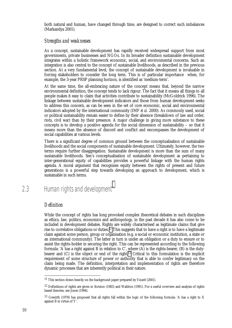<span id="page-21-0"></span>both natural and human, have changed through time, are designed to correct such imbalances (Markandya 2001).

#### *Strengths and weaknesses*

As a concept, sustainable development has rapidly received widespread support from most governments, private businesses and NGOs. In its broader definition sustainable development integrates within a holistic framework economic, social, and environmental concerns. Such an integration is also central to the concept of sustainable livelihoods, as described in the previous section. At a very fundamental level, the concept of sustainable development is invaluable in forcing stakeholders to consider the long term. This is of particular importance when, for example, the 3-year PRSP planning horizon, is identified as 'medium-term'.

At the same time, the all-embracing nature of the concept means that, beyond the narrow environmental definition, the concept tends to lack rigour. The fact that it means all things to all people makes it easy to claim that activities contribute to sustainability (McGoldrick 1996). The linkage between sustainable development indicators and those from human development seeks to address this concern, as can be seen in the set of core economic, social and environmental indicators adopted by the international community (IMF *et al.* 2000). As commonly used, social or political sustainability remain easier to define by their absence (breakdown of law and order, riots, civil war) than by their presence. A major challenge in giving more substance to these concepts is to develop a positive agenda for the social dimension of sustainability – so that it means more than the absence of discord and conflict and encompasses the development of social capabilities at various levels.

There is a significant degree of common ground between the conceptualisation of sustainable livelihoods and the social components of sustainable development. Ultimately, however, the two terms require further disaggregation. Sustainable development is more than the sum of many sustainable livelihoods. Sen's conceptualisation of sustainable development as pertaining to inter-generational equity of capabilities provides a powerful linkage with the human rights agenda. A moral argument that recognises equity between the rights of present and future generations is a powerful step towards developing an approach to development, which is sustainable in such terms.

 $2.3$  Human rights and development<sup>11</sup>

#### *Definition*

 $\overline{a}$ 

While the concept of rights has long provoked complex theoretical debates in such disciplines as ethics, law, politics, economics and anthropology, in the past decade it has also come to be included in development debates. Rights are widely characterised as legitimate claims that give rise to correlative obligations or duties.12 This suggests that to have a right is to have a legitimate claim against some person, group or organisation (e.g. a social or economic institution, a state or an international community). The latter in turn is under an obligation or a duty to ensure or to assist the rights-holder in securing the right. This can be represented according to the following formula: 'A has a right against B in relation to C', where (A) is the rights-bearer, (B) is the dutybearer and (C) is the object or end of the right.13 Critical to this formulation is the implicit requirement of some structure of power or authority that is able to confer legitimacy on the claim being made. The definition, interpretation and implementation of rights are therefore dynamic processes that are inherently political in their nature.

<sup>&</sup>lt;sup>11</sup> This section draws heavily on the background paper prepared by Vizard (2001).

<sup>&</sup>lt;sup>12</sup> Definitions of rights are given in Scruton (1983) and Waldron (1991). For a useful overview and analysis of rights based theories, see Jones (1994).

<sup>&</sup>lt;sup>13</sup> Gewirth (1978) has proposed that all rights fall within the logic of the following formula: 'A has a right to X against B in virtue of Y'.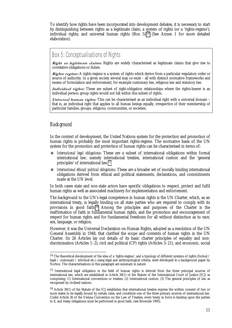To identify how rights have been incorporated into development debates, it is necessary to start by distinguishing between rights as a legitimate claim; a system of rights (or a 'rights-regime'); individual rights; and universal human rights (Box 5).14 (See Annex 1 for more detailed elaboration).

## Box 5: Conceptualisations of Rights

Right as legitimate claims: Rights are widely characterised as legitimate claims that give rise to correlative obligations or duties.

Rights regime: A rights regime is a system of rights which derive from a particular regulatory order or source of authority. In a given society several may co-exist – all with distinct normative frameworks and means of formulation and enforcement, for example customary law, religious law and statutory law.

Individual rights: These are subset of right-obligation relationships where the rights-bearer is an individual person; group rights would not fall within this subset of rights.

Universal human rights: This can be characterised as an individual right with a universal domain that is, an individual right that applies to all human beings equally, irrespective of their membership of particular families, groups, religions, communities, or societies.

#### *Background*

l

In the context of development, the United Nations system for the protection and promotion of human rights is probably the most important rights-regime. The normative basis of the UN system for the promotion and protection of human rights can be characterised in terms of:

- ! *International legal obligations*: These are a subset of international obligations within formal international law, namely international treaties, international custom and the 'general principles' of international law.*<sup>15</sup>*
- ! *International ethical/political obligations*: These are a broader set of morally binding international obligations derived from ethical and political statements, declarations, and commitments made at the UN level.

In both cases state and non-state actors have specific obligations to respect, protect and fulfil human rights as well as associated machinery for implementation and enforcement.

The background to the UN's legal competence in human rights is the UN Charter, which, as an international treaty, is legally binding on all state parties who are required to comply with its provisions in good faith.16 Among the principles and purposes of the Charter is the reaffirmation of faith in fundamental human rights, and the promotion and encouragement of respect for human rights and for fundamental freedoms for all without distinction as to race, sex, language, or religion.

However, it was the Universal Declaration on Human Rights, adopted as a resolution of the UN General Assembly in 1948, that clarified the scope and contents of human rights in the UN Charter. Its 26 Articles lay out details of its basic charter principles of equality and nondiscrimination (Articles 1–2), civil and political (CP) rights (Articles 3–21), and economic, social

<sup>&</sup>lt;sup>14</sup> The theoretical development of the idea of a 'rights-regime', and a typology of different systems of rights (formal / legal / customary / informal etc.) using legal and anthropological criteria, were developed in a background paper by Norton. The characterisations in this paragraph are summary in nature.

<sup>15</sup> International legal obligation in the field of human rights is derived from the three principal sources of international law, which are established in Article 38(1) of the Statute of the International Court of Justice (ICJ) as comprising: (1) International conventions or treaties; (2) International custom; (3) The general principles of law as recognised by civilised nations.

<sup>&</sup>lt;sup>16</sup> Article 38(1) of the Statute of the ICJ establishes that international treaties express the written consent of two or more states to be legally bound by certain rules, and constitute one of the three primary sources of international law. Under Article 26 of the Vienna Convention on the Law of Treaties, every treaty in force is binding upon the parties to it, and treaty obligations must be performed in good faith, (see Brownlie 1995).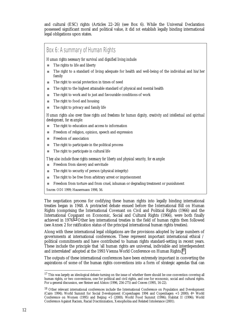and cultural (ESC) rights (Articles 22–26) (see Box 6). While the Universal Declaration possessed significant moral and political value, it did *not* establish legally binding international legal obligations upon states.

## Box 6: A summary of Human Rights

*Human rights necessary for survival and dignified living include:*

- $\blacksquare$  The rights to life and liberty
- ! The right to a standard of living adequate for health and well-being of the individual and his/her family
- The right to social protection in times of need
- **The right to the highest attainable standard of physical and mental health**
- The right to work and to just and favourable conditions of work
- $\blacksquare$  The right to food and housing
- **IF The right to privacy and family life**

*Human rights also cover those rights and freedoms for human dignity, creativity and intellectual and spiritual development, for example:*

- The right to education and access to information
- Freedom of religion, opinion, speech and expression
- **Exercise Exercise Exercise SECONDEN** Freedom of association
- $\blacksquare$  The right to participate in the political process
- **IF The right to participate in cultural life**

#### *They also include those rights necessary for liberty and physical security, for example:*

- **Example 1** Freedom from slavery and servitude
- The right to security of person (physical integrity)
- The right to be free from arbitrary arrest or imprisonment
- ! Freedom from torture and from cruel, inhuman or degrading treatment or punishment

*Sources:* ODI 1999; Hausermann 1998, 56.

The negotiation process for codifying these human rights into legally binding international treaties began in 1948. A protracted debate ensued before the International Bill on Human Rights (comprising the International Covenant on Civil and Political Rights (1966) and the International Covenant on Economic, Social and Cultural Rights (1966), were both finally achieved in 1976.17 Other key international treaties in the field of human rights then followed (see Annex 2 for ratification status of the principal international human rights treaties).

Along with these international legal obligations are the provisions adopted by large numbers of governments at international conferences. These represent important international ethical / political commitments and have contributed to human rights standard-setting in recent years. These include the principle that 'all human rights are universal, indivisible and interdependent and interrelated' adopted at the 1993 Vienna World Conference on Human Rights.18

The outputs of these international conferences have been extremely important in converting the aspirations of some of the human rights conventions into a form of strategic agendas that can

<sup>&</sup>lt;sup>17</sup> This was largely an ideological debate turning on the issue of whether there should be one convention covering all human rights, or two conventions, one for political and civil rights, and one for economic, social and cultural rights. For a general discussion, see Steiner and Alston (1996, 256-275) and Craven (1995, 16-22).

<sup>18</sup> Other relevant international conferences include the International Conference on Population and Development (Cairo 1994); World Summit for Social Development (Copenhagen 1994 and Copenhagen +5 2000); 4th World Conference on Women (1995) and Beijing +5 (2000); World Food Summit (1996); Habitat II (1996); World Conference Against Racism, Racial Discrimination, Xenophobia and Related Intolerance (2001).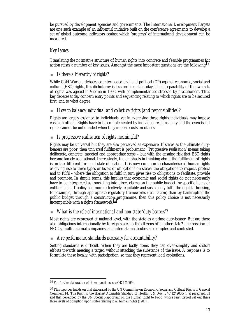be pursued by development agencies and governments. The International Development Targets are one such example of an influential initiative built on the conference agreements to develop a set of global outcome indicators against which 'progress' of international development can be measured.

#### *Key Issues*

Translating the normative structure of human rights into concrete and feasible programmes for action raises a number of key issues. Amongst the most important questions are the following:19

#### ! *Is there a hierarchy of rights?*

While Cold War era debates counter-posed civil and political (CP) against economic, social and cultural (ESC) rights, this dichotomy is less problematic today. The inseparability of the two sets of rights was agreed in Vienna in 1993, with complementarities stressed by practitioners. Thus key debates today concern entry points and sequencing relating to which rights are to be secured first, and to what degree.

#### ! *How to balance individual and collective rights (and responsibilities)?*

Rights are largely assigned to individuals, yet in exercising these rights individuals may impose costs on others. Rights have to be complemented by individual responsibility and the exercise of rights cannot be unbounded when they impose costs on others.

#### ! *Is progressive realisation of rights meaningful?*

Rights may be universal but they are also perceived as expensive. If states as the ultimate dutybearers are poor, then universal fulfilment is problematic. 'Progressive realisation' means taking deliberate, concrete, targeted and appropriate steps – but with the ensuing risk that ESC rights become largely aspirational. Increasingly, the emphasis in thinking about the fulfilment of rights is on the different forms of state obligation. It is now common to characterise all human rights as giving rise to three types or levels of obligations on states: the obligations to respect, protect and to fulfil – where the obligation to fulfil in turn gives rise to obligations to facilitate, provide and promote. In simple terms, this implies that economic and social rights do not necessarily have to be interpreted as translating into direct claims on the public budget for specific items or entitlements. If policy can more effectively, equitably and sustainably fulfil the right to housing, for example, through appropriate regulatory frameworks (facilitation) than by bankrupting the public budget through a construction programme, then this policy choice is not necessarily incompatible with a rights framework.20

#### ! *What is the role of international and non-state 'duty-bearers'?*

Most rights are expressed at national level, with the state as a prime duty-bearer. But are there also obligations internationally by foreign states to the citizens of another state? The position of NGOs, multi-national companies, and international bodies are complex and contested.

#### ! *Are performance standards necessary for accountability?*

Setting standards is difficult. When they are badly done, they can over-simplify and distort efforts towards meeting a target, without attacking the substance of the issue. A response is to formulate these locally, with participation, so that they represent local aspirations.

<sup>-</sup>19 For further elaboration of these questions, see ODI (1999).

 $20$  This typology builds on that elaborated by the UN Committee on Economic, Social and Cultural Rights in General Comment 14, 'The Right to the Highest Attainable Standard of Health', UN Doc. E/C.12/2000/4, at paragraph 33 and that developed by the UN Special Rapporteur on the Human Right to Food, whose First Report set out these three levels of obligation upon states relating to all human rights (1987).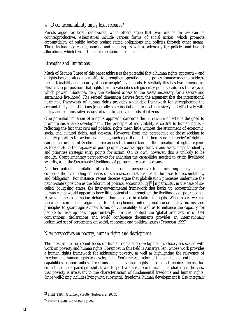#### ! *Does accountability imply legal recourse?*

Purists argue for legal frameworks, while others argue that over-reliance on law can be counterproductive. Alternatives include various forms of social action, which promote accountability of public bodies against stated obligations and policies through other means. These include scorecards, naming and shaming, as well as advocacy for policies and budget allocations, which favour the implementation of rights.

#### *Strengths and limitations*

Much of Section Three of this paper addresses the potential that a human rights approach – and a rights-based *analysis* – can offer to strengthen operational and policy frameworks that address the sustainability and security of poor people's livelihoods. Essentially this has two dimensions. First is the proposition that rights form a valuable strategic entry point to address the ways in which power imbalances deny the excluded access to the assets necessary for a secure and sustainable livelihood. The second dimension derives from the argument that the international normative framework of human rights provides a valuable framework for strengthening the accountability of institutions (especially state institutions) to deal inclusively and effectively with policy and administrative issues relevant to the livelihoods of citizens.

One potential limitation of a rights approach concerns the *prioritisation* of actions designed to promote sustainable development. The principle of indivisibility is central to human rights  $$ reflecting the fact that civil and political rights mean little without the attainment of economic, social and cultural rights, and *vice-versa.* However, from the perspective of those seeking to identify priorities for action and change, such a position – that there is no 'hierarchy' of rights – can appear unhelpful. Section Three argues that understanding the operation of rights regimes as they relate to the capacity of poor people to access opportunities and assets helps to identify and prioritise strategic entry points for action. On its own, however, this is unlikely to be enough. Complementary perspectives for analysing the capabilities needed to attain livelihood security, as in the Sustainable Livelihoods Approach, are also necessary.

Another potential limitation of a human rights perspective for promoting policy change concerns the over-riding emphasis on state-citizen relationships as the basis for accountability and 'obligation'. For instance, recent debates argue that globalisation processes undermine the nation-state's position as the fulcrum of political accountability.21 In particular, in the case of socalled 'collapsing' states, the inter-governmental framework that backs up accountability for human rights would appear to have little potential to strengthen the livelihoods of poor people. However, the globalisation debate is double-edged in relation to rights. When states weaken there are compelling arguments for strengthening international social policy norms and principles to guard against new forms of vulnerability as well as to enhance the capacity for people to take up new opportunities.22 In this context the 'global architecture' of UN conventions, declarations and world conference documents provides an internationally legitimised set of agreements on social, economic and political issues (Ferguson 1999).

#### *New perspectives on poverty, human rights and development*

The most influential recent focus on human rights and development is closely associated with work on poverty and human rights. Foremost in this field is Amartya Sen, whose work provides a human rights framework for addressing poverty, as well as highlighting the relevance of freedom and human rights to development. Sen's incorporation of the concepts of entitlements, capabilities, opportunities, freedoms and individual rights into social choice theory has contributed to a paradigm shift towards 'post-welfarist' economics. This challenges the view that poverty is irrelevant to the characterisation of fundamental freedoms and human rights. Since well-being includes living with substantial freedoms, human development is also integrally

<sup>21</sup> Held (1995), Grunberg (1998), Norton *et al* (2000).

<sup>22</sup> Brown (1998), World Bank (1999).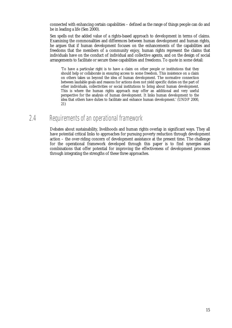<span id="page-26-0"></span>connected with enhancing certain capabilities – defined as the range of things people can do and be in leading a life (Sen 2000).

Sen spells out the added value of a rights-based approach to development in terms of claims. Examining the commonalities and differences between human development and human rights, he argues that if human development focuses on the enhancements of the capabilities and freedoms that the members of a community enjoy, human rights represent the claims that individuals have on the conduct of individual and collective agents, and on the design of social arrangements to facilitate or secure these capabilities and freedoms. To quote in some detail:

'To have a particular right is to have a claim on other people or institutions that they should help or collaborate in ensuring access to some freedom. This insistence on a claim on others takes us beyond the idea of human development. The normative connection between laudable goals and reasons for actions does not yield specific duties on the part of other individuals, collectivities or social institutions to bring about human development. This is where the human rights approach may offer an additional and very useful perspective for the analysis of human development. It links human development to the idea that others have duties to facilitate and enhance human development.' (UNDP 2000, 21)

# 2.4 Requirements of an operational framework

Debates about sustainability, livelihoods and human rights overlap in significant ways. They all have potential critical links to approaches for pursuing poverty reduction through development action – the over-riding concern of development assistance at the present time. The challenge for the operational framework developed through this paper is to find synergies and combinations that offer potential for improving the effectiveness of development processes through integrating the strengths of these three approaches.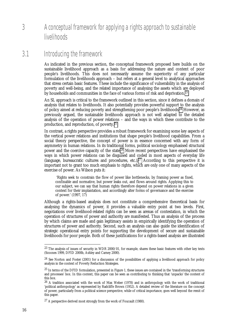# <span id="page-27-0"></span>3 A conceptual framework for applying a rights approach to sustainable **livelihoods**

## 3.1 Introducing the framework

As indicated in the previous section, the conceptual framework proposed here builds on the sustainable livelihood approach as a basis for addressing the nature and content of poor people's livelihoods. This does not necessarily assume the superiority of any particular formulation of the livelihoods approach – but refers at a general level to analytical approaches that stress certain basic features. These include the significance of vulnerability in the analysis of poverty and well-being, and the related importance of analysing the assets which are deployed by households and communities in the face of various forms of risk and deprivation.23

An SL approach is critical to the framework outlined in this section, since it defines a domain of analysis that relates to livelihoods. It also potentially provides powerful support to the analysis of policy aimed at reducing poverty and strengthening poor people's livelihoods.24 However, as previously argued, the sustainable livelihoods approach is not well adapted to the detailed analysis of the operation of power relations – and the ways in which these contribute to the production, and reproduction, of poverty.25

In contrast, a rights perspective provides a robust framework for examining some key aspects of the vertical power relations and institutions that shape people's livelihood capabilities. From a social theory perspective, the concept of power is in essence concerned with any form of asymmetry in human relations. In its traditional forms, political sociology emphasised structural power and the coercive capacity of the state.26 More recent perspectives have emphasised the ways in which power relations can be disguised and coded in most aspects of everyday life (language, bureaucratic cultures and procedures, etc.).27 According to this perspective it is important not to grant too much emphasis to rights, which are only one of many aspects of the exercise of power. As Wilson puts it:

 'Rights seek to constrain the flow of power like bottlenecks, by framing power as fixed, confinable and normative, but power leaks out, and flows around rights. Applying this to our subject, we can say that human rights therefore depend on power relations in a given context for their implantation, and accordingly alter forms of governance and the exercise of power.' (1997, 17)

Although a rights-based analysis does not constitute a comprehensive theoretical basis for analysing the dynamics of power, it provides a valuable entry point at two levels. First, negotiations over livelihood-related rights can be seen as arenas of contestation, in which the operation of structures of power and authority are manifested. Thus an analysis of the process by which claims are made and gain legitimacy assists in empirically identifying the operation of structures of power and authority. Second, such an analysis can also guide the identification of strategic operational entry points for supporting the development of secure and sustainable livelihoods for poor people. Both of these justifications for a rights-based analysis are illustrated

<sup>&</sup>lt;sup>23</sup> The analysis of issues of security in WDR 2000/01, for example, shares these basic features with other key texts (Scoones 1999, DFID 2000b, Ashley and Carney 2000).

<sup>&</sup>lt;sup>24</sup> See Norton and Foster (2001) for a discussion of the possibilities of applying a livelihood approach for policy analysis in the context of Poverty Reduction Strategies.

 $25$  In terms of the DFID formulation, presented in Figure 1, these issues are contained in the 'transforming structures and processes' box. In this context, this paper can be seen as contributing to thinking that 'unpacks' the content of this box.

<sup>&</sup>lt;sup>26</sup> A tradition associated with the work of Max Weber (1978) and in anthropology with the work of traditional 'political anthropology' as represented by Radcliffe Brown (1952). A detailed review of the literature on the concept of power, particularly from a political science perspective, while of critical importance, goes well beyond the remit of this paper.

<sup>27</sup> A perspective derived most strongly from the work of Foucault (1980).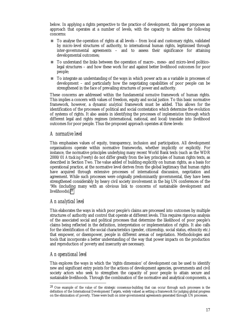below. In applying a rights perspective to the practice of development, this paper proposes an approach that operates at a number of levels, with the capacity to address the following concerns:

- ! To analyse the operation of rights at all levels from local and customary rights, validated by micro-level structures of authority, to international human rights, legitimised through inter-governmental agreements – and to assess their significance for attaining developmental outcomes;
- ! To understand the links between the operation of macro-, meso- and micro-level politicolegal structures – and how these work for and against better livelihood outcomes for poor people;
- ! To integrate an understanding of the ways in which power acts as a variable in processes of development – and particularly how the negotiating capabilities of poor people can be strengthened in the face of prevailing structures of power and authority.

These concerns are addressed within the fundamental *normative* framework of human rights. This implies a concern with values of freedom, equity and social justice. To this basic normative framework, however, a dynamic *analytical* framework must be added. This allows for the identification of the processes of political and social contestation which determine the evolution of systems of rights. It also assists in identifying the processes of *implementation* through which different legal and rights regimes (international, national, and local) translate into livelihood outcomes for poor people. Thus the proposed approach operates at three levels:

#### *A normative level*

This emphasises values of equity, transparency, inclusion and participation. All development organisations operate within normative frameworks, whether implicitly or explicitly. For instance, the normative principles underlying many recent World Bank texts (such as the WDR 2000/01 *Attacking Poverty*) do not differ greatly from the key principles of human rights texts, as described in Section Two. The value added of building explicitly on human rights, as a basis for operational practice, at the normative level derives from the global legitimacy that human rights have acquired through extensive processes of international discussion, negotiation and agreement. While such processes were originally predominantly governmental, they have been strengthened considerably by heavy civil society involvement in the big UN conferences of the '90s (including many with an obvious link to concerns of sustainable development and livelihoods).28

#### *An analytical level*

This elaborates the ways in which poor people's claims are processed into outcomes by multiple structures of authority and control that operate at different levels. This requires rigorous analysis of the associated social and political processes that determine the likelihood of poor people's claims being reflected in the definition, interpretation or implementation of rights. It also calls for the identification of the social characteristics (gender, citizenship, social status, ethnicity etc.) that empower, or disempower, people in different arenas of negotiation. Methodologies and tools that incorporate a better understanding of the way that power impacts on the production and reproduction of poverty and insecurity are necessary.

#### *An operational level*

l

This explores the ways in which the 'rights dimension' of development can be used to identify new and significant entry points for the actions of development agencies, governments and civil society actors who seek to strengthen the capacity of poor people to attain secure and sustainable livelihoods. Through the combination of the normative and analytical components, a

<sup>28</sup> One example of the value of the strategic consensus-building that can occur through such processes is the definition of the International Development Targets, widely valued as setting a framework for judging global progress on the elimination of poverty. These were built on inter-governmental agreements generated through UN processes.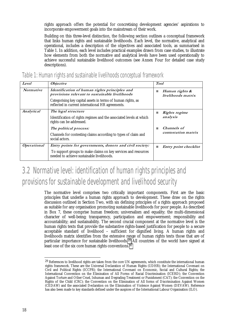<span id="page-29-0"></span>rights approach offers the potential for concretising development agencies' aspirations to incorporate empowerment goals into the mainstream of their work.

Building on this three-level distinction, the following section outlines a conceptual framework that links human rights and sustainable livelihoods. Each level, the normative, analytical and operational, includes a description of the objectives and associated tools, as summarised in Table 1. In addition, each level includes practical examples drawn from case studies, to illustrate how elements from both the normative and analytical levels have been used operationally to achieve successful sustainable livelihood outcomes (see Annex Four for detailed case study descriptions).

| Level              | <i><b>Objective</b></i>                                                                                           | <b>Tool</b> |                                      |
|--------------------|-------------------------------------------------------------------------------------------------------------------|-------------|--------------------------------------|
| Normative          | Identification of human rights principles and<br>provisions relevant to sustainable livelihoods                   |             | Human rights &<br>livelihoods matrix |
|                    | Categorising key capital assets in terms of human rights, as<br>reflected in current international HR agreements. |             |                                      |
| Analytical         | The legal structure                                                                                               | <b>STAR</b> | Rights regime<br>analysis            |
|                    | Identification of rights regimes and the associated levels at which<br>rights can be addressed.                   |             |                                      |
|                    | The political process:                                                                                            |             | Channels of<br>contestation matrix   |
|                    | Channels for contesting claims according to types of claim and<br>social actors.                                  |             |                                      |
| <b>Operational</b> | Entry points for governments, donors and civil society:                                                           |             | <b>Entry point checklist</b>         |
|                    | To support groups to make claims on key services and resources<br>needed to achieve sustainable livelihoods.      |             |                                      |

Table 1: Human rights and sustainable livelihoods conceptual framework

# 3.2 Normative level: identification of human rights principles and provisions for sustainable development and livelihood security

The normative level comprises two critically important components. First are the basic principles that underlie a human rights approach to development. These draw on the rights discussion outlined in Section Two, with six defining principles of a rights approach proposed as suitable for any organisation promoting sustainable livelihoods for poor people. As described in Box 7, these comprise human freedom; universalism and equality; the multi-dimensional character of well-being; transparency, participation and empowerment; responsibility and accountability; and sustainability. The second crucial component at the normative level is the human rights texts that provide the substantive rights-based justification for people to a secure acceptable standard of livelihood – sufficient for dignified living. A human rights and livelihoods matrix identifies from the extensive range of human rights texts those that are of particular importance for sustainable livelihoods.<sup>29</sup> All countries of the world have signed at least one of the six core human rights conventions.<sup>30</sup>

<sup>&</sup>lt;sup>29</sup> References to livelihood rights are taken from the core UN agreements, which constitute the international human rights framework. These are the Universal Declaration of Human Rights (UDHR); the International Covenant on Civil and Political Rights (ICCPR); the International Covenant on Economic, Social and Cultural Rights; the International Convention on the Elimination of All Forms of Racial Discrimination (ICERD); the Convention Against Torture and Other Cruel, Inhuman and Degrading Treatment or Punishment (CAT); the Convention on the Rights of the Child (CRC); the Convention on the Elimination of All forms of Discrimination Against Women (CEDAW) and the associated Declaration on the Elimination of Violence Against Women (DEVAW). Reference has also been made to key standards defined under the auspices of the International Labour Organisation (ILO).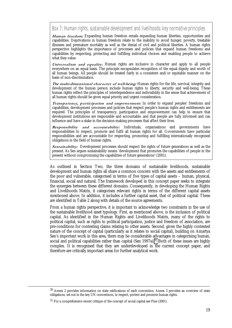Box 7: Human rights, sustainable development and livelihoods: key normative principles

Human freedom: Expanding human freedom entails expanding human liberties, opportunities and capabilities. Deprivations in human freedom relate to the inability to avoid hunger, poverty, treatable illnesses and premature mortality as well as the denial of civil and political liberties. A human rights perspective highlights the importance of processes and policies that expand human freedoms and capabilities by respecting, protecting and fulfilling individual choices and enabling people to achieve what they value.

Universalism and equality: Human rights are inclusive in character and apply to all people everywhere on an equal basis. The principle encapsulates recognition of the equal dignity and worth of all human beings. All people should be treated fairly in a consistent and/or equitable manner on the basis of non-discrimination.

The multi-dimensional character of well-being: Human rights for the life, survival, integrity and development of the human person include human rights to liberty, security and well-being. These human rights reflect the principles of interdependence and indivisibility in the sense that achievement of all human rights should be given equal priority and urgent consideration.

Transparency, participation and empowerment: In order to expand peoples' freedoms and capabilities, development processes and policies that respect people's human rights and entitlements are required. The principles of transparency, participation and empowerment can help to ensure that development institutions are responsible and accountable, and that people are fully informed and can influence and have a stake in the decision-making processes that affect their lives.

**Responsibility and accountability: Individuals, organisations and governments have** responsibilities to respect, promote and fulfil all human rights for all. Governments have particular responsibilities and are accountable for respecting, promoting and fulfilling internationally recognised obligations in the field of human rights.

Sustainability: Development processes should respect the rights of future generations as well as the present. As Sen argues sustainability means 'development that promotes the capabilities of people in the present without compromising the capabilities of future generations' (2001).

As outlined in Section Two, the three domains of sustainable livelihoods, sustainable development and human rights all share a common concern with the assets and entitlements of the poor and vulnerable, categorised in terms of five types of capital assets – human, physical, financial, social and natural. The framework developed in this concept paper seeks to integrate the synergies between these different domains. Consequently, in developing the Human Rights and Livelihoods Matrix, it categorises relevant rights in terms of the different capital assets mentioned above. In addition, it includes a further capital asset, that of political capital. These are identified in Table 2 along with details of the source agreements.

From a human rights perspective, it is important to acknowledge two constraints in the use of the sustainable livelihood asset typology. First, as mentioned above, is the inclusion of political capital. As identified in the Human Rights and Livelihoods Matrix, many of the rights to political capital, such as rights to political participation, justice and freedom of association, are pre-conditions for contesting claims relating to other assets. Second, given the highly contested nature of the concept of capital (particularly as it relates to social capital), building on Amartya Sen's important work in this area, there may be considerable advantages in categorising human, social and political capabilities rather than capital (Sen 1997a).<sup>31</sup> Both of these issues are highly complex. It is recognised that they are underdeveloped in the current concept paper, and therefore are critically important areas for further analytical work.

<sup>30</sup> Annex 2 provides information on state ratifications of each convention. Annex 3 provides an overview of state obligations, set out in the key UN conventions, to respect, protect and promote human rights.

<sup>31</sup> For a comprehensive recent critique of the concept of social capital see Fine (2001).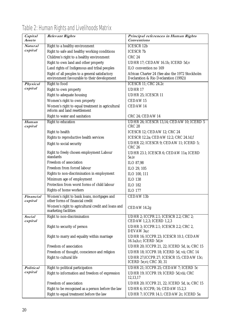| Capital                  | <b>Relevant Rights</b>                                                                   | Principal references in Human Rights                                     |  |  |
|--------------------------|------------------------------------------------------------------------------------------|--------------------------------------------------------------------------|--|--|
| Assets                   |                                                                                          | <b>Conventions</b>                                                       |  |  |
| <b>Natural</b>           | Right to a healthy environment                                                           | <b>ICESCR 12b</b>                                                        |  |  |
| capital                  | Right to safe and healthy working conditions                                             | <b>ICESCR 7b</b>                                                         |  |  |
|                          | Children's right to a healthy environment                                                | <b>CRC 24</b>                                                            |  |  |
|                          | Right to own land and other property                                                     | UDHR 17; CEDAW 16.1h; ICERD 5d, v                                        |  |  |
|                          | Land rights of Indigenous and tribal peoples                                             | ILO convention no 169                                                    |  |  |
|                          | Right of all peoples to a general satisfactory                                           | African Charter 24 (See also the 1972 Stockholm                          |  |  |
|                          | environment favourable to their development                                              | Declaration & Rio Declaration (1992))                                    |  |  |
| Physical                 | <b>Right to food</b>                                                                     | <b>ICESCR 11; CRC 24.2c</b>                                              |  |  |
| capital                  | Right to own property                                                                    | <b>UDHR17</b>                                                            |  |  |
|                          | Right to adequate housing                                                                | UDHR 25; ICESCR 11                                                       |  |  |
|                          | Women's right to own property                                                            | <b>CEDAW15</b>                                                           |  |  |
|                          | Women's right to equal treatment in agricultural<br>reform and land resettlement         | CEDAW 14                                                                 |  |  |
|                          | Right to water and sanitation                                                            | CRC 24; CEDAW 14                                                         |  |  |
| Human<br>capital         | <b>Right to education</b>                                                                | UDHR 26; ICESCR 13,14; CEDAW 10; ICERD 5<br><b>CRC 28</b>                |  |  |
|                          | Right to health                                                                          | ICESCR 12; CEDAW 12; CRC 24                                              |  |  |
|                          | Rights to reproductive health services                                                   | ICESCR 12.2a; CEDAW 12.2; CRC 24.1d,f                                    |  |  |
|                          | Right to social security                                                                 | UDHR 22; ICESCR 9; CEDAW 11; ICERD 5;<br><b>CRC 26</b>                   |  |  |
|                          | Right to freely chosen employment Labour<br>standards                                    | UDHR 23.1; ICESCR 6; CEDAW 11a; ICERD<br>5e.iv                           |  |  |
|                          | Freedom of association                                                                   | ILO 87,98                                                                |  |  |
|                          | Freedom from forced labour                                                               | ILO 29, 105                                                              |  |  |
|                          | Rights to non-discrimination in employment                                               | ILO 100, 111                                                             |  |  |
|                          | Minimum age of employment                                                                | <b>ILO 138</b>                                                           |  |  |
|                          | Protection from worst forms of child labour                                              | <b>ILO 182</b>                                                           |  |  |
|                          | Rights of home workers                                                                   | <b>ILO 177</b>                                                           |  |  |
| Financial<br>capital     | Women's right to bank loans, mortgages and<br>other forms of financial credit            | CEDAW <sub>13b</sub>                                                     |  |  |
|                          | Women's right to agricultural credit and loans and   CEDAW 14.2g<br>marketing facilities |                                                                          |  |  |
| <b>Social</b><br>capital | Right to non-discrimination                                                              | <b>UDHR 2; ICCPR 2.1; ICESCR 2.2; CRC 2;</b><br>CEDAW 1,2,3; ICERD 1,2,3 |  |  |
|                          | Right to security of person                                                              | UDHR 3; ICCPR 2.1; ICESCR 2.2; CRC 2,<br>DEVAW 3a,c                      |  |  |
|                          | Right to marry and equality within marriage                                              | UDHR 16; ICCPR 23; ICESCR 10.1; CEDAW<br>16.1a, b, c; ICERD 5d, iv       |  |  |
|                          | Freedom of association                                                                   | UDHR 20; ICCPR 21, 22; ICERD 5d, ix; CRC 15                              |  |  |
|                          | Freedom of thought, conscience and religion                                              | UDHR 18; ICCPR 18; ICERD 5d, vii; CRC 14                                 |  |  |
|                          | Right to cultural life                                                                   | UDHR 27; ICCPR 27; ICESCR 15; CEDAW 13c;<br>ICERD 5e, vi; CRC 30, 31     |  |  |
| <b>Political</b>         | Right to political participation                                                         | UDHR 21; ICCPR 25; CEDAW 7; ICERD 5c                                     |  |  |
| capital                  | Right to information and freedom of expression                                           | UDHR 19; ICCPR 19; ICERD 5d, viii; CRC<br>12,13,17                       |  |  |
|                          | Freedom of association                                                                   | UDHR 20; ICCPR 21, 22; ICERD 5d, ix; CRC 15                              |  |  |
|                          | Right to be recognised as a person before the law                                        | UDHR 6; ICCPR; 16; CEDAW 15.2,3                                          |  |  |
|                          | Right to equal treatment before the law                                                  | UDHR 7; ICCPR 14.1; CEDAW 2c; ICERD 5a                                   |  |  |

# Table 2: Human Rights and Livelihoods Matrix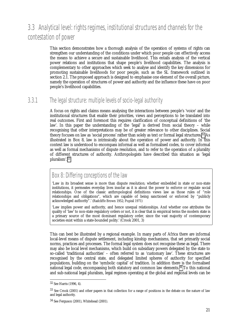# <span id="page-32-0"></span>3.3 Analytical level: rights regimes, institutional structures and channels for the contestation of power

This section demonstrates how a thorough analysis of the operation of systems of rights can strengthen our understanding of the conditions under which poor people can effectively access the means to achieve a secure and sustainable livelihood. This entails analysis of the vertical power relations and institutions that shape people's livelihood capabilities. The analysis is complementary to other approaches which seek to analyse and identify the key dimensions for promoting sustainable livelihoods for poor people, such as the SL framework outlined in section 2.1. The proposed approach is designed to emphasise one element of the overall picture, namely the operation of structures of power and authority and the influence these have on poor people's livelihood capabilities.

## 3.3.1 The legal structure: multiple levels of socio-legal authority

A focus on rights and claims means analysing the interactions between people's 'voice' and the institutional structures that enable their priorities, views and perceptions to be translated into real outcomes. First and foremost this requires clarification of conceptual definitions of 'the law'. In this paper the understanding of the 'legal' is derived from social theory – while recognising that other interpretations may be of greater relevance to other disciplines. Social theory focuses on law as 'social process' rather than solely as text or formal legal structures.32 As illustrated in Box 8, law is intrinsically about the operation of power and authority. In this context law is understood to encompass informal as well as formalised codes, to cover informal as well as formal mechanisms of dispute resolution, and to refer to the operation of a plurality of different structures of authority. Anthropologists have described this situation as 'legal pluralism'.33

# Box 8: Differing conceptions of the law

'Law in its broadest sense is more than dispute resolution; whether embedded in state or non-state institutions, it permeates everyday lives insofar as it is about the power to enforce or regulate social relationships. One of the classic anthropological definitions views law as those rules of "role relationships and obligations", which are capable of being sanctioned or enforced by "publicly acknowledged authority".' (Radcliffe Brown 1952; Popisil 1971)

'Law implies power and authority, and hence unequal relationships. And whether one attributes the quality of 'law' to non-state regulatory orders or not, it is clear that in empirical terms the modern state is a primary source of the most dominant regulatory order, since the vast majority of contemporary societies exist within a state-bounded polity.' (Crook 2001, 3)

This can best be illustrated by a regional example. In many parts of Africa there are informal local-level means of dispute settlement, including kinship mechanisms, that set primarily social norms, practices and processes. The formal legal system does not recognise these as legal. There may also be local level mechanisms, which build on subsidiary powers delegated by the state to so-called 'traditional authorities' – often referred to as 'customary law'. These structures are recognised by the central state, and delegated limited spheres of authority for specified populations, building on the 'symbolic capital' of tradition. In addition there is the formalised national legal code, encompassing both statutory and common law elements.34 To this national and sub-national legal pluralism, legal regimes operating at the global and regional levels can be

l

<sup>32</sup> See Harris (1996, 4).

<sup>&</sup>lt;sup>33</sup> See Crook (2001) and other papers in that collection for a range of positions in the debate on the nature of law and legal authority.

<sup>34</sup> See Ferguson (2001), Whitehead (2001).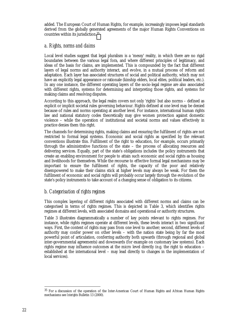added. The European Court of Human Rights, for example, increasingly imposes legal standards derived from the globally generated agreements of the major Human Rights Conventions on countries within its jurisdiction.35

#### *a. Rights, norms and claims*

Local level studies suggest that legal pluralism is a 'messy' reality, in which there are no rigid boundaries between the various legal fora, and where different principles of legitimacy, and ideas of the basis for claims, are implemented. This is compounded by the fact that different layers of legal norms and authority interact, and evolve, in a mutual process of reform and adaptation. Each layer has associated structures of social and political authority, which may not have an explicitly legal appearance or rationale (kinship elders, local elites, political leaders, etc.). In any one instance, the different operating layers of the socio-legal regime are also associated with different rights, systems for determining and interpreting those rights, and systems for making claims and resolving disputes.

According to this approach, the legal realm covers not only 'rights' but also norms – defined as explicit or implicit societal rules governing behaviour. Rights defined at one level may be denied because of rules and norms operating at another level. For instance, international human rights law and national statutory codes theoretically may give women protection against domestic violence – while the operation of institutional and societal norms and values effectively in practice denies them this right.

The channels for determining rights, making claims and ensuring the fulfilment of rights are not restricted to formal legal systems. Economic and social rights as specified by the relevant conventions illustrate this. Fulfilment of the right to education, for example, occurs primarily through the administrative functions of the state – the process of allocating resources and delivering services. Equally, part of the state's obligations includes the policy instruments that create an enabling environment for people to attain such economic and social rights as housing and livelihoods for themselves. While the recourse to effective formal legal mechanisms may be important to ensure the fulfilment of rights, the capacity of the poor and relatively disempowered to make their claims stick at higher levels may always be weak. For them the fulfilment of economic and social rights will probably occur largely through the evolution of the state's policy instruments to take account of a changing sense of obligation to its citizens.

#### *b. Categorisation of rights regimes*

This complex layering of different rights associated with different norms and claims can be categorised in terms of rights regimes. This is depicted in Table 3, which identifies rights regimes at different levels, with associated domains and operational or authority structures.

Table 3 illustrates diagrammatically a number of key points relevant to rights regimes. For instance, while rights regimes operate at different levels, these levels interact in two significant ways. First, the content of rights may pass from one level to another; second, different levels of authority may confer power on other levels – with the nation state being by far the most powerful point of articulation, conferring authority both upwards (through regional and global inter-governmental agreements) and downwards (for example on customary law systems). Each rights regime may influence outcomes at the micro level directly (e.g. the right to education – established at the international level – may lead directly to changes in the implementation of local services).

<sup>&</sup>lt;sup>35</sup> For a discussion of the operation of the Inter-American Court of Human Rights and African Human Rights mechanisms see *Interights* Bulletin 13 (2000).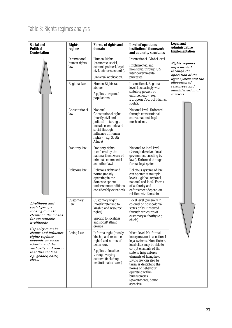# Table 3: Rights regimes analysis

| <b>Social and</b><br><b>Political</b><br><b>Contestation</b>                                                                                                                      | <b>Rights</b><br>regime              | Forms of rights and<br>domain                                                                                                                                                                | Level of operation/<br>institutional framework<br>and authority structures                                                                                                                                                                                                                                                                            | <b>Legal and</b><br><b>Administrative</b><br>Implementation            |  |
|-----------------------------------------------------------------------------------------------------------------------------------------------------------------------------------|--------------------------------------|----------------------------------------------------------------------------------------------------------------------------------------------------------------------------------------------|-------------------------------------------------------------------------------------------------------------------------------------------------------------------------------------------------------------------------------------------------------------------------------------------------------------------------------------------------------|------------------------------------------------------------------------|--|
|                                                                                                                                                                                   | International<br>human rights<br>law | <b>Human Rights</b><br>(economic, social,<br>cultural, political, legal,<br>civil, labour standards).<br>Universal application.                                                              | International, Global level.                                                                                                                                                                                                                                                                                                                          | Rights regimes                                                         |  |
|                                                                                                                                                                                   |                                      |                                                                                                                                                                                              | Implemented and<br>monitored through UN<br>inter-governmental<br>processes.                                                                                                                                                                                                                                                                           | implemented<br>through the<br>operation of the<br>legal system and the |  |
|                                                                                                                                                                                   |                                      |                                                                                                                                                                                              |                                                                                                                                                                                                                                                                                                                                                       |                                                                        |  |
|                                                                                                                                                                                   | Regional law                         | Human Rights (as<br>above).                                                                                                                                                                  | <b>International, Regional</b><br>level. Increasingly with                                                                                                                                                                                                                                                                                            | allocation of<br>resources and                                         |  |
|                                                                                                                                                                                   |                                      | Applies to regional<br>populations.                                                                                                                                                          | statutory powers of<br>enforcement - e.g.<br>European Court of Human<br>Rights.                                                                                                                                                                                                                                                                       | administration of<br>services                                          |  |
|                                                                                                                                                                                   | Constitutional<br>law                | National<br>Constitutional rights<br>(mostly civil and<br>political – starting to<br>include economic and<br>social through<br>influence of human<br>rights - e.g. South<br>Africa)          | National level. Enforced<br>through constitutional<br>courts, national legal<br>mechanisms.                                                                                                                                                                                                                                                           |                                                                        |  |
|                                                                                                                                                                                   | <b>Statutory</b> law                 | Statutory rights<br>(conferred by the<br>national framework of<br>criminal, commercial<br>and other law)                                                                                     | National or local level<br>(through devolved local<br>government enacting by-<br>laws). Enforced through<br>formal legal system                                                                                                                                                                                                                       |                                                                        |  |
|                                                                                                                                                                                   | Religious law                        | Religious rights and<br>norms (mostly<br>operating in the<br>domestic sphere -<br>under some conditions<br>considerably extended)                                                            | Religious systems of law<br>can operate at multiple<br>levels - global, regional,<br>national and local. Forms<br>of authority and<br>enforcement depend on<br>relation with the state.                                                                                                                                                               |                                                                        |  |
| Livelihood and<br>social groups<br>seeking to make<br>claims on the means<br>for sustainable<br>livelihoods.                                                                      | Customary<br>Law                     | <b>Customary Right</b><br>(mostly referring to<br>kinship and resource<br>rights)<br>Specific to localities<br>and social/ethnic                                                             | Local level (generally in<br>colonial or post-colonial<br>states only). Enforced<br>through structures of<br>customary authority (e.g.<br>chiefs).                                                                                                                                                                                                    |                                                                        |  |
| Capacity to make<br>claims and influence<br>rights regimes<br>depends on social<br>identity and the<br>authority and power<br>that this confers-<br>e.g. gender, caste,<br>class. | <b>Living Law</b>                    | groups<br>Informal right (mostly<br>kinship and resource<br>rights) and norms of<br>behaviour.<br>Applies to localities<br>through varying<br>cultures (including<br>institutional cultures) | Micro level. No formal<br>incorporation into national<br>legal systems. Nonetheless,<br>local elites may be able to<br>co-opt elements of the<br>state to help enforce<br>elements of living law.<br>Living law can also be<br>taken as describing the<br>norms of behaviour<br>operating within<br>bureaucracies<br>(governments, donor<br>agencies) |                                                                        |  |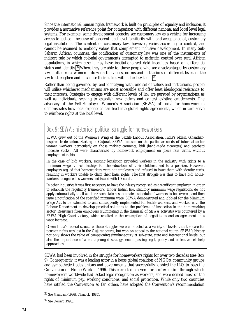Since the international human rights framework is built on principles of equality and inclusion, it provides a normative reference point for comparison with different national and local level legal systems. For example, some development agencies see customary law as a vehicle for increasing access to justice – because of apparent local level familiarity with, and acceptance of, customary legal institutions. The content of customary law, however, varies according to context, and cannot be assumed to embody values that complement inclusive development. In many Sub-Saharan African countries, the codification of customary law was one of the instruments of indirect rule by which colonial governments attempted to maintain control over rural African populations, in which case it may have institutionalised rigid inequities based on differential status and identity.<sup>36</sup> Where they are able to, those people who are disadvantaged by customary law – often rural women – draw on the values, norms and institutions of different levels of the law to strengthen and maximise their claims within local systems.<sup>37</sup>

Rather than being governed by, and identifying with, one set of values and institutions, people will utilise whichever mechanisms are most accessible and offer least ideological resistance to their interests. Strategies to engage with different levels of law are pursued by organisations, as well as individuals, seeking to establish new claims and contest existing entitlements. The advocacy of the Self-Employed Women's Association (SEWA) of India for homeworkers demonstrates how local experience can feed into global rights agreements, which in turn serve to reinforce rights at the local level.

## Box 9: SEWA's historical political struggle for homeworkers

SEWA grew out of the Women's Wing of the Textile Labour Association, India's oldest, Ghandianinspired trade union. Starting in Gujurat, SEWA focused on the particular needs of informal sector women workers, particularly on those making garments, bidi (hand-made cigarettes) and agarbatti (incense sticks). All were characterised by homework employment on piece rate terms, without employment rights.

In the case of bidi workers, existing legislation provided workers in the industry with rights to a minimum wage, to scholarships for the education of their children, and to a pension. However, employers argued that homeworkers were not employees and refused to issue them with identity cards, resulting in workers unable to claim their basic rights. The first struggle was thus to have bidi homeworkers recognised as workers and issued with ID cards.

In other industries it was first necessary to have the *industry* recognised as a significant employer, in order to establish the regulatory framework. Under Indian law, statutory minimum wage regulations do not apply automatically to all workers: each state has to create a schedule of workers to be covered, and then issue a notification of the specified minimum wage. SEWA demonstrated and lobbied for the Minimum Wage Act to be extended to and subsequently implemented for textile workers, and worked with the Labour Department to develop practical solutions to the problems of inspection in the homeworking sector. Resistance from employers (culminating in the dismissal of SEWA activists) was countered by a SEWA High Court victory, which resulted in the resumption of negotiations and an agreement on a wage increase.

Given India's federal structure, these struggles were conducted at a variety of levels: thus the case for pension rights was lost in the Gujurat courts, but won on appeal to the national courts. SEWA's history not only shows the value of campaigning simultaneously at sub-state, state and international levels, but also the importance of a multi-pronged strategy, encompassing legal, policy and collective self-help approaches.

SEWA had been involved in the struggle for homeworkers rights for over two decades (see Box 9). Consequently, it was a leading actor in a loose global coalition of NGOs, community groups and sympathetic trades unions and governments that successfully lobbied the ILO to pass the Convention on Home Work in 1996. This corrected a severe form of exclusion through which homeworkers worldwide had lacked legal recognition as workers, and were denied most of the rights of minimum pay, working conditions, and social protection. While only two countries have ratified the Convention so far, others have adopted the Convention's recommendation

<sup>36</sup> See Mamdani (1996), Chanock (1985).

<sup>37</sup> See Stewart (1996).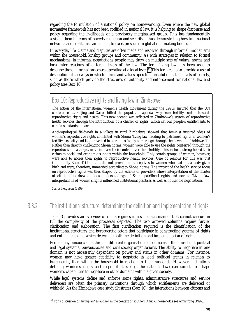regarding the formulation of a national policy on homeworking. Even where the new global normative framework has not been codified in national law, it is helping to shape discourse and policy regarding the livelihoods of a previously marginalised group. This has fundamentally assisted them in terms of poverty reduction and security – thus demonstrating how international networks and coalitions can be built to exert pressure on global rule-making bodies.

In everyday life, claims and disputes are often made and resolved through informal mechanisms within the household, kinship groups and community. As with strategies in relation to formal mechanisms, in informal negotiations people may draw on multiple sets of values, norms and local interpretations of different levels of the law. The term 'living law' has been used to describe these informal processes operating at a local level.38 This term can also provide a useful description of the ways in which norms and values operate in institutions at all levels of society, such as those which provide the structures of authority and enforcement for national law and policy (see Box 10).

#### Box 10: Reproductive rights and living law in Zimbabwe

The action of the international women's health movement during the 1990s ensured that the UN conferences at Beijing and Cairo shifted the population agenda away from fertility control towards reproductive rights and health. This new agenda was reflected in Zimbabwe's system of reproductive health services through the introduction of a charter of rights, which set out people's entitlements to certain standards of care.

Anthropological fieldwork in a village in rural Zimbabwe showed that feminist inspired ideas of women's reproductive rights conflicted with Shona 'living law' relating to patrilineal rights to women's fertility, sexuality and labour, vested in a groom's family at marriage through the payment of bridewealth. Rather than directly challenging Shona norms, women were able to use the rights conferred through the reproductive health system to increase their control over their fertility. This in turn, strengthened their claims to social and economic support within the household. Only certain groups of women, however, were able to access their rights to reproductive health services. One of reasons for this was that Community Based Distributors did not provide contraceptives to women who had not already given birth and were, therefore, unmarried according to Shona norms. The impact of the health service focus on reproductive rights was thus shaped by the actions of providers whose interpretation of the charter of client rights drew on local understandings of Shona patrilineal rights and norms. 'Living law' interpretations of women's rights influenced institutional practises as well as household negotiations.

*Source:* Ferguson (1999)

-

### 3.3.2 The institutional structure: determining the definition and implementation of rights

Table 3 provides an overview of rights regimes in a schematic manner that cannot capture in full the complexity of the processes depicted. The two arrowed columns require further clarification and elaboration. The first clarification required is the identification of the institutional structures and bureaucratic actors that participate in constructing systems of rights and entitlements and which determine both the definition and implementation of rights.

People may pursue claims through different organisations or domains – the household, political and legal systems, bureaucracies and civil society organisations. The ability to negotiate in one domain is not necessarily dependent on power and status in other domains. For instance, women may have greater capability to negotiate in local political arenas in relation to bureaucrats, than within the household in relation to their husbands. However, institutions defining women's rights and responsibilities (e.g. the national law) can sometimes shape women's capabilities to negotiate in other domains within a given society.

While legal systems define and enforce some rights, administrative structures and service deliverers are often the primary institutions through which entitlements are delivered or withheld. As the Zimbabwe case study illustrates (Box 10), the interactions between citizens and

<sup>38</sup> For a discussion of 'living law' as applied in the context of southern African households see Armstrong (1997).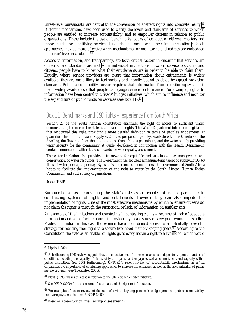'street-level bureaucrats' are central to the conversion of abstract rights into concrete reality.39 Different mechanisms have been used to clarify the levels and standards of services to which people are entitled, to increase accountability, and to empower citizens in relation to public organisations. These include the use of benchmarks, codes of conduct or citizens' charters and report cards for identifying service standards and monitoring their implementation.<sup>40</sup> Such approaches may be more effective when mechanisms for monitoring and redress are embedded in 'higher' level institutions.41

Access to information, and transparency, are both critical factors in ensuring that services are delivered and standards are met.<sup>42</sup> In individual interactions between service providers and citizens, people have to know what their entitlements are in order to be able to claim them. Equally, where service providers are aware that information about entitlements is widely available, they are more likely to feel socially and morally bound to abide by agreed provision standards. Public accountability further requires that information from monitoring systems is made widely available so that people can gauge service performance. For example, rights to information have been central to citizens' budget initiatives, which aim to influence and monitor the expenditure of public funds on services (see Box 11).43

### Box 11: Benchmarks and ESC rights – experience from South Africa

Section 27 of the South African constitution enshrines the right of access to sufficient water, demonstrating the role of the state as an enabler of rights. The Water Department introduced legislation that recognised this right, providing a more detailed definition in terms of people's entitlements. It quantified the minimum water supply at 25 litres per person per day, available within 200 meters of the dwelling, the flow rate from the outlet not less than 10 litres per minute, and the water supply providing water security for the community. A guide, developed in conjunction with the Health Department, contains minimum health-related standards for water quality assessment.

The water legislation also provides a framework for equitable and sustainable use, management and conservation of water resources. The Department has set itself a medium-term target of supplying 50–60 litres of water per capita per day. By establishing concrete benchmarks, the government of South Africa hopes to facilitate the implementation of the right to water by the South African Human Rights Commission and civil society organisations.

*Source:* IHRIP

Bureaucratic actors, representing the state's role as an enabler of rights, participate in constructing systems of rights and entitlements. However they can also impede the implementation of rights. One of the most effective mechanisms by which to ensure citizens do not claim the rights is through the restriction, or lack, of information on entitlements.

An example of the limitations and constraints in contesting claims – because of lack of adequate information and voice for the poor – is provided by a case study of very poor women in Andhra Pradesh in India. In this case the women have been denied access to a potentially powerful strategy for realising their right to a secure livelihood, namely keeping goats.44 According to the Constitution the state as an enabler of rights gives every Indian a right to a livelihood, which would

<sup>39</sup> Lipsky (1980).

<sup>&</sup>lt;sup>40</sup> A forthcoming IDS review suggests that the effectiveness of these mechanisms is dependent upon a number of conditions including the capacity of civil society to organise and engage as well as commitment and capacity within public institutions (see IDS forthcoming). UNRISD's recent review of accountability mechanisms in Africa emphasises the importance of combining approaches to increase the efficiency as well as the accountability of public service provision (see Therkildsen 2001).

<sup>41</sup> Plant (1998) makes this case in relation to the UK's citizen charter initiative.

<sup>42</sup> See DFID (2000) for a discussion of issues around the right to information.

 $43$  For examples of recent reviews of the issue of civil society engagement in budget process – public accountability, monitoring systems etc. – see UNDP (2000).

<sup>44</sup> Based on a case study by Priya Deshingkar (see annex 4).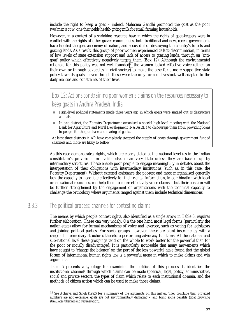include the right to keep a goat – indeed, Mahatma Gandhi promoted the goat as the poor (wo)man's cow, one that yields health-giving milk for small farming households.

However, in a context of a shrinking resource base in which the rights of goat-keepers were in conflict with the rights of other grazer communities, both traditional and new, recent governments have labelled the goat an enemy of nature, and accused it of destroying the country's forests and grazing lands. As a result, this group of poor women experienced *de facto* discrimination, in terms of low levels of state extension support and lack of access to grazing lands, through an 'antigoat' policy which effectively negatively targets them (Box 12). Although the environmental rationale for this policy was not well founded<sup>45</sup> the women lacked effective voice (either on their own or through advocates in civil society) to make the case for a more supportive state policy towards goats – even though these were the only form of livestock well adapted to the daily realities and constraints of their lives.

Box 12: Actions constraining poor women's claims on the resources necessary to keep goats in Andhra Pradesh, India

- ! High-level political statements made three years ago in which goats were singled out as destructive animals
- ! In one district, the Forestry Department organised a special high-level meeting with the National Bank for Agriculture and Rural Development (NABARD) to discourage them from providing loans to people for the purchase and rearing of goats.

At least three districts in AP have completely stopped the supply of goats through government funded channels and more are likely to follow.

As this case demonstrates, rights, which are clearly stated at the national level (as in the Indian constitution's provisions on livelihoods), mean very little unless they are backed up by intermediary structures. These enable poor people to engage meaningfully in debates about the interpretation of their obligations with intermediary institutions (such as, in this case, the Forestry Department). Without external assistance the poorest and most marginalised generally lack the capacity to negotiate effectively for their rights. Information, in combination with local organisational resources, can help them to more effectively voice claims – but their position will be further strengthened by the engagement of organisations with the technical capacity to challenge the orthodoxy where arguments ranged against them include technical dimensions.

### 3.3.3 The political process: channels for contesting claims

-

The means by which people contest rights, also identified as a single arrow in Table 3, requires further elaboration. These can vary widely. On the one hand most legal forms (particularly the nation-state) allow for formal mechanisms of voice and leverage, such as voting for legislators and joining political parties. For social groups, however, these are blunt instruments, with a range of intermediary structures therefore performing advocacy functions. At the national and sub-national level these groupings tend on the whole to work better for the powerful than for the poor or socially disadvantaged. It is particularly noticeable that many movements which have sought to 'change the balance' on the part of the less powerful have found that the global forum of international human rights law is a powerful arena in which to make claims and win arguments.

Table 5 presents a typology for examining the politics of this process. It identifies the institutional channels through which claims can be made (political, legal, policy, administrative, social and private sector), the types of claim which relate to each institutional domain, and the methods of citizen action which can be used to make those claims.

<sup>45</sup> See Acharya and Singh (1992) for a summary of the arguments on this matter. They conclude that, provided numbers are not excessive, goats are not environmentally damaging – and bring some benefits (goat browsing stimulates tillering and regeneration).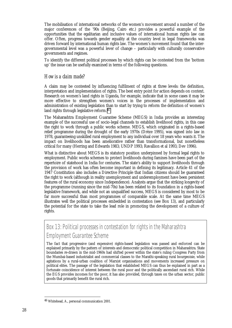The mobilisation of international networks of the women's movement around a number of the major conferences of the '90s (Beijing, Cairo etc.) provides a powerful example of the opportunities that the egalitarian and inclusive values of international human rights law can offer. Often, progress towards gender equality at the country level in legal frameworks was driven forward by international human rights law. The women's movement found that the intergovernmental level was a powerful lever of change – particularly with culturally conservative governments and regimes.

To identify the different political processes by which rights can be contested from the 'bottom up' the issue can be usefully examined in terms of the following questions.

#### *How is a claim made?*

A claim may be contested by influencing fulfilment of rights at three levels: the definition, interpretation and implementation of rights. The best entry point for action depends on context. Research on women's land rights in Uganda, for example, indicate that in some cases it may be more effective to strengthen women's voices in the processes of implementation and administration of existing legislation than to start by trying to reform the definition of women's land rights through legislative reform.<sup>46</sup>

The Maharashtra Employment Guarantee Scheme (MEGS) in India provides an interesting example of the successful use of socio-legal channels to establish livelihood rights, in this case the right to work through a public works scheme. MEGS, which originated in a rights-based relief programme during the drought of the early 1970s (Drèze 1995), was signed into law in 1978, guaranteeing unskilled rural employment to any individual over 18 years who wants it. The impact on livelihoods has been ameliorative rather than transformational, but nonetheless critical for many (Herring and Edwards 1983; UNDP 1993; Ravallion et al 1993; Dev 1996).

What is distinctive about MEGS is its statutory position underpinned by formal legal rights to employment. Public works schemes to protect livelihoods during famines have been part of the repertoire of statehood in India for centuries. The state's ability to support livelihoods through the provision of work has often become important in defining its legitimacy. Article 41 of the 1947 Constitution also includes a Directive Principle that Indian citizens should be guaranteed the right to work (although in reality unemployment and underemployment have been persistent features of the rural economy since Independence). Analysts argue that the striking longevity of the programme (running since the mid-70s) has been related to its foundation in a rights-based legislative framework, and while not an unqualified success, MEGS is considered by most to be far more successful than most programmes of comparable scale. At the same time MEGS illustrates well the political processes embedded in contestation (see Box 13), and particularly the potential for the state to take the lead role in promoting the development of a culture of rights.

### Box 13: Political processes in contestation for rights in the Maharashtra Employment Guarantee Scheme

The fact that progressive (and expensive) rights-based legislation was passed and enforced can be explained primarily by the pattern of interests and democratic political competition in Maharashtra. State boundaries re-drawn in the mid-1960s had shifted power within the state's ruling Congress Party from the Mumbai-based industrialist and commercial classes to the Marathi-speaking rural bourgeoisie, while agitations by a rural-urban coalition of Marxist organisations and movements increased pressure on political elites. The passage of the legislation that established MEGS can thus be explained in part as a fortunate coincidence of interest between the rural poor and the politically ascendant rural rich. While the EGS provides incomes for the poor, it has also provided, through taxes on the urban sector, public goods that primarily benefit the rural rich.

<sup>46</sup> Whitehead, A., personal communication 2001.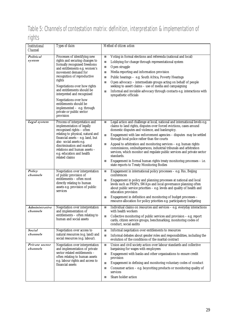### Table 5: Channels of contestation matrix: definition, interpretation & implementation of rights

| <i>Institutional</i><br><b>Channel</b> | Types of claim                                                                                                                                                                                                                                                                                                                                                                                                        | Method of citizen action                                                                                                                                                                                                                                                                                                                                                                                                                                                                                                                                                                                                                                                                                            |
|----------------------------------------|-----------------------------------------------------------------------------------------------------------------------------------------------------------------------------------------------------------------------------------------------------------------------------------------------------------------------------------------------------------------------------------------------------------------------|---------------------------------------------------------------------------------------------------------------------------------------------------------------------------------------------------------------------------------------------------------------------------------------------------------------------------------------------------------------------------------------------------------------------------------------------------------------------------------------------------------------------------------------------------------------------------------------------------------------------------------------------------------------------------------------------------------------------|
| Political<br>system                    | Processes of identifying new<br>rights and securing changes to<br>formally recognised freedoms<br>and entitlements e.g. women's<br>movement demand for<br>recognition of reproductive<br>rights<br>Negotiations over how rights<br>and entitlements should be<br>interpreted and recognised<br>Negotiations over how<br>entitlements should be<br>implemented - e.g. through<br>private or public sector<br>provision | Voting in formal elections and referenda (national and local)<br>$\mathcal{L}_{\mathcal{A}}$<br>Lobbying for change through representational system<br>H.<br>Open struggle<br>$\Box$<br>Media reporting and information provision<br>H.<br>Public hearings - e.g. South Africa, Poverty Hearings<br>H.<br>Open advocacy – intermediate groups acting on behalf of people<br>seeking to assert claims - use of media and campaigning<br>Informal and invisible advocacy through contacts e.g. interactions with<br>H.<br>sympathetic officials                                                                                                                                                                       |
| Legal system                           | Process of interpretation and<br>implementation of legally<br>recognised rights - often<br>relating to physical, natural and<br>financial assets - e.g. land, but<br>also social assets e.g.<br>discrimination and marital<br>relations and human assets -<br>e.g. education and health<br>related claims                                                                                                             | Legal action and challenge at local, national and international levels e.g.<br>$\Box$<br>claims to land rights, disputes over forced evictions, cases around<br>domestic disputes and violence, and bankruptcy.<br>Engagement with law enforcement agencies - disputes may be settled<br>$\Box$<br>through local police rather than the courts<br>Appeal to arbitration and monitoring services $-$ e.g. human rights<br>$\Box$<br>commissions, ombudspersons, industrial tribunals and arbitration<br>services, which monitor and regulate public services and private sector<br>standards.<br>Engagement in formal human rights treaty monitoring processes $-$ i.e.<br>state reports to Treaty Monitoring Bodies |
| Policy<br>channels                     | Negotiation over interpretation<br>of public provision of<br>entitlements - often most<br>directly relating to human<br>assets e.g. provision of public<br>services                                                                                                                                                                                                                                                   | Engagement in international policy processes - e.g. Rio, Beijing<br>$\mathcal{A}$<br>conferences<br>Engagement in policy and planning processes at national and local<br>$\Box$<br>levels such as PRSPs, SWAps and local governance planning often<br>about public service priorities - e.g. levels and quality of health and<br>education provision<br>Engagement in definition and monitoring of budget processes -<br>$\mathcal{L}_{\mathcal{A}}$<br>resource allocation for policy priorities e.g. participatory budgeting                                                                                                                                                                                      |
| Administrative<br>channels             | Negotiation over interpretation<br>and implementation of<br>entitlements - often relating to<br>human and social assets                                                                                                                                                                                                                                                                                               | Individual claims on resources and services - e.g. everyday interactions<br>a.<br>with health workers<br>Collective monitoring of public services and provision $-$ e.g. report<br>m.<br>cards, citizen service groups, benchmarking, monitoring codes of<br>conduct, social audits                                                                                                                                                                                                                                                                                                                                                                                                                                 |
| Social<br>channels                     | Negotiation over access to<br>natural resources (e.g. land) and<br>social resources (e.g. labour).                                                                                                                                                                                                                                                                                                                    | Informal negotiation over entitlements to resources<br>×.<br>Informal debates about gender roles and responsibilities, including the<br>$\Box$<br>evolution of the conditions of the marital contract                                                                                                                                                                                                                                                                                                                                                                                                                                                                                                               |
| Private sector<br>channels             | Negotiation over interpretation<br>and implementation of private<br>sector related entitlements -<br>often relating to human assets<br>e.g. labour rights and access to<br>financial assets                                                                                                                                                                                                                           | Union and civil society action over labour standards and collective<br>×.<br>bargaining for wages with employees<br>Engagement with banks and other organisations to ensure credit<br>$\Box$<br>provision<br>Engagement in defining and monitoring voluntary codes of conduct<br>$\Box$<br>Consumer action - e.g. boycotting products or monitoring quality of<br>services<br>Share holder action                                                                                                                                                                                                                                                                                                                   |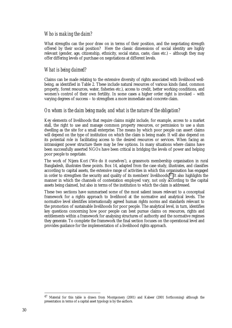#### *Who is making the claim?*

What strengths can the poor draw on in terms of their position, and the negotiating strength offered by their social position? Here the classic dimensions of social identity are highly relevant (gender, age, citizenship, ethnicity, social status, caste, class etc.) – although they may offer differing levels of purchase on negotiations at different levels.

#### *What is being claimed?*

Claims can be made relating to the extensive diversity of rights associated with livelihood wellbeing, as identified in Table 2. These include natural resources of various kinds (land, common property, forest resources, water, fisheries etc.), access to credit, better working conditions, and women's control of their own fertility. In some cases a higher order right is invoked – with varying degrees of success – to strengthen a more immediate and concrete claim.

#### *On whom is the claim being made, and what is the nature of the obligation?*

Key elements of livelihoods that require claims might include, for example, access to a market stall, the right to use and manage common property resources, or permission to use a slum dwelling as the site for a small enterprise. The means by which poor people can assert claims will depend on the type of institution on which the claim is being made. It will also depend on its potential role in facilitating access to the desired resources or services. When facing an intransigent power structure there may be few options. In many situations where claims have been successfully asserted NGOs have been critical in bridging the levels of power and helping poor people to negotiate.

The work of Nijera Kori ('We do it ourselves'), a grassroots membership organisation in rural Bangladesh, illustrates these points. Box 14, adapted from the case study, illustrates, and classifies according to capital assets, the extensive range of activities in which this organisation has engaged in order to strengthen the security and quality of its members' livelihoods.47 It also highlights the manner in which the channels of contestation employed vary, not only according to the capital assets being claimed, but also in terms of the institution to which the claim is addressed.

These two sections have summarised some of the most salient issues relevant to a conceptual framework for a rights approach to livelihood at the normative and analytical levels. The normative level identifies internationally agreed human rights norms and standards relevant to the promotion of sustainable livelihoods for poor people. The analytical level, in turn, identifies key questions concerning how poor people can best pursue claims on resources, rights and entitlements within a framework for analysing structures of authority and the normative regimes they generate. To complete the framework the final section focuses on the operational level and provides guidance for the implementation of a livelihood rights approach.

<sup>47</sup> Material for this table is drawn from Montgomery (2001) and Kabeer (2001 forthcoming) although the presentation in terms of a capital asset typology is by the authors.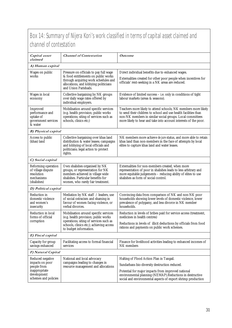### Box 14: Summary of Nijera Kori's work classified in terms of capital asset claimed and channel of contestation

| Capital asset<br>claimed                                                                                                 | <b>Channel of Contestation</b>                                                                                                                                                   | <i>Outcome</i>                                                                                                                                                                                                                                                     |  |  |
|--------------------------------------------------------------------------------------------------------------------------|----------------------------------------------------------------------------------------------------------------------------------------------------------------------------------|--------------------------------------------------------------------------------------------------------------------------------------------------------------------------------------------------------------------------------------------------------------------|--|--|
| A) Human capital                                                                                                         |                                                                                                                                                                                  |                                                                                                                                                                                                                                                                    |  |  |
| Wages on public<br>works                                                                                                 | Pressure on officials to pay full wage<br>& food entitlements on public works                                                                                                    | Direct individual benefits due to enhanced wages.                                                                                                                                                                                                                  |  |  |
| through acquiring work schedules and<br>allocations, and lobbying politicians<br>and Union Parishads.                    |                                                                                                                                                                                  | Externalities created for other poor people when incentives for<br>officials' rent-seeking in a NK areas are reduced.                                                                                                                                              |  |  |
| Wages in local<br>economy                                                                                                | Collective bargaining by NK groups<br>over daily wage rates offered by<br>individual employers.                                                                                  | Evidence of limited success $-$ i.e. only in conditions of tight<br>labour markets (areas & seasons).                                                                                                                                                              |  |  |
| <b>Improved</b><br>performance and<br>uptake of<br>government services<br>& water                                        | Mobilisation around specific services<br>(e.g. health provision; public works<br>operations; siting of services such as<br>schools, clinics etc;)                                | Teachers more likely to attend schools; NK members more likely<br>to send their children to school and use health facilities than<br>non-NK members in similar social groups. Local committees<br>more likely to hear and take into account interests of the poor. |  |  |
| <b>B</b> ) Physical capital                                                                                              |                                                                                                                                                                                  |                                                                                                                                                                                                                                                                    |  |  |
| Access to public<br>(khas) land                                                                                          | Collective bargaining over khas land<br>distribution & water leases; campaigns<br>and lobbying of local officials and<br>politicians; legal action to protect<br>rights.         | NK members more achieve <i>de jure</i> status, and more able to retain<br>khas land than non-members in the face of attempts by local<br>elites to capture khas land and water leases.                                                                             |  |  |
| C) Social capital                                                                                                        |                                                                                                                                                                                  |                                                                                                                                                                                                                                                                    |  |  |
| Reforming operation<br>of village dispute<br>resolution<br>mechanisms<br>(shalishes)                                     | Own shalishes organised by NK<br>groups, or representation for NK<br>members achieved in village wide<br>shalishes. Particular benefits for<br>women, who rarely fair treatment. | Externalities for non-members created, when more<br>representation of poor in shalishes leads to less arbitrary and<br>more equitable judgements - reducing ability of elites to use<br>shalishes as form of social control.                                       |  |  |
| D) Political capital                                                                                                     |                                                                                                                                                                                  |                                                                                                                                                                                                                                                                    |  |  |
| <b>Reduction</b> in<br>domestic violence<br>and women's<br>insecurity                                                    | Mediation by NK staff / leaders, use<br>of social ostracism and shaming in<br>favour of women facing violence, or<br>verbal divorces.                                            | Convincing data from comparison of NK and non-NK poor<br>households showing lower levels of domestic violence, lower<br>prevalence of polygamy, and less divorce in NK member<br>households.                                                                       |  |  |
| Reduction in local<br>Mobilisation around specific services<br>forms of official<br>(e.g. health provision; public works |                                                                                                                                                                                  | Reduction in levels of bribes paid for service access (treatment,<br>medicines in health centres)                                                                                                                                                                  |  |  |
| corruption                                                                                                               | operations; siting of services such as<br>schools, clinics etc;); achieving access<br>to budget information.                                                                     | Reductions in levels of illicit deductions by officials from food<br>rations and payments on public work schemes.                                                                                                                                                  |  |  |
| E) Fiscal capital                                                                                                        |                                                                                                                                                                                  |                                                                                                                                                                                                                                                                    |  |  |
| Capacity for group<br>savings enhanced                                                                                   | Facilitating access to formal financial<br>services                                                                                                                              | Finance for livelihood activities leading to enhanced incomes of<br>NK members                                                                                                                                                                                     |  |  |
| F) Natural Capital                                                                                                       |                                                                                                                                                                                  |                                                                                                                                                                                                                                                                    |  |  |
| Reduced negative                                                                                                         | National and local advocacy                                                                                                                                                      | Halting of Flood Action Plan in Tangail.                                                                                                                                                                                                                           |  |  |
| impacts on poor<br>people from                                                                                           | campaigns leading to changes in<br>resource management and allocations                                                                                                           | Sundarbans bio-diversity destruction reduced.                                                                                                                                                                                                                      |  |  |
| inappropriate<br>development<br>schemes and policies                                                                     |                                                                                                                                                                                  | Potential for major impacts from improved national<br>environmental planning (NEMAP).Reductions in destructive<br>social and environmental aspects of export shrimp production                                                                                     |  |  |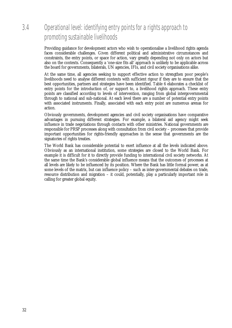### 3.4 Operational level: identifying entry points for a rights approach to promoting sustainable livelihoods

Providing guidance for development actors who wish to operationalise a livelihood rights agenda faces considerable challenges. Given different political and administrative circumstances and constraints, the entry points, or space for action, vary greatly depending not only on actors but also on the contexts. Consequently a 'one-size fits all' approach is unlikely to be applicable across the board for governments, bilaterals, UN agencies, IFIs, and civil society organisations alike.

At the same time, all agencies seeking to support effective action to strengthen poor people's livelihoods need to analyse different contexts with sufficient rigour if they are to ensure that the best opportunities, partners and strategies have been identified. Table 6 elaborates a checklist of entry points for the introduction of, or support to, a livelihood rights approach. These entry points are classified according to levels of intervention, ranging from global intergovernmental through to national and sub-national. At each level there are a number of potential entry points with associated instruments. Finally, associated with each entry point are numerous arenas for action.

Obviously governments, development agencies and civil society organisations have comparative advantages in pursuing different strategies. For example, a bilateral aid agency might seek influence in trade negotiations through contacts with other ministries. National governments are responsible for PRSP processes along with consultation from civil society – processes that provide important opportunities for rights-friendly approaches in the sense that governments are the signatories of rights treaties.

The World Bank has considerable potential to exert influence at all the levels indicated above. Obviously as an international institution, some strategies are closed to the World Bank. For example it is difficult for it to directly provide funding to international civil society networks. At the same time the Bank's considerable global influence means that the outcomes of processes at all levels are likely to be influenced by its position. Where the Bank has little formal power, as at some levels of the matrix, but can influence policy – such as inter-governmental debates on trade, resource distribution and migration – it could, potentially, play a particularly important role in calling for greater global equity.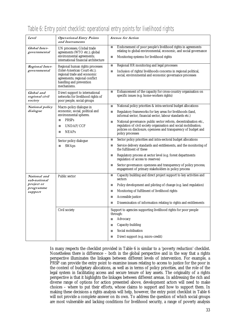| Level                                                              | <b>Operational Entry Points</b><br>and Instruments                                                                                                                                     | <b>Arenas for Action</b>                                                                                                                                                                                                                                                                                                                                                                                                                                                                                                                                                                                            |  |
|--------------------------------------------------------------------|----------------------------------------------------------------------------------------------------------------------------------------------------------------------------------------|---------------------------------------------------------------------------------------------------------------------------------------------------------------------------------------------------------------------------------------------------------------------------------------------------------------------------------------------------------------------------------------------------------------------------------------------------------------------------------------------------------------------------------------------------------------------------------------------------------------------|--|
| Global Inter-<br>governmental                                      | UN processes; Global trade<br>agreements (WTO etc.); global<br>environmental agreements;<br>international financial architecture                                                       | Endorsement of poor people's livelihood rights in agreements<br>L.<br>relating to global environmental, economic, and social governance<br>Monitoring systems for livelihood rights                                                                                                                                                                                                                                                                                                                                                                                                                                 |  |
| <b>Regional Inter-</b><br>governmental                             | Regional human rights processes<br>(Inter-American Court etc.);<br>regional trade and economic<br>agreements; regional conflict<br>handling and prevention<br>mechanisms.              | Regional HR monitoring and legal processes<br>L.<br>Inclusion of rights/livelihoods concerns in regional political,<br>u.<br>social, environmental and economic governance processes                                                                                                                                                                                                                                                                                                                                                                                                                                |  |
| Global and<br>regional civil<br>society                            | Direct support to international<br>networks for livelihood rights of<br>poor people, social groups                                                                                     | Enhancement of the capacity for cross-country organisation on<br>u.<br>specific issues (e.g. home-workers rights)                                                                                                                                                                                                                                                                                                                                                                                                                                                                                                   |  |
| National policy<br>dialogue                                        | Macro-policy dialogue in<br>economic, social, political and<br>environmental spheres.<br><b>PRSPs</b><br>п<br>UNDAF/CCF<br>п<br><b>NEAPs</b><br>Sector policy dialogue<br><b>SWAps</b> | National policy priorities & intra-sectoral budget allocations<br>×<br>Regulatory frameworks for key areas for livelihoods (land,<br>u.<br>informal sector, financial sector, labour standards etc.)<br>National governance: public sector reform, decentralisation etc.,<br>×<br>regulation of civil society organisation and social mobilisation;<br>policies on disclosure, openness and transparency of budget and<br>policy processes<br>Sector policy priorities and intra-sectoral budget allocations<br>H.<br>Service delivery standards and entitlements, and the monitoring of<br>the fulfilment of these |  |
|                                                                    |                                                                                                                                                                                        | Regulatory process at sector level (e.g. forest departments<br>П<br>regulation of access to reserves)<br>Sector governance: openness and transparency of policy process;<br>п<br>engagement of primary stakeholders in policy process                                                                                                                                                                                                                                                                                                                                                                               |  |
| National and<br>sub-national<br>project or<br>programme<br>support | Public sector                                                                                                                                                                          | Capacity building and direct project support to key activities and<br>u.<br>sectors<br>Policy development and piloting of change (e.g. land regulation)<br>u.<br>Monitoring of fulfilment of livelihood rights<br>п<br>Accessible justice<br>п<br>Dissemination of information relating to rights and entitlements                                                                                                                                                                                                                                                                                                  |  |
|                                                                    | Civil society                                                                                                                                                                          | Support to agencies supporting livelihood rights for poor people<br>through:<br>Advocacy<br>L.<br>Capacity-building<br>ш<br>Social mobilisation<br>п<br>Direct support (e.g. micro-credit)<br>$\Box$                                                                                                                                                                                                                                                                                                                                                                                                                |  |

### Table 6: Entry point checklist: operational entry points for livelihood rights

In many respects the checklist provided in Table 6 is similar to a 'poverty reduction' checklist. Nonetheless there is difference – both in the global perspective and in the way that a rights perspective illuminates the linkages between different levels of intervention. For example, a PRSP can provide the entry point to examine issues relating to access to justice for the poor in the context of budgetary allocations, as well as in terms of policy priorities, and the role of the legal system in facilitating access and secure tenure of key assets. The originality of a rights perspective is that it highlights the linkages between different arenas. In addressing the rich and diverse range of options for action presented above, development actors will need to make choices – where to put their efforts, whose claims to support and how to support them. In making these decisions a rights analysis will help, however, the entry point checklist in Table 6 will not provide a complete answer on its own. To address the question of which social groups are most vulnerable and lacking conditions for livelihood security, a range of poverty analysis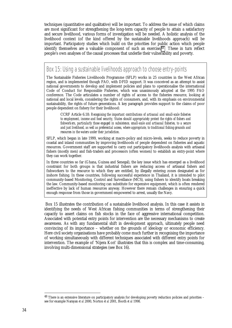techniques (quantitative and qualitative) will be important. To address the issue of which claims are most significant for strengthening the long-term capacity of people to attain a satisfactory and secure livelihood, various forms of investigation will be needed. A holistic analysis of the livelihood context (of the kind offered by the sustainable livelihoods approach) will be important. Participatory studies which build on the priorities for public action which people identify themselves are a valuable component of such an exercise.<sup>48</sup> These in turn reflect people's own analyses of the causal processes that underlie their vulnerability and poverty.

Box 15: Using a sustainable livelihoods approach to choose entry-points

The Sustainable Fisheries Livelihoods Programme (SFLP) works in 25 countries in the West African region, and is implemented though FAO, with DFID support. It was conceived as an attempt to assist national governments to develop and implement policies and plans to operationalise the international Code of Conduct for Responsible Fisheries, which was unanimously adopted at the 1995 FAO conference. The Code articulates a number of rights of access to the fisheries resource, looking at national and local levels, considering the rights of consumers, and, with its emphasis on environmental sustainability, the rights of future generations. A key paragraph provides support to the claims of poor people dependent on fishery for their livelihood:

CCRF Article 6.18: *Recognising the important contributions of artisanal and small-scale fisheries to employment, income and food security, States should appropriately protect the rights of fishers and fishworkers, particularly those engaged in subsistence, small-scale and artisanal fisheries, to a secure and just livelihood, as well as preferential access, where appropriate, to traditional fishing grounds and resources in the waters under their jurisdiction.*

SFLP, which began in late 1999, working at macro-policy and micro-levels, seeks to reduce poverty in coastal and inland communities by improving livelihoods of people dependent on fisheries and aquatic resources. Government staff are supported to carry out participatory livelihoods analysis with artisanal fishers (mostly men) and fish-traders and processors (often women) to establish an entry-point where they can work together.

In three countries so far (Ghana, Guinea and Senegal), the key issue which has emerged as a livelihood constraint for both groups is that industrial fishers are reducing access of artisanal fishers and fishworkers to the resource to which they are entitled, by illegally entering zones designated as for inshore fishing. In these countries, following successful experience in Thailand, it is intended to pilot community-based Monitoring, Control and Surveillance (MCS), using fishers to identify boats breaking the law. Community-based monitoring can substitute for expensive equipment, which is often rendered ineffective by lack of human resources anyway. However there remain challenges in ensuring a quick enough response from those in government empowered to arrest, usually the Navy.

 Box 15 illustrates the contribution of a sustainable livelihood analysis. In this case it assists in identifying the needs of West African fishing communities in terms of strengthening their capacity to assert claims on fish stocks in the face of aggressive international competition. Associated with potential entry points for intervention are the necessary mechanisms to create awareness. As with any fundamental shift in development approach, ultimately people need convincing of its importance – whether on the grounds of ideology or economic efficiency. Here civil society organisations have probably come much further in recognising the importance of working simultaneously with different techniques associated with different entry points for intervention. The example of 'Nijera Kori' illustrates that this is complex and time-consuming, involving multi-dimensional strategies (see Box 16).

<sup>48</sup> There is an extensive literature on participatory analysis for developing poverty reduction policies and priorities – see for example Narayan *et al* 2000, Norton *et al* 2001, Booth *et al* 1998.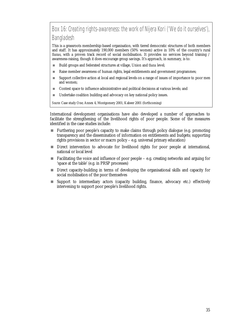Box 16: Creating rights-awareness: the work of Nijera Kori ('We do it ourselves'), Bangladesh

This is a grassroots membership-based organisation, with tiered democratic structures of both members and staff. It has approximately 190,000 members (50% women) active in 10% of the country's rural *thanas*, with a proven track record of social mobilisation. It provides no services beyond training / awareness-raising, though it does encourage group savings. It's approach, in summary, is to:

- ! Build groups and federated structures at village, Union and *thana* level;
- ! Raise member awareness of human rights, legal entitlements and government programmes;
- ! Support collective action at local and regional levels on a range of issues of importance to poor men and women;
- Contest space to influence administrative and political decisions at various levels; and
- **If Undertake coalition building and advocacy on key national policy issues.**

*Source:* Case study One; Annex 4; Montgomery 2001; Kabeer 2001 (forthcoming)

International development organisations have also developed a number of approaches to facilitate the strengthening of the livelihood rights of poor people. Some of the measures identified in the case studies include:

- ! Furthering poor people's capacity to make claims through policy dialogue (e.g. promoting transparency and the dissemination of information on entitlements and budgets; supporting rights provisions in sector or macro policy – e.g. universal primary education)
- **If** Direct intervention to advocate for livelihood rights for poor people at international, national or local level
- $\blacksquare$  Facilitating the voice and influence of poor people e.g. creating networks and arguing for 'space at the table' (e.g. in PRSP processes)
- ! Direct capacity-building in terms of developing the organisational skills and capacity for social mobilisation of the poor themselves
- ! Support to intermediary actors (capacity building, finance, advocacy etc.) effectively intervening to support poor people's livelihood rights.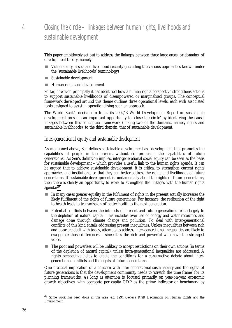### 4 Closing the circle – linkages between human rights, livelihoods and sustainable development

This paper ambitiously set out to address the linkages between three large areas, or domains, of development theory, namely:

- ! Vulnerability, assets and livelihood security (including the various approaches known under the 'sustainable livelihoods' terminology)
- **Example 3** Sustainable development
- **If Human rights and development.**

So far, however, principally it has identified how a human rights perspective strengthens actions to support sustainable livelihoods of disempowered or marginalised groups. The conceptual framework developed around this theme outlines three operational levels, each with associated tools designed to assist in operationalising such an approach.

The World Bank's decision to focus its 2002/3 World Development Report on sustainable development presents an important opportunity to 'close the circle' by identifying the causal linkages between this conceptual framework (linking two of the domains, namely rights and sustainable livelihoods) to the third domain, that of sustainable development.

#### *Inter-generational equity and sustainable development*

As mentioned above, Sen defines sustainable development as 'development that promotes the capabilities of people in the present without compromising the capabilities of future generations'. As Sen's definition implies, inter-generational social equity can be seen as the basis for sustainable development – which provides a useful link to the human rights agenda. It can be argued that to achieve sustainable development, it is critical to strengthen current rights approaches and institutions, so that they can better address the rights and livelihoods of future generations. If sustainable development is fundamentally about the rights of future generations, then there is clearly an opportunity to work to strengthen the linkages with the human rights agenda:49

- $\blacksquare$  In many cases greater equality in the fulfilment of rights in the present actually increases the likely fulfilment of the rights of future generations. For instance, the realisation of the right to health leads to transmission of better health to the next generation.
- **Potential conflicts between the interests of present and future generations relate largely to** the depletion of natural capital. This includes over-use of energy and water resources and damage done through climate change and pollution. To deal with inter-generational conflicts of this kind entails addressing present inequalities. Unless inequalities between rich and poor are dealt with today, attempts to address inter-generational inequalities are likely to exaggerate those differences – since it is the rich and powerful who have the strongest voice.
- ! The poor and powerless will be unlikely to accept restrictions on their own actions (in terms of the depletion of natural capital), unless intra-generational inequalities are addressed. A rights perspective helps to create the conditions for a constructive debate about intergenerational conflicts and the rights of future generations.

One practical implication of a concern with inter-generational sustainability and the rights of future generations is that the development community needs to 'stretch the time frame' for its planning frameworks. As long as attention is focused primarily on year-on-year economic growth objectives, with aggregate per capita GDP as the prime indicator or benchmark by

<sup>49</sup> Some work has been done in this area, e.g. 1994 Geneva Draft Declaration on Human Rights and the Environment.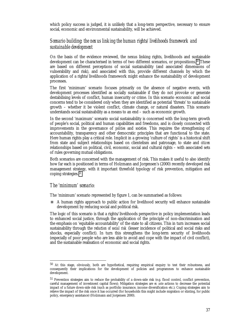which policy success is judged, it is unlikely that a long-term perspective, necessary to ensure social, economic and environmental sustainability, will be achieved.

#### *Scenario building: the nexus linking the human rights/livelihoods framework and sustainable development*

On the basis of the evidence reviewed, the nexus linking rights, livelihoods and sustainable development can be characterised in terms of two different scenarios, or propositions.<sup>50</sup> These are based on different perceptions of social sustainability (and associated dimensions of vulnerability and risk), and associated with this, provide different channels by which the application of a rights/livelihoods framework might enhance the sustainability of development processes.

The first 'minimum' scenario focuses primarily on the absence of negative events, with development processes identified as socially sustainable if they do not provoke or generate destabilising levels of conflict, human insecurity or crime. In this scenario economic and social concerns tend to be considered only when they are identified as potential 'threats' to sustainable growth – whether it be violent conflict, climate change, or natural disasters. This scenario understands social sustainability as a means to an end – such as economic growth.

In the second 'maximum' scenario social sustainability is concerned with the long-term growth of people's social, political and human capabilities and freedoms, and is closely connected with improvements in the governance of *polities* and *societies.* This requires the strengthening of accountability, transparency and other democratic principles that are functional to the state. Here human rights play a critical role. Implicit in a growing 'culture of rights' is a historical shift from state and subject relationships based on clientelism and patronage, to state and *citizen* relationships based on political, civil, economic, social and cultural rights – with associated sets of rules governing mutual obligations.

Both scenarios are concerned with the management of risk. This makes it useful to also identify how far each is positioned in terms of Holzmann and Jorgensen's (2000) recently developed risk management strategy, with it important threefold typology of risk prevention, mitigation and coping strategies.<sup>51</sup>

#### *The 'minimum' scenario:*

l

The 'minimum' scenario represented by figure 1, can be summarised as follows:

! A human rights approach to public action for livelihood security will enhance sustainable development by reducing social and political risk.

The logic of this scenario is that a rights/livelihoods perspective in policy implementation leads to enhanced social justice, through the application of the principle of non-discrimination and the emphasis on 'equitable accountability' of the state to all citizens. This in turn increases social sustainability through the *reduction of social risk* (lesser incidence of political and social risks and shocks, especially conflict). In turn this strengthens the long-term security of livelihoods (especially of poor people who are less able to avoid and cope with the impact of civil conflict), and the sustainable realisation of economic and social rights.

<sup>50</sup> At this stage, obviously, both are hypothetical, requiring empirical enquiry to test their robustness, and consequently their implications for the development of policies and programmes to enhance sustainable development.

<sup>51</sup> Prevention strategies aim to reduce the probability of a down-side risk (e.g. flood control, conflict prevention, careful management of investment capital flows); Mitigation strategies are *ex ante* actions to decrease the potential impact of a future down-side risk (such as portfolio insurance, income diversification etc.); Coping strategies aim to relieve the impact of the risk once it has occurred (for households this might include migration or stinting, for public policy, emergency assistance) (Holzmann and Jorgensen 2000).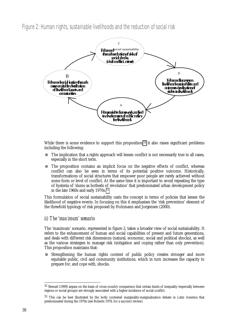Figure 2: Human rights, sustainable livelihoods and the reduction of social risk



While there is some evidence to support this proposition,<sup>52</sup> it also raises significant problems including the following:

- ! The implication that a rights approach will lessen conflict is not necessarily true in all cases, especially in the short term.
- ! The proposition contains an implicit focus on the negative effects of conflict, whereas conflict can also be seen in terms of its potential positive outcome. Historically, transformations of social structures that empower poor people are rarely achieved without some form or level of conflict. At the same time it is important to avoid repeating the type of hysteria of 'slums as hotbeds of revolution' that predominated urban development policy in the late 1960s and early  $1970s$ .<sup>53</sup>

This formulation of social sustainability casts the concept in terms of policies that lessen the likelihood of negative events. In focusing on this it emphasises the 'risk prevention' element of the threefold typology of risk proposed by Holzmann and Jorgensen (2000).

#### *ii) The 'maximum' scenario*

The 'maximum' scenario, represented in figure 2, takes a broader view of social sustainability. It refers to the enhancement of human and social capabilities of present and future generations, and deals with different risk dimensions (natural, economic, social and political shocks), as well as the various strategies to manage risk (mitigation and coping rather than only prevention). This proposition maintains that:

Strengthening the human rights content of public policy creates stronger and more equitable public, civil and community institutions, which in turn increases the capacity to prepare for, and cope with, shocks.

<sup>52</sup> Stewart (1999) argues on the basis of cross-country comparison that certain kinds of inequality (especially between regions or social groups) are strongly associated with a higher incidence of social conflict.

<sup>53</sup> This can be best illustrated by the hotly contested marginality-marginalization debate in Latin America that predominated during the 1970s (see Roberts 1978, for a succinct review).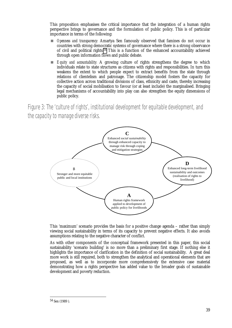This proposition emphasises the critical importance that the integration of a human rights perspective brings to governance and the formulation of public policy. This is of particular importance in terms of the following:

- **Denness and transparency:** Amartya Sen famously observed that famines do not occur in countries with strong democratic systems of governance where there is a strong observance of civil and political rights.54 This is a function of the enhanced accountability achieved through open information flows and public debate.
- **Equity and accountability:** A growing culture of rights strengthens the degree to which individuals relate to state structures as citizens with rights and responsibilities. In turn this weakens the extent to which people expect to extract benefits from the state through relations of clientelism and patronage. The citizenship model fosters the capacity for collective action across traditional divisions of class, ethnicity and caste, thereby increasing the capacity of social mobilisation to favour (or at least include) the marginalised. Bringing legal mechanisms of accountability into play can also strengthen the equity dimensions of public policy.

Figure 3: The 'culture of rights', institutional development for equitable development, and the capacity to manage diverse risks.



This 'maximum' scenario provides the basis for a positive change agenda – rather than simply viewing social sustainability in terms of its capacity to prevent negative effects. It also avoids assumptions relating to the negative character of conflict.

As with other components of the conceptual framework presented in this paper, this social sustainability 'scenario building' is no more than a preliminary first stage. If nothing else it highlights the importance of clarification in the definition of social sustainability. A great deal more work is still required, both to strengthen the analytical and operational elements that are proposed, as well as to incorporate more comprehensively the extensive case material demonstrating how a rights perspective has added value to the broader goals of sustainable development and poverty reduction.

-

<sup>54</sup> Sen (1989 ).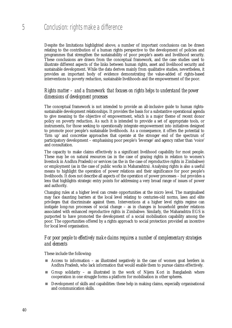Despite the limitations highlighted above, a number of important conclusions can be drawn relating to the contribution of a human rights perspective to the development of policies and programmes that strengthen the sustainability of poor people's assets and livelihood security. These conclusions are drawn from the conceptual framework, and the case studies used to illustrate different aspects of the links between human rights, asset and livelihood security and sustainable development. While the data derives mainly from qualitative studies, nevertheless, it provides an important body of evidence demonstrating the value-added of rights-based interventions to poverty reduction, sustainable livelihoods and the empowerment of the poor.

#### *Rights matter – and a framework that focuses on rights helps to understand the power dimensions of development processes*

The conceptual framework is not intended to provide an all-inclusive guide to human rightssustainable development relationships. It provides the basis for a substantive operational agenda to give meaning to the objective of empowerment, which is a major theme of recent donor policy on poverty reduction. As such it is intended to provide a set of appropriate tools, or instruments, for those seeking to operationally integrate empowerment into initiatives designed to promote poor people's sustainable livelihoods. As a consequence, it offers the potential to 'firm up' and concretise approaches that operate at the stronger end of the spectrum of participatory development – emphasising poor people's 'leverage' and agency rather than 'voice' and consultation.

The capacity to make claims effectively is a significant livelihood capability for most people. These may be on natural resources (as in the case of grazing rights in relation to women's livestock in Andhra Pradesh) or services (as the in the case of reproductive rights in Zimbabwe) or employment (as in the case of public works in Maharashtra). Analysing rights is also a useful means to highlight the operation of power relations and their significance for poor people's livelihoods. It does not describe all aspects of the operation of power processes – but provides a lens that highlights strategic entry points for addressing a very broad range of issues of power and authority.

Changing rules at a higher level can create opportunities at the micro level. The marginalised may face daunting barriers at the local level relating to centuries-old norms, laws and elite privileges that discriminate against them. Interventions at a higher level rights regime can instigate long-run processes of social change – as in changes in household gender relations associated with enhanced reproductive rights in Zimbabwe. Similarly, the Maharashtra EGS is purported to have promoted the development of a social mobilisation capability among the poor. The opportunities offered by a rights approach to social protection provided an incentive for local level organisation.

#### *For poor people to effectively make claims requires a number of complementary strategies and elements*

These include the following:

- $\blacksquare$  Access to information as illustrated negatively in the case of women goat herders in Andhra Pradesh, who lack information that would enable them to pursue claims effectively.
- $\blacksquare$  Group solidarity as illustrated in the work of Nijera Kori in Bangladesh where cooperation in one struggle forms a platform for mobilisation in other spheres.
- **EXECUTE:** Development of skills and capabilities: these help in making claims, especially organisational and communication skills.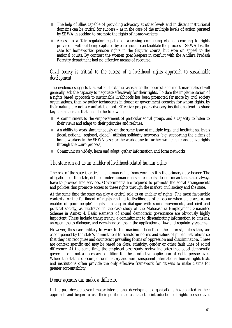- ! The help of allies capable of providing advocacy at other levels and in distant institutional domains can be critical for success – as in the case of the multiple levels of action pursued by SEWA in seeking to promote the rights of home-workers.
- **Exercise E** Access to a 'fair regulator' capable of assessing competing claims according to rights provisions without being captured by elite groups can facilitate the process – SEWA lost the case for homeworker pension rights in the Gujurat courts, but won on appeal to the national courts. By contrast the women goat keepers in conflict with the Andhra Pradesh Forestry department had no effective means of recourse.

#### *Civil society is critical to the success of a livelihood rights approach to sustainable development*

The evidence suggests that without external assistance the poorest and most marginalised will generally lack the capacity to negotiate effectively for their rights. To date the implementation of a rights based approach to sustainable livelihoods has been promoted far more by civil society organisations, than by policy technocrats in donor or government agencies for whom rights, by their nature, are not a comfortable tool. Effective pro-poor advocacy institutions tend to share key characteristics that include the following:

- ! A commitment to the empowerment of particular social groups and a capacity to listen to their views and adapt to their priorities and realities.
- $\blacksquare$  An ability to work simultaneously on the same issue at multiple legal and institutional levels (local, national, regional, global), utilising solidarity networks (e.g. supporting the claims of home-workers in the SEWA case, or the work done to further women's reproductive rights through the Cairo process).
- Communicate widely, learn and adapt, gather information and form networks.

#### *The state can act as an enabler of livelihood-related human rights*

The role of the state is critical in a human rights framework, as it is the primary duty-bearer. The obligations of the state, defined under human rights agreements, do not mean that states always have to provide free services. Governments are required to promote the social arrangements and policies that promote access to these rights through the market, civil society and the state.

At the same time the state can play a critical role as an enabler of rights. The most favourable contexts for the fulfilment of rights relating to livelihoods often occur when state acts as an enabler of poor people's rights – acting in dialogue with social movements, and civil and political society, as illustrated in the case study of the Maharashtra Employment Guarantee Scheme in Annex 4. Basic elements of sound democratic governance are obviously highly important. These include transparency, a commitment to disseminating information to citizens, an openness to dialogue, and even-handedness in the application of law and regulatory systems.

However, these are unlikely to work to the maximum benefit of the poorest, unless they are accompanied by the state's commitment to transform norms and values of public institutions so that they can recognise and counteract prevailing forms of oppression and discrimination. These are context specific and may be based on class, ethnicity, gender or other fault lines of social difference. At the same time, the empirical case study review indicates that good democratic governance is not a necessary condition for the productive application of rights perspectives. Where the state is obscure, discriminatory and non-transparent international human rights texts and institutions often provide the only effective framework for citizens to make claims for greater accountability.

#### *Donor agencies can make a difference*

In the past decade several major international development organisations have shifted in their approach and begun to use their position to facilitate the introduction of rights perspectives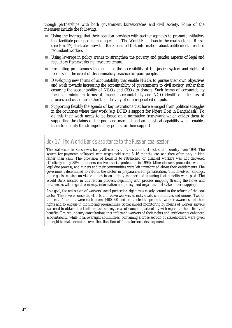though partnerships with both government bureaucracies and civil society. Some of the measures include the following:

- ! Using the leverage that their position provides with partner agencies to promote initiatives that facilitate poor people making claims. The World Bank loan in the coal sector in Russia (see Box 17) illustrates how the Bank ensured that information about entitlements reached redundant workers.
- ! Using leverage in policy arenas to strengthen the poverty and gender aspects of legal and regulatory frameworks e.g. resource tenure.
- ! Promoting programmes that enhance the accessibility of the justice system and rights of recourse in the event of discriminatory practice for poor people.
- **E** Developing new forms of accountability that enable NGOs to pursue their own objectives and work towards increasing the accountability of governments to civil society, rather than ensuring the accountability of NGOs and CSOs to donors. Such forms of accountability focus on minimum forms of financial accountability and NGO-identified indicators of process and outcomes rather than delivery of donor specified outputs.
- Supporting flexibly the agenda of key institutions that have emerged from political struggles in the countries where they work (e.g. DFID's support for Nijera Kori in Bangladesh). To do this their work needs to be based on a normative framework which guides them to supporting the claims of the poor and marginal and an analytical capability which enables them to identify the strongest entry points for their support.

### Box 17: The World Bank's assistance to the Russian coal sector

The coal sector in Russia was badly affected by the transitions that racked the country from 1991. The system for payments collapsed, with wages paid some 8–16 months late, and then often only in kind rather than cash. The provision of benefits to retrenched or disabled workers was not delivered effectively (only 35% of miners received social protection in 1996). Mine closures proceeded without legal due process, and miners and their communities were left uninformed about their entitlements. The government determined to reform the sector in preparation for privatisation. This involved, amongst other goals, closing un-viable mines in an orderly manner and ensuring that benefits were paid. The World Bank assisted in this reform process, beginning with process mapping (tracing the flows and bottlenecks with regard to money, information and policy) and organisational stakeholder mapping.

As a goal, the realisation of workers' social protection rights was clearly central to the reform of the coal sector. There were concerted efforts to involve workers as individuals, communities and unions. Two of the sector's unions were each given \$400,000 and contracted to promote worker awareness of their rights and to engage in monitoring programmes. Social impact monitoring by means of worker surveys was used to obtain direct information on key areas of concern, particularly with regard to the delivery of benefits. Pre-redundancy consultations that informed workers of their rights and entitlements enhanced accountability, while local oversight committees, containing a cross-section of stakeholders, were given the right to make decisions over the allocation of funds for local development.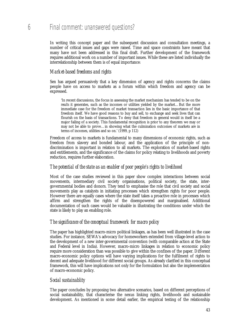### 6 Final comment: unanswered questions?

In writing this concept paper and the subsequent discussion and consultation meetings, a number of critical issues and gaps were raised. Time and space constraints have meant that many have not been addressed in this final draft. Further development of the framework requires additional work on a number of important issues. While these are listed individually the interrelationship between them is of equal importance:

#### *Market-based freedoms and rights*

Sen has argued persuasively that a key dimension of agency and rights concerns the claims people have on access to markets as a forum within which freedom and agency can be expressed.

'In recent discussions, the focus in assessing the market mechanism has tended to be on the *results* it generates, such as the incomes or utilities yielded by the market...But the more immediate case for the freedom of market transaction lies in the basic importance of that freedom itself. We have good reasons to buy and sell, to exchange and seek lives that can flourish on the basis of transactions. To deny that freedom in general would in itself be a major failing of a society. This fundamental recognition is prior to any theorem we may or may not be able to prove…in showing what the culmination outcomes of markets are in terms of incomes, utilities and so on.' (1999, p 112)

Freedom of access to markets is fundamental to many dimensions of economic rights, such as freedom from slavery and bonded labour, and the application of the principle of nondiscrimination is important in relation to all markets. The exploration of market-based rights and entitlements, and the significance of the claims for policy relating to livelihoods and poverty reduction, requires further elaboration.

#### *The potential of the state as an enabler of poor people's rights to livelihood*

Most of the case studies reviewed in this paper show complex interactions between social movements, intermediary civil society organisations, political society, the state, intergovernmental bodies and donors. They tend to emphasise the role that civil society and social movements play as catalysts in initiating processes which strengthen rights for poor people. However there are equally cases where the state itself takes a proactive role in processes which affirm and strengthen the rights of the disempowered and marginalised. Additional documentation of such cases would be valuable in illustrating the conditions under which the state is likely to play an enabling role.

#### *The significance of the conceptual framework for macro policy*

The paper has highlighted macro-micro political linkages, as has been well illustrated in the case studies. For instance, SEWA's advocacy for homeworkers extended from village-level action to the development of a new inter-governmental convention (with comparable action at the State and Federal level in India). However, macro-micro linkages in relation to economic policy require more consideration than was possible to give within the confines of the paper. Different macro-economic policy options will have varying implications for the fulfilment of rights to decent and adequate livelihood for different social groups. As already clarified in this conceptual framework, this will have implications not only for the formulation but also the implementation of macro-economic policy.

#### *Social sustainablity*

The paper concludes by proposing two alternative scenarios, based on different perceptions of social sustainability, that characterise the nexus linking rights, livelihoods and sustainable development. As mentioned in some detail earlier, the empirical testing of the relationship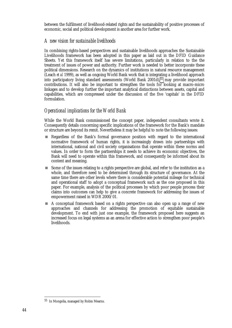between the fulfilment of livelihood-related rights and the sustainability of positive processes of economic, social and political development is another area for further work.

#### *A new vision for sustainable livelihoods*

In combining rights-based perspectives and sustainable livelihoods approaches the Sustainable Livelihoods framework has been adopted in this paper as laid out in the DFID Guidance Sheets. Yet this framework itself has severe limitations, particularly in relation to the the treatment of issues of power and authority. Further work is needed to better incorporate these political dimensions. Research on the dynamics of institutions in natural resource management (Leach *et al* 1999), as well as ongoing World Bank work that is integrating a livelihood approach into participatory living standard assessments (World Bank 2001d),<sup>55</sup> may provide important contributions. It will also be important to strengthen the tools for looking at macro-micro linkages and to develop further the important analytical distinctions between assets, capital and capabilities, which are compressed under the discussion of the five 'capitals' in the DFID formulation.

#### *Operational implications for the World Bank*

While the World Bank commissioned the concept paper, independent consultants wrote it. Consequently details concerning specific implications of the framework for the Bank's mandate or structure are beyond its remit. Nevertheless it may be helpful to note the following issues:

- ! Regardless of the Bank's formal governance position with regard to the international normative framework of human rights, it is increasingly drawn into partnerships with international, national and civil society organisations that operate within these norms and values. In order to form the partnerships it needs to achieve its economic objectives, the Bank will need to operate within this framework, and consequently be informed about its content and meaning.
- Some of the issues relating to a rights perspective are global, and refer to the institution as a whole, and therefore need to be determined through its structure of governance. At the same time there are other levels where there is considerable potential mileage for technical and operational staff to adopt a conceptual framework such as the one proposed in this paper. For example, analysis of the political processes by which poor people process their claims into outcomes can help to give a concrete framework for addressing the issues of empowerment raised in WDR 2000/01.
- ! A conceptual framework based on a rights perspective can also open up a range of new approaches and channels for addressing the promotion of equitable sustainable development. To end with just one example, the framework proposed here suggests an increased focus on legal systems as an arena for effective action to strengthen poor people's livelihoods.

<sup>55</sup> In Mongolia, managed by Robin Mearns.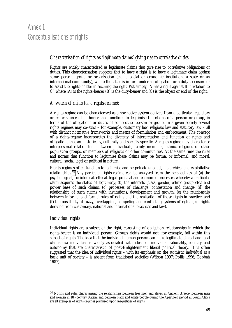### Annex 1 Conceptualisations of rights

#### *Characterisation of rights as 'legitimate claims' giving rise to correlative duties:*

Rights are widely characterised as legitimate claims that give rise to correlative obligations or duties. This characterisation suggests that to have a right is to have a legitimate claim against some person, group or organisation (e.g. a social or economic institution, a state or an international community), where the latter is in turn under an obligation or a duty to ensure or to assist the rights-holder in securing the right. Put simply, 'A has a right against B in relation to C', where (A) is the rights-bearer (B) is the duty-bearer and (C) is the object or end of the right.

#### *A system of rights (or a rights-regime):*

A rights-regime can be characterised as a normative system derived from a particular regulatory order or source of authority that functions to legitimise the claims of a person or group, in terms of the obligations or duties of some other person or group. In a given society several rights regimes may co-exist – for example, customary law, religious law and statutory law – all with distinct normative frameworks and means of formulation and enforcement. The concept of a rights-regime incorporates the diversity of interpretation and function of rights and obligations that are historically, culturally and socially specific. A rights-regime may characterise interpersonal relationships between individuals, family members, ethnic, religious or other population groups, or members of religious or other communities. At the same time the rules and norms that function to legitimise these claims may be formal or informal, and moral, cultural, social, legal or political in nature.

Rights-regimes often function to legitimise and perpetuate unequal, hierarchical and exploitative relationships.56 Any particular rights-regime can be analysed from the perspectives of (a) the psychological, sociological, ethical, legal, political and economic processes whereby a particular claim acquires the status of legitimacy; (b) the interests (class, gender, ethnic group etc.) and power base of such claims; (c) processes of challenge, contestation and change; (d) the relationship of such claims with institutions, development and growth; (e) the relationship between informal and formal rules of rights and the realisation of those rights in practice; and (f) the possibility of fuzzy, overlapping, competing and conflicting systems of rights (e.g. rights deriving from customary, national and international practices and law).

#### *Individual rights*

-

Individual rights are a subset of the right, consisting of obligation relationships in which the rights-bearer is an individual person. Groups rights would not, for example, fall within this subset of rights. The idea that the individual human person can make legitimate ethical and legal claims *qua* individual is widely associated with ideas of individual rationality, identity and autonomy that are characteristic of post-Enlightenment liberal political theory. It is often suggested that the idea of individual rights – with its emphasis on the atomistic individual as a basic unit of society – is absent from traditional societies (Wilson 1997; Pollis 1996; Cobbah 1987).

<sup>56</sup> Norms and rules characterising the relationships between free men and slaves in Ancient Greece, between men and women in 18th century Britain, and between black and white people during the Apartheid period in South Africa are all examples of rights-regimes premised upon inequalities of rights.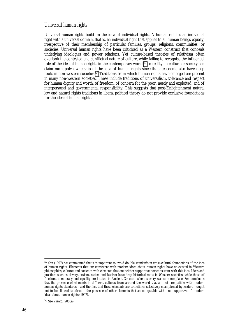#### *Universal human rights*

Universal human rights build on the idea of individual rights. A human right is an individual right with a universal domain, that is, an individual right that applies to all human beings equally, irrespective of their membership of particular families, groups, religions, communities, or societies. Universal human rights have been criticised as a Western construct that conceals underlying ideologies and power relations. Yet culture-based theories of relativism often overlook the contested and conflictual nature of culture, while failing to recognise the influential role of the idea of human rights in the contemporary world.57 In reality no culture or society can claim monopoly ownership of the idea of human rights since its antecedents also have deep roots in non-western societies.58 Traditions from which human rights have emerged are present in many non-western societies. These include traditions of universalism, tolerance and respect for human dignity and worth, of freedom, of concern for the poor, needy and exploited, and of interpersonal and governmental responsibility. This suggests that post-Enlightenment natural law and natural rights traditions in liberal political theory do not provide exclusive foundations for the idea of human rights.

<sup>57</sup> Sen (1997) has commented that it is important to avoid double standards in cross-cultural foundations of the idea of human rights. Elements that are consistent with modern ideas about human rights have co-existed in Western philosophies, cultures and societies with elements that are neither supportive nor consistent with this idea. Ideas and practices such as slavery, sexism, racism and fascism have deep historical roots in Western societies, while those of freedom, democracy and equality are located in Ancient Greece - where slavery was commonplace. Sen concludes that the presence of elements in different cultures from around the world that are not compatible with modern human rights standards - and the fact that these elements are sometimes selectively championed by leaders - ought not to be allowed to obscure the presence of other elements that *are* compatible with, and supportive of, modern ideas about human rights (1997).

<sup>58</sup> See Vizard (2000a).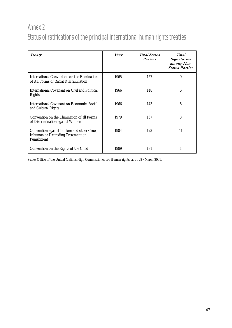## Annex 2 Status of ratifications of the principal international human rights treaties

| Treaty                                                                                                | Year | <b>Total States</b><br><b>Parties</b> | Total<br>Signatories<br>among Non-<br><b>States Parties</b> |
|-------------------------------------------------------------------------------------------------------|------|---------------------------------------|-------------------------------------------------------------|
| International Convention on the Elimination<br>of All Forms of Racial Discrimination                  | 1965 | 157                                   | 9                                                           |
| International Covenant on Civil and Political<br><b>Rights</b>                                        | 1966 | 148                                   | 6                                                           |
| <b>International Covenant on Economic, Social</b><br>and Cultural Rights                              | 1966 | 143                                   | 8                                                           |
| Convention on the Elimination of all Forms<br>of Discrimination against Women                         | 1979 | 167                                   | 3                                                           |
| Convention against Torture and other Cruel,<br><b>Inhuman or Degrading Treatment or</b><br>Punishment | 1984 | 123                                   | 11                                                          |
| Convention on the Rights of the Child                                                                 | 1989 | 191                                   |                                                             |

*Source:* Office of the United Nations High Commissioner for Human rights, as of 28th March 2001.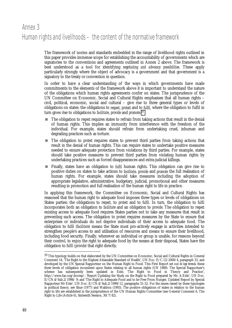### Annex 3 Human rights and livelihoods – the content of the normative framework

The framework of norms and standards embedded in the range of livelihood rights outlined in this paper provides immense scope for establishing the accountability of governments which are signatories to the conventions and agreements outlined in Annex 2 above. The framework is best understood as a tool for identifying *negotiating and advocacy possibilities.* These apply particularly strongly where the object of advocacy is a government and that government is a signatory to the treaty or convention in question.

In order to have a clear understanding of the ways in which governments have made commitments to the elements of the framework above it is important to understand the nature of the obligations which human rights agreements confer on states. The jurisprudence of the UN Committee on Economic, Social and Cultural Rights emphasises that all human rights – civil, political, economic, social and cultural – give rise to three general types or levels of obligations on states: the obligations to *respect*, *protect* and to *fulfil,* where the obligation to fulfil in turn gives rise to obligations to *facilitate*, *provide* and *promote.59*

- ! The obligation to *respect* requires states to refrain from taking actions that result in the denial of human rights. This implies an immunity from interference with the freedom of the individual. For example, states should refrain from undertaking cruel, inhuman and degrading practices such as torture.
- ! The obligation to *protect* requires states to prevent third parties from taking actions that result in the denial of human rights. This can require states to undertake positive measures needed to ensure adequate protection from violations by third parties. For example, states should take positive measures to prevent third parties from violating human rights by undertaking practices such as forced disappearances and extra-judicial killings.
- ! Finally, states have an obligation to *fulfil* human rights. This obligation can give rise to positive duties on states to take actions to *facilitate*, *provide* and *promote* the full realisation of human rights. For example, states should take measures including the adoption of appropriate legislative, administrative, budgetary, judicial, promotional and other measures resulting in promotion and full realisation of the human right to life in practice.

In applying this framework, the Committee on Economic, Social and Cultural Rights has reasoned that the human right to adequate food imposes three types or levels of obligations on States parties: the obligations to *respect*, to *protect* and to *fulfil*. In turn, the obligation to *fulfil* incorporates both an obligation to *facilitate* and an obligation to *provide.* The obligation to *respect* existing access to adequate food requires States parties not to take any measures that result in preventing such access. The obligation to *protect* requires measures by the State to ensure that enterprises or individuals do not deprive individuals of their access to adequate food. The obligation to *fulfil* (*facilitate)* means the State must pro-actively engage in activities intended to strengthen people's access to and utilisation of resources and means to ensure their livelihood, including food security. Finally, whenever an individual or group is unable, for reasons beyond their control, to enjoy the right to adequate food by the means at their disposal, States have the obligation to *fulfil (provide)* that right directly.

 $^{59}$  This typology builds on that elaborated by the UN Committee on Economic, Social and Cultural Rights in General Comment 14, 'The Right to the Highest Attainable Standard of Health', UN Doc. E/C.12/2000/4, paragraph 33, and developed by the UN Special Rapporteur on the Human Right to Food. This First Report set out *de lege ferenda* these three levels of obligation incumbent upon States relating to all human rights (UN 1989). The Special Rapportuer's scheme has subsequently been updated in Eide, 'The Right to Food in Theory and Practice', http://www.fao.org/docrep/; 'Report Updating the Study on the Right to Food prepared by Mr. A.Eide', UN Doc. E/CN.4/Sub.2/1998/ 9; and 'The Right to Adequate Food and to be Free From Hunger, Updated Report by Special Rapporteur Mr Eide', UN Doc. E/CN.4/Sub.2/1999/12, paragraphs 51-52. For the issues raised by these typologies in political theory, see Shue (1977) and Waldron (1993). The positive obligations of states in relation to the human right to life are established in the jurisprudence of the UN Human Rights Committee (see General Comment 6, The Right to Life (Article 6), Sixteenth Session, 30/7/82).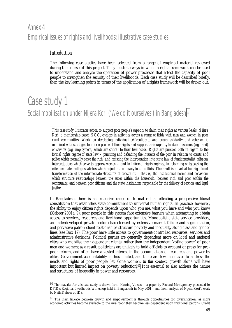### Annex 4 Empirical issues of rights and livelihoods: illustrative case studies

#### *Introduction*

The following case studies have been selected from a range of empirical material reviewed during the course of this project. They illustrate ways in which a rights framework can be used to understand and analyse the operation of power processes that affect the capacity of poor people to strengthen the security of their livelihoods. Each case study will be described briefly, then the key learning points in terms of the application of a rights framework will be drawn out.

# Case study 1

-

Social mobilisation under Nijera Kori ('We do it ourselves') in Bangladesh<sup>®</sup>

*This case study illustrates action to support poor people's capacity to claim their rights at various levels. Nijera Kori, a membership-based NGO, engages in activities across a range of fields with men and women in poor rural communities. Work on developing individual self-confidence and group solidarity and cohesion is combined with strategies to inform people of their rights and support their capacity to claim resources (e.g. land) or services (e.g. employment) which are critical to their livelihoods. Rights are pursued both in regard to the formal rights regime of state law – pursuing and defending the interests of the poor in relation to courts and police which normally serve the rich, and resisting the incorporation into state law of fundamentalist religious interpretations which serve to oppress women – and in informal rights regimes, in reforming or bypassing the elite-dominated village shalishes which adjudicate on many local conflicts. The result is a partial but significant transformation of the intermediate structures of constraint – that is, the institutional norms and behaviour which structure relationships between the sexes within the household, between rich and poor within the community, and between poor citizens and the state institutions responsible for the delivery of services and legal justice.*

In Bangladesh, there is an extensive range of formal rights reflecting a progressive liberal constitution that establishes state commitment to universal human rights. In practice, however, the ability to enjoy citizen rights depends upon who you are, what you have and who you know (Kabeer 2001a, 9): poor people in this system face extensive barriers when attempting to obtain access to services, resources and livelihood opportunities. Monopolistic state service providers, an underdeveloped private sector characterised by extensive market failure and segmentation, and pervasive patron-client relationships structure poverty and inequality along class and gender lines (see Box 17). The poor have little access to government-controlled resources, services and administrative decisions. Political parties are generally dependent more on local and national elites who mobilise their dependent clients, rather than the independent 'voting power' of poor men and women; as a result, politicians are unlikely to hold officials to account or press for propoor reform, and often have a vested interest in the accumulation of resources and power by elites. Government accountability is thus limited, and there are few incentives to address the needs and rights of poor people, let alone women. In this context, growth alone will have important but limited impact on poverty reduction.<sup>61</sup> It is essential to also address the nature and structures of inequality in power and resources.

<sup>60</sup> The material for this case study is drawn from 'Hearing Voices' – a paper by Richard Montgomery presented to DFID's Regional Livelihoods Workshop held in Bangladesh in May 2001 - and from analysis of Nijera Kori's work by Naila Kabeer of IDS.

<sup>&</sup>lt;sup>61</sup> The main linkage between growth and empowerment is through opportunities for diversification: as more economic activities become available to the rural poor they become less dependent upon traditional patrons. Credit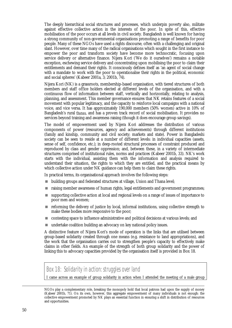The deeply hierarchical social structures and processes, which underpin poverty also, militate against effective collective action in the interests of the poor. In spite of this, effective mobilisation of the poor occurs at all levels in civil society. Bangladesh is well known for having a strong community of non-governmental organisations promoting a range of benefits for poor people. Many of these NGOs have used a rights discourse, often with a challenging and original slant. However, over time many of the radical organisations which sought in the first instance to empower the poor and transform society have become more technocratic, focusing upon service delivery or alternative finance. Nijera Kori ('We do it ourselves') remains a notable exception, eschewing service delivery and concentrating upon mobilising the poor to claim their entitlements and demand their rights. It consciously defines itself as 'an agent of social change with a mandate to work with the poor to operationalise their rights in the political, economic and social spheres' (Kabeer 2001a, 3; 2001b, 74).

Nijera Kori (NK) is a grassroots, membership-based organisation, with tiered structures of both members and staff office holders elected at different levels of the organisation, and with a continuous flow of information between staff, vertically and horizontally, relating to analysis, planning, and assessment. This member governance ensures that NK retains features of a social movement with popular legitimacy, and the capacity to reinforce local campaigns with a national voice, and vice versa. It has approximately 190,000 members (50% women) active in 10% of Bangladesh's rural *thanas*, and has a proven track record of social mobilisation. It provides no services beyond training and awareness raising (though it does encourage group savings).

The model of empowerment used by Nijera Kori addresses the distribution of various components of power (resources, agency and achievements) through different institutions (family and kinship, community and civil society; markets and state). Power in Bangladeshi society can be seen to reside at a number of different levels: in individual capacities (assets, sense of self, confidence, etc.); in deep-rooted structural processes of constraint produced and reproduced by class and gender oppression; and, between these, in a variety of intermediate structures comprised of institutional rules, norms and practices (Kabeer 2001b, 33). NK's work starts with the individual, assisting them with the information and analysis required to understand their situation, the rights to which they are entitled, and the practical means by which collective action under NK guidance can help them to claim these rights.

In practical terms, its organisational approach involves the following steps:

- ! building groups and federated structures at village, Union and Thana level;
- ! raising member awareness of human rights, legal entitlements and government programmes;
- ! supporting collective action at local and regional levels on a range of issues of importance to poor men and women;
- ! reforming the delivery of justice by local, informal institutions, using collective strength to make these bodies more responsive to the poor;
- ! contesting space to influence administrative and political decisions at various levels; and
- undertake coalition building an advocacy on key national policy issues.

A distinctive feature of Nijera Kori's mode of operation is the links that are utilised between group-based solidarity created through one means (e.g. resistance to land appropriations), and the work that the organisation carries out to strengthen people's capacity to effectively make claims in other fields. An example of the strength of both group solidarity and the power of linking this to advocacy capacities provided by the organisation itself is provided in Box 18.

#### Box 18: Solidarity in action: struggles over land

I came across an example of group solidarity in action when I attended the meeting of a male group

l

NGOs play a complementary role, breaking the monopoly hold that local patrons had upon the supply of money (Kabeer 2001b, 71). On its own, however, this aggregate empowerment of many individuals is not enough: the collective empowerment promoted by NK plays an essential function in ensuring a shift in distribution of resources and opportunities.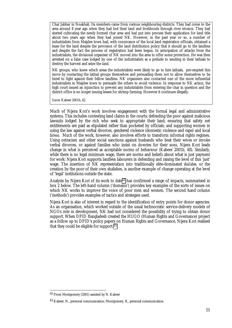Char Jabbar in Noakhali. Its members came from various neighbouring districts. They had come to the area around 8 year ago when they had lost their land and livelihoods through river erosion. They had started cultivating the newly formed char area and had put into process their application for land title about two years ago when they had joined NK. However, in the past year or so, a number of industrialists from Maijdee town had, with connivance of the local land registration officials, obtained a lease for the land despite the provision of the land distribution policy that it should go to the landless and despite the fact the process of registration had been begun. In anticipation of attacks from the industrialists, the divisional organiser of NK moved into the area to offer some protection. He was then arrested on a false case lodged by one of the industrialists as a prelude to sending in their lathials to destroy the harvest and seize the land.

NK groups, who knew which areas the industrialists were likely to go to hire lathials, pre-empted this move by contacting the lathial groups themselves and persuading them not to allow themselves to be hired to fight against their fellow landless. NK organisers also contacted one of the more influential industrialists in Maijdee town to persuade the others to avoid violence. In response to NK action, the high court issued an injunction to prevent any industrialists from entering the char in question and the district office is no longer issuing leases for shrimp farming. However it continues illegally.

*Source:* Kabeer 2001b, 42.

Much of Nijera Kori's work involves engagement with the formal legal and administrative systems. This includes contesting land claims in the courts; defending the poor against malicious lawsuits lodged by the rich who seek to appropriate their land; ensuring that safety net entitlements are paid as stipulated rather than pocketed by officials; and supporting women in using the law against verbal divorces, gendered violence (domestic violence and rape) and local *fatwas*. Much of the work, however, also involves efforts to transform informal rights regimes. Using ostracism and other social sanctions against husbands who beat their wives or invoke verbal divorces, or against families who insist on dowries for their sons, Nijera Kori leads change in what is perceived as acceptable norms of behaviour (Kabeer 2001b, 48). Similarly, while there is no legal minimum wage, there are norms and beliefs about what is just payment for work: Nijera Kori supports landless labourers in defending and raising the level of this 'just' wage. The insertion of NK representation into traditionally elite-dominated *shalishes*, or the creation by the poor of their own shalishes, is another example of change operating at the level of 'legal' institutions outside the state.

Analysis by Nijera Kori of its work to date<sup>62</sup> has confirmed a range of impacts, summarised in box 2 below. The left-hand column ('domains') provides key examples of the sorts of issues on which NK works to improve the voice of poor men and women. The second hand column ('methods') provides examples of tactics and strategies used.

Nijera Kori is also of interest in regard to the identification of entry points for donor agencies. As an organisation, which worked outside of the usual technocratic service-delivery models of NGOs role in development, NK had not considered the possibility of trying to obtain donor support. When DFID Bangladesh created the HUGO (Human Rights and Governance) project as a follow up to DFID's policy papers on Human Rights and Governance, Nijera Kori realised that they could be eligible for support.63

-

<sup>62</sup> From Montgomery (2001) assisted by N. Kabeer

<sup>63</sup> Kabeer, N., personal communication; Montgomery, R., personal communication.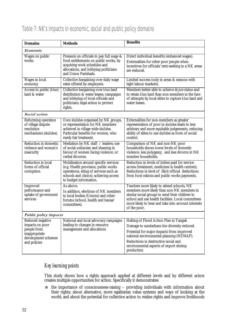| <b>Domains</b>                                                                                             | <b>Methods</b>                                                                                                                                                                              | <b>Benefits</b>                                                                                                                                                                                                                                                                  |  |  |  |
|------------------------------------------------------------------------------------------------------------|---------------------------------------------------------------------------------------------------------------------------------------------------------------------------------------------|----------------------------------------------------------------------------------------------------------------------------------------------------------------------------------------------------------------------------------------------------------------------------------|--|--|--|
| Economic                                                                                                   |                                                                                                                                                                                             |                                                                                                                                                                                                                                                                                  |  |  |  |
| Wages on public<br>works                                                                                   | Pressure on officials to pay full wage &<br>food entitlements on public works, by<br>acquiring work schedules and<br>allocations, and lobbying politicians<br>and Union Parishads.          | Direct individual benefits (enhanced wages).<br>Externalities for other poor people when<br>incentives for officials' rent-seeking in a NK areas<br>are reduced.                                                                                                                 |  |  |  |
| <b>Wages</b> in local<br>economy                                                                           | Collective bargaining over daily wage<br>rates offered by employers.                                                                                                                        | Limited success (only in areas & seasons with<br>tight labour markets).                                                                                                                                                                                                          |  |  |  |
| Access to public (khas)<br>land & water                                                                    | Collective bargaining over <i>khas</i> land<br>distribution & water leases; campaigns<br>and lobbying of local officials and<br>politicians; legal action to protect<br>rights.             | Members better able to achieve de jure status and<br>to retain khas land than non-members in the face<br>of attempts by local elites to capture khas land and<br>water leases.                                                                                                   |  |  |  |
| Social action                                                                                              |                                                                                                                                                                                             |                                                                                                                                                                                                                                                                                  |  |  |  |
| Reforming operation<br>of village dispute<br>resolution<br>mechanisms (shalishes)                          | Own shalishes organised by NK groups,<br>or representation for NK members<br>achieved in village wide shalishes.<br>Particular benefits for women, who<br>rarely fair treatment.            | Externalities for non-members as greater<br>representation of poor in shalishes leads to less<br>arbitrary and more equitable judgements, reducing<br>ability of elites to use shalishes as form of social<br>control.                                                           |  |  |  |
| <b>Reduction in domestic</b><br>violence and women's<br>insecurity                                         | Mediation by NK staff / leaders; use<br>of social ostracism and shaming in<br>favour of women facing violence, or<br>verbal divorces.                                                       | Comparison of NK and non-NK poor<br>households shows lower levels of domestic<br>violence, less polygamy, and less divorce in NK<br>member households.                                                                                                                           |  |  |  |
| Reduction in local<br>forms of official<br>corruption                                                      | Mobilisation around specific services<br>(e.g. Health provision; public works<br>operations; siting of services such as<br>schools and clinics); achieving access<br>to budget information. | Reduction in levels of bribes paid for service<br>access (treatment, medicines in health centres);<br>Reductions in level of illicit official deductions<br>from food rations and public works payments.                                                                         |  |  |  |
| Improved<br>performance and<br>uptake of government<br>services                                            | As above.<br>In addition, elections of NK members<br>to local bodies (Unions) and other<br>forums (school, health and bazaar<br>committees).                                                | Teachers more likely to attend schools; NK<br>members more likely than non-NK members in<br>similar social groups to send their children to<br>school and use health facilities. Local committees<br>more likely to hear and take into account interests<br>of the poor.         |  |  |  |
| Public policy impacts                                                                                      |                                                                                                                                                                                             |                                                                                                                                                                                                                                                                                  |  |  |  |
| Reduced negative<br>impacts on poor<br>people from<br>inappropriate<br>development schemes<br>and policies | National and local advocacy campaigns<br>leading to changes in resource<br>management and allocations                                                                                       | Halting of Flood Action Plan in Tangail.<br>Damage to sundarbans bio-diversity reduced.<br>Potential for major impacts from improved<br>national environmental planning (NEMAP).<br>Reductions in destructive social and<br>environmental aspects of export shrimp<br>production |  |  |  |

### Table 7: NK's impacts in economic, social and public policy domains

#### *Key learning points*

This study shows how a rights approach applied at different levels and by different actors creates multiple opportunities for action. Specifically it demonstrates:

 $\blacksquare$  the importance of consciousness-raising – providing individuals with information about their rights; about alternative, more egalitarian value systems and ways of looking at the world; and about the potential for collective action to realise rights and improve livelihoods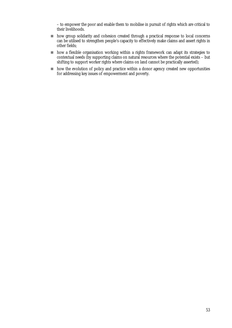– to empower the poor and enable them to mobilise in pursuit of rights which are critical to their livelihoods.

- ! how group solidarity and cohesion created through a practical response to local concerns can be utilised to strengthen people's capacity to effectively make claims and assert rights in other fields;
- ! how a flexible organisation working within a rights framework can adapt its strategies to contextual needs (by supporting claims on natural resources where the potential exists – but shifting to support worker rights where claims on land cannot be practically asserted);
- ! how the evolution of policy and practice within a donor agency created new opportunities for addressing key issues of empowerment and poverty.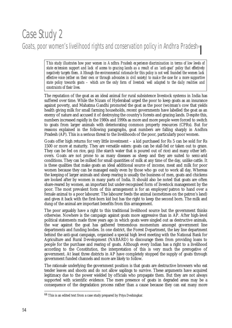# Case Study 2

### Goats, poor women's livelihood rights and conservation policy in Andhra Pradesh<sup>64</sup>

*This study illustrates how poor women in Andhra Pradesh experience discrimination in terms of low levels of state extension support and lack of access to grazing lands as a result of an 'anti-goat' policy that effectively negatively targets them. Although the environmental rationale for this policy is not well founded the women lack effective voice (either on their own or through advocates in civil society) to make the case for a more supportive state policy towards goats – which are the only form of livestock well adapted to the daily realities and constraints of their lives.*

The reputation of the goat as an ideal animal for rural subsistence livestock systems in India has suffered over time. While the Nizam of Hyderabad urged the poor to keep goats as an insurance against poverty, and Mahatma Gandhi promoted the goat as the poor (wo)man's cow that yields health giving milk for small farming households, recent governments have labelled the goat as an enemy of nature and accused it of destroying the country's forests and grazing lands. Despite this, numbers increased rapidly in the 1980s and 1990s as more and more people were forced to switch to goats from larger animals with deteriorating common property resources (CPRs). But for reasons explained in the following paragraphs, goat numbers are falling sharply in Andhra Pradesh (AP). This is a serious threat to the livelihoods of the poor, particularly poor women.

Goats offer high returns for very little investment – a kid purchased for Rs 5 can be sold for Rs 1500 or more at maturity. They are versatile eaters: goats can be stall-fed or taken out to graze. They can be fed on rice, *ganji* (the starch water that is poured out of rice) and many other leftovers. Goats are not prone to as many diseases as sheep and they are suited to semi-arid conditions. They can be milked for small quantities of milk at any time of the day, unlike cattle. It is these qualities that make goats an ideal additional source of income, meat and milk for poor women because they can be managed easily even by those who go out to work all day. Whereas the keeping of larger animals and sheep rearing is usually the business of men, goats and chickens are looked after by women in many parts of India. It should also be noted that goats are often share-reared by women, an important but under-recognised form of livestock management by the poor. The most prevalent form of this arrangement is for an employer/patron to hand over a female animal to a poor labourer. The labourer feeds the animal (sometimes on the patron's land) and gives it back with the first-born kid but has the right to keep the second born. The milk and dung of the animal are important benefits from this arrangement.

The poor arguably have a right to this traditional livelihood source but the government thinks otherwise. Nowhere is the campaign against goats more aggressive than in AP. After high-level political statements made three years ago in which goats were singled out as destructive animals, the war against the goat has gathered tremendous momentum amongst government line departments and funding bodies. In one district, the Forest Department, the key line department behind the anti-goat campaign, organised a special high level meeting with the National Bank for Agriculture and Rural Development (NABARD) to discourage them from providing loans to people for the purchase and rearing of goats. Although every Indian has a right to a livelihood according to the Constitution, the interpretation of this is very much the prerogative of government. At least three districts in AP have completely stopped the supply of goats through government funded channels and more are likely to follow.

The rationale underlying the government position is that goats are destructive browsers who eat tender leaves and shoots and do not allow saplings to survive. These arguments have acquired legitimacy due to the power wielded by officials who propagate them. But they are not always supported with scientific evidence. The mere presence of goats in degraded areas may be a consequence of the degradation process rather than a cause because they can eat many more

<sup>&</sup>lt;sup>64</sup> This is an edited text from a case study prepared by Priya Deshingkar.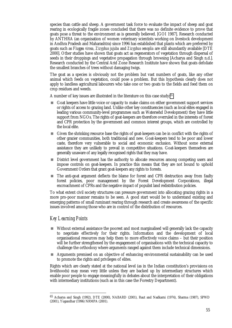species than cattle and sheep. A government task force to evaluate the impact of sheep and goat rearing in ecologically fragile zones concluded that there was no definite evidence to prove that goats pose a threat to the environment as is generally believed. [GOI 1987]. Research conducted by ANTHRA (an organisation of women veterinary scientists working on livestock development in Andhra Pradesh and Maharashtra) since 1996 has established that plants which are preferred by goats such as *Fluggea virosa, Zizyphus jujuba* and *Zizyphus oenoplia* are still abundantly available [DTE 2000]. Other studies have shown that goats act as regenerators of vegetation through dispersal of seeds in their droppings and vegetative propagation through browsing [Acharya and Singh n.d.]. Research conducted by the Central Arid Zone Research Institute have shown that goats defoliate the smallest branches of trees without damaging twigs.

The goat as a species is obviously not the problem but vast numbers of goats, like any other animal which feeds on vegetation, could pose a problem. But this hypothesis clearly does not apply to landless agricultural labourers who take one or two goats to the fields and feed them on crop residues and weeds.

A number of key issues are illustrated in the literature on this case study:65

- ! Goat keepers have little voice or capacity to make claims on either government support services or rights of access to grazing land. Unlike other key constituencies (such as local elites engaged in leading various community-level programmes such as Watersehd Development) they have little support from NGOs. The rights of goat-keepers are therefore overruled in the interests of forest and CPR protection by the government and common interest groups, which are controlled by the local elite.
- ! Given the shrinking resource base the rights of goat-keepers can be in conflict with the rights of other grazier communities, both traditional and new. Goat-keepers tend to be poor and lower caste, therefore very vulnerable to social and economic exclusion. Without some external assistance they are unlikely to prevail in competitive situations. Goat-keepers themselves are generally unaware of any legally recognised rights that they may have.
- **In District level government has the authority to allocate resources among competing users and** impose controls on goat-keepers. In practice this means that they are not bound to uphold Government Orders that grant goat-keepers any rights to forests.
- ! The anti-goat argument deflects the blame for forest and CPR destruction away from faulty forest policies, poor management by the Forest Development Corporations, illegal encroachment of CPRs and the negative impact of populist land redistribution policies.

To what extent civil society structures can pressure government into allocating grazing rights in a more pro-poor manner remains to be seen. A good start would be to understand existing and emerging patterns of small ruminant rearing through research and create awareness of the specific issues involved among those who are in control of the distribution of resources.

#### *Key Learning Points*

-

- ! Without external assistance the poorest and most marginalised will generally lack the capacity to negotiate effectively for their rights. Information and the development of local organisational resources may help them to more effectively voice claims – but their position will be further strengthened by the engagement of organisations with the technical capacity to challenge the orthodoxy where arguments ranged against them include technical dimensions.
- ! Arguments premised on an objective of enhancing environmental sustainability can be used to promote the rights and privileges of elites.

Rights which are clearly stated at the national level (as in the Indian constitution's provisions on livelihoods) may mean very little unless they are backed up by intermediary structures which enable poor people to engage meaningfully in debates about the interpretation of their obligations with intermediary institutions (such as in this case the Forestry Department).

<sup>65</sup> Acharya and Singh (1992), DTE (2000), NABARD (2001), Raut and Nadkarni (1974), Sharma (1987), SPWD (2001), Yugandhar (1996) NRMPA (2001).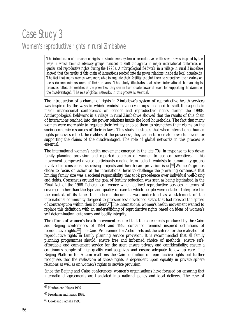# Case Study 3 Women's reproductive rights in rural Zimbabwe

*The introduction of a charter of rights in Zimbabwe's system of reproductive health services was inspired by the ways in which feminist advocacy groups managed to shift the agenda in major international conferences on gender and reproductive rights during the 1990s. Anthropological fieldwork in a village in rural Zimbabwe showed that the results of this chain of interactions reached into the power relations inside the local households. The fact that many women were more able to regulate their fertility enabled them to strengthen their claims on the socio-economic resources of their in-laws. This study illustrates that when international human rights processes reflect the realities of the powerless, they can in turn create powerful levers for supporting the claims of the disadvantaged. The role of global networks in this process is essential.*

The introduction of a charter of rights in Zimbabwe's system of reproductive health services was inspired by the ways in which feminist advocacy groups managed to shift the agenda in major international conferences on gender and reproductive rights during the 1990s. Anthropological fieldwork in a village in rural Zimbabwe showed that the results of this chain of interactions reached into the power relations inside the local households. The fact that many women were more able to regulate their fertility enabled them to strengthen their claims on the socio-economic resources of their in-laws. This study illustrates that when international human rights processes reflect the realities of the powerless, they can in turn create powerful levers for supporting the claims of the disadvantaged. The role of global networks in this process is essential*.*

The international women's health movement emerged in the late 70s in response to top down family planning provision and reported coercion of women to use contraceptives. This movement comprised diverse participants ranging from radical feminists to community groups involved in consciousness raising projects and health-care provision issue.66 Women's groups chose to focus on action at the international level to challenge the prevailing consensus that limiting family size was a societal responsibility that took precedence over individual well-being and rights. Consensus around the goal of fertility reduction was seen as being legitimised in the Final Act of the 1968 Teheran conference which defined reproductive services in terms of coverage rather than the type and quality of care to which people were entitled. Interpreted in the context of its time, the Teheran document was understood as a 'statement of the international community designed to pressure less developed states that had resisted the spread of contraception within their borders'.67 The international women's health movement wanted to replace this definition with an understanding of reproductive rights based on ideas of women's self determination, autonomy and bodily integrity.

The efforts of women's health movement ensured that the agreements produced by the Cairo and Beijing conferences of 1994 and 1995 contained feminist inspired definitions of reproductive rights.68 The Cairo Programme for Action sets out the criteria for the realisation of reproductive rights in family planning service provision. It is recommended that all family planning programmes should: ensure free and informed choice of methods; ensure safe, affordable and convenient service for the user; ensure privacy and confidentiality; ensure a continuous supply of high-quality contraceptives and ensure adequate follow up care. The Beijing Platform for Action reaffirms the Cairo definition of reproductive rights but further recognises that the realisation of those rights is dependent upon equality in private sphere relations as well as on women's rights to service provision.

Since the Beijing and Cairo conferences, women's organisations have focused on ensuring that international agreements are translated into national policy and local delivery. The case of

<sup>66</sup> Hardon and Hayes 1997.

<sup>67</sup> Freedman and Isaacs 1993.

<sup>68</sup> Cook and Fathalla 1996.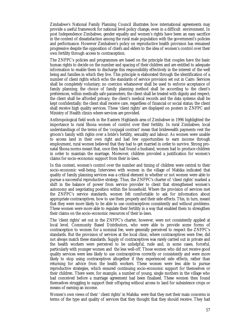Zimbabwe's National Family Planning Council illustrates how international agreements may provide a useful framework for national level policy change, even in a difficult environment. In post Independence Zimbabwe, gender equality and women's rights have been an easy sacrifice in the context of dissatisfaction among the rural male population with the government's policies and performance. However Zimbabwe's policy on reproductive health provision has remained progressive despite the opposition of chiefs and elders to the idea of women's control over their own fertility through access to contraception.

The ZNFPC's policies and programmes are based on the principle that couples have the basic human rights to decide on the number and spacing of their children and are entitled to adequate information to enable them to discharge this responsibility effectively in the interest of the well being and families in which they live. This principle is elaborated through the identification of a number of client rights which echo the standards of service provision set out in Cairo: Services shall be completely voluntary; no coercion whatsoever shall be used to enforce acceptance of family planning; the choice of family planning method shall be according to the client's preferences, within medically safe parameters; the client shall be treated with dignity and respect; the client shall be afforded privacy; the client's medical records and the data systems shall be kept confidentially; the client shall receive care, regardless of financial or social status; the client shall receive high quality services. These 'client rights' are displayed on posters in ZNFPC and Ministry of Health clinics where services are provided.

Anthropological field work in the Eastern Highlands area of Zimbabwe in 1996 highlighted the importance to rural Shona women of control over their fertility. In rural Zimbabwe, local understandings of the terms of the 'conjugal contract' mean that bridewealth payments vest the groom's family with rights over a bride's fertility, sexuality and labour. As women were unable to access land in their own right and had few opportunities to earn income through employment, rural women believed that they had to get married in order to survive. Strong pronatal Shona norms meant that, once they had found a husband, women had to produce children in order to maintain the marriage. Moreover, children provided a justification for women's claims for socio-economic support from their in-laws.

In this context, women's control over the number and timing of children were central to their socio-economic well-being. Interviews with women in the village of Mabika indicated that quality of family planning services was a critical element in whether or not women were able to pursue a successful reproductive strategy. Thus, the ZNFPC's charter of 'client rights' marked a shift in the balance of power from service provider to client that strengthened women's autonomy and negotiating position within the household. Where the provision of services met the ZNFPC's service standards, women felt comfortable to ask for information about appropriate contraceptives, how to use them properly and their side effects. This, in turn, meant that they were more likely to be able to use contraceptives consistently and without problems. These women were more able to regulate their fertility in a way that enabled them to strengthen their claims on the socio-economic resources of their in-laws.

The 'client rights' set out in the ZNFPC's charter, however, were not consistently applied at local level. Community Based Distributors, who were able to provide some forms of contraception to women for a nominal fee, were generally perceived to respect the ZNFPC's standards. But the provision of services at the local clinic, where contraceptives were free, did not always match these standards. Supply of contraceptives was rarely carried out in private and the health workers were perceived to be unhelpful, rude and, in some cases, forceful, particularly with younger women and the less well-off. Those women who did not receive good quality services were less likely to use contraceptives correctly or consistently and were more likely to stop using contraceptives altogether if they experienced side effects, rather than returning for advice from the health workers. These women were less able to pursue reproductive strategies, which ensured continuing socio-economic support for themselves or their children. There were, for example, a number of young, single mothers in the village who had conceived before a marriage agreement had been finalised. These women then found themselves struggling to support their offspring without access to land for subsistence crops or means of earning an income.

Women's own views of their ' client rights' in Mabika were that they met their main concerns in terms of the type and quality of services that they thought that they should receive. They had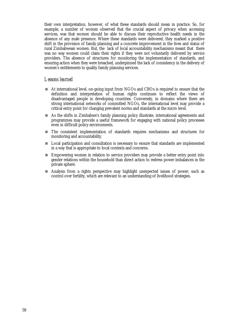their own interpretation, however, of what these standards should mean in practice. So, for example, a number of women observed that the crucial aspect of privacy when accessing services, was that women should be able to discuss their reproductive health needs in the absence of any male presence. Where these standards were delivered, they marked a positive shift in the provision of family planning and a concrete improvement in the lives and status of rural Zimbabwean women. But, the lack of local accountability mechanisms meant that there was no way women could claim their rights if they were not voluntarily delivered by service providers. The absence of structures for monitoring the implementation of standards, and ensuring action when they were breached, underpinned the lack of consistency in the delivery of women's entitlements to quality family planning services.

#### *Lessons learned*

- ! At international level, on-going input from NGOs and CBOs is required to ensure that the definition and interpretation of human rights continues to reflect the views of disadvantaged people in developing countries. Conversely, in domains where there are strong international networks of committed NGOs, the international level may provide a critical entry point for changing prevalent norms and standards at the micro level.
- ! As the shifts in Zimbabwe's family planning policy illustrate, international agreements and programmes may provide a useful framework for engaging with national policy processes even in difficult policy environments.
- ! The consistent implementation of standards requires mechanisms and structures for monitoring and accountability.
- ! Local participation and consultation is necessary to ensure that standards are implemented in a way that is appropriate to local contexts and concerns.
- ! Empowering women in relation to service providers may provide a better entry point into gender relations within the household than direct action to redress power imbalances in the private sphere.
- ! Analysis from a rights perspective may highlight unexpected issues of power, such as control over fertility, which are relevant to an understanding of livelihood strategies.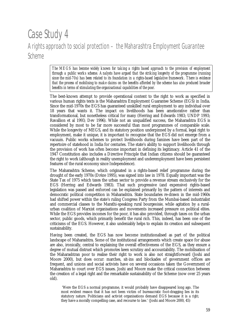## Case Study 4 A rights approach to social protection – the Maharashtra Employment Guarantee Scheme

*The MEGS has become widely known for taking a rights based approach to the provision of employment through a public works scheme. Analysts have argued that the striking longevity of the programme (running since the mid-70s) has been related to its foundation in a rights-based legislative framework. There is evidence that the process of mobilising to make claims on the benefits afforded by the scheme has also produced broader benefits in terms of stimulating the organisational capabilities of the poor.*

The best-known attempt to provide operational content to the right to work as specified in various human rights texts is the Maharashtra Employment Guarantee Scheme (EGS) in India. Since the mid-1970s the EGS has guaranteed unskilled rural employment to any individual over 18 years that wants it. The impact on livelihoods has been ameliorative rather than transformational, but nonetheless critical for many (Herring and Edwards 1983; UNDP 1993; Ravallion et al 1993; Dev 1996). While not an unqualified success, the Maharashtra EGS is considered by most to be far more successful than most programmes of comparable scale. While the longevity of MEGS, and its statutory position underpinned by a formal, legal right to employment, make it unique, it is important to recognise that the EGS did not emerge from a vacuum. Public works schemes to protect livelihoods during famines have been part of the repertoire of statehood in India for centuries. The state's ability to support livelihoods through the provision of work has often become important in defining its legitimacy. Article 41 of the 1947 Constitution also includes a Directive Principle that Indian citizens should be guaranteed the right to work (although in reality unemployment and underemployment have been persistent features of the rural economy since Independence).

The Maharashtra Scheme, which originated in a rights-based relief programme during the drought of the early 1970s (Drèze 1995), was signed into law in 1978. Equally important was the State Tax of 1975 which taxes the urban sector to provide a revenue stream exclusively for the EGS (Herring and Edwards 1983). That such progressive (and expensive) rights-based legislation was passed and enforced can be explained primarily by the pattern of interests and democratic political competition in Maharashtra. State boundaries re-drawn in the mid-1960s had shifted power within the state's ruling Congress Party from the Mumbai-based industrialist and commercial classes to the Marathi-speaking rural bourgeoisie, while agitation by a ruralurban coalition of Marxist organisations and movements increased pressure on political elites. While the EGS provides incomes for the poor, it has also provided, through taxes on the urban sector, public goods, which primarily benefit the rural rich. This, indeed, has been one of the criticisms of the EGS. However, it also undeniably helps to explain its creation and subsequent sustainability.

Having been created, the EGS has now become institutionalised as part of the political landscape of Maharashtra. Some of the institutional arrangements which create space for abuse are also, ironically, central to explaining the overall effectiveness of the EGS, as they ensure a degree of mutual distrust which promotes keen scrutiny and accountability. The mobilisation of the Maharashtran poor to realise their right to work is also not straightforward (Joshi and Moore 2000), but does occur: marches, sit-ins and blockades of government offices are frequent, and unions and social activists have on several occasions taken the Government of Maharashtra to court over EGS issues. Joshi and Moore make the critical connection between the creation of a legal right and the remarkable sustainability of the Scheme (now over 25 years old).

 'Were the EGS a normal programme, it would probably have disappeared long ago. The most evident reason that it has not been victim of bureaucratic foot-dragging lies in its statutory nature. Politicians and activist organisations demand EGS because it is a *right*; they have a morally compelling case, and recourse to law.' (Joshi and Moore 2000, 45)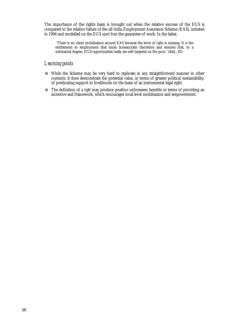The importance of the rights basis is brought out when the relative success of the EGS is compared to the relative failure of the all-India Employment Assurance Scheme (EAS), initiated in 1994 and modelled on the EGS *apart from* the guarantee of work. In the latter,

 'There is no client mobilisation around EAS because the lever of *rights* is missing. It is the entitlement to employment that limits bureaucratic discretion and ensures that, to a substantial degree, EGS opportunities really are self-targeted on the poor.' (ibid., 45)

#### *Learning points*

- ! While the Scheme may be very hard to replicate in any straightforward manner in other contexts, it does demonstrate the potential value, in terms of greater political sustainability, of predicating support to livelihoods on the basis of an instrumental legal right.
- ! The definition of a *right* may produce positive unforeseen benefits in terms of providing an incentive and framework, which encourages local level mobilisation and empowerment.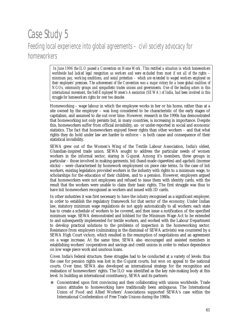## Case Study 5 Feeding local experience into global agreements – civil society advocacy for homeworkers

 *In June 1996 the ILO passed a Convention on Home Work. This rectified a situation in which homeworkers worldwide had lacked legal recognition as workers and were excluded from most if not all of the rights – minimum pay, working conditions, and social protection – which are extended to waged workers employed on their employers' premises. The achievement of the Convention was a major victory for a loose global coalition of NGOs, community groups and sympathetic trades unions and governments. One of the leading actors in this international movement, the Self-Employed Women's Association (SEWA) of India, had been involved in this struggle for homeworkers rights for over two decades*

Homeworking – wage labour in which the employee works in her or his home, rather than at a site owned by the employer – was long considered to be characteristic of the early stages of capitalism, and assumed to die out over time. However, research in the 1990s has demonstrated that homeworking not only persists but, in many countries, is increasing in importance. Despite this, homeworkers suffer from official invisibility, un- or under-reported in social and economic statistics. The fact that homeworkers enjoyed fewer rights than other workers – and that what rights they do hold under law are harder to enforce – is both cause and consequence of their statistical invisibility.

SEWA grew out of the Women's Wing of the Textile Labour Association, India's oldest, Ghandian-inspired trade union. SEWA sought to address the particular needs of women workers in the informal sector, staring in Gujurat. Among it's members, three groups in particular – those involved in making garments, *bidi* (hand-made cigarettes) and *agarbatti* (incense sticks) – were characterised by homework employment on piece rate terms. In the case of *bidi* workers, existing legislation provided workers in the industry with rights to a minimum wage, to scholarships for the education of their children, and to a pension. However, employers argued that homeworkers were not employees and refused to issue them with identity cards, with the result that the workers were unable to claim their basic rights. The first struggle was thus to have *bidi* homeworkers recognised as workers and issued with ID cards.

In other industries it was first necessary to have the *industry* recognised as a significant employer, in order to establish the regulatory framework for that sector of the economy. Under Indian law, statutory minimum wage regulations do not apply automatically to all workers: each state has to create a schedule of workers to be covered, and then issue a notification of the specified minimum wage. SEWA demonstrated and lobbied for the Minimum Wage Act to be extended to and subsequently implemented for textile workers, and worked with the Labour Department to develop practical solutions to the problems of inspection in the homeworking sector. Resistance from employers (culminating in the dismissal of SEWA activists) was countered by a SEWA High Court victory, which resulted in the resumption of negotiations and an agreement on a wage increase. At the same time, SEWA also encouraged and assisted members in establishing workers' cooperatives and savings and credit unions in order to reduce dependence on low wage piece work and usurious loans.

Given India's federal structure, these struggles had to be conducted at a variety of levels: thus the case for pension rights was lost in the Gujurat courts, but won on appeal to the national courts. Over time, SEWA also developed an international strategy for the recognition and realisation of homeworkers' rights. The ILO was identified as the key rule-making body at this level. In building an international constituency, SEWA and its partners:

■ Concentrated upon first convincing and then collaborating with unions worldwide. Trade union attitudes to homeworking have traditionally been ambiguous. The International Union of Food and Allied Workers' Associations supported SEWA's case within the International Confederation of Free Trade Unions during the 1980s.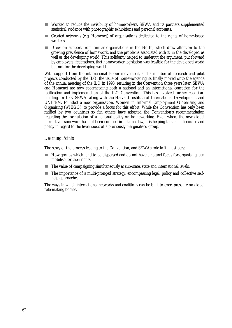- ! Worked to reduce the invisibility of homeworkers. SEWA and its partners supplemented statistical evidence with photographic exhibitions and personal accounts.
- ! Created networks (e.g. Homenet) of organisations dedicated to the rights of home-based workers.
- **If** Drew on support from similar organisations in the North, which drew attention to the growing prevalence of homework, and the problems associated with it, in the developed as well as the developing world. This solidarity helped to undercut the argument, put forward by employers' federations, that homeworker legislation was feasible for the developed world but not for the developing world.

With support from the international labour movement, and a number of research and pilot projects conducted by the ILO, the issue of homeworker rights finally moved onto the agenda of the annual meeting of the ILO in 1993, resulting in the Convention three years later. SEWA and Homenet are now spearheading both a national and an international campaign for the ratification and implementation of the ILO Convention. This has involved further coalitionbuilding. In 1997 SEWA, along with the Harvard Institute of International Development and UNIFEM, founded a new organisation, Women in Informal Employment Globalising and Organising (WIEGO), to provide a focus for this effort. While the Convention has only been ratified by two countries so far, others have adopted the Convention's recommendation regarding the formulation of a national policy on homeworking. Even where the new global normative framework has not been codified in national law, it is helping to shape discourse and policy in regard to the livelihoods of a previously marginalised group.

## *Learning Points*

The story of the process leading to the Convention, and SEWAs role in it, illustrates:

- ! How groups which tend to be dispersed and do not have a natural focus for organising, can mobilise for their rights.
- ! The value of campaigning simultaneously at sub-state, state and international levels.
- ! The importance of a multi-pronged strategy, encompassing legal, policy and collective selfhelp approaches.

The ways in which international networks and coalitions can be built to exert pressure on global rule-making bodies.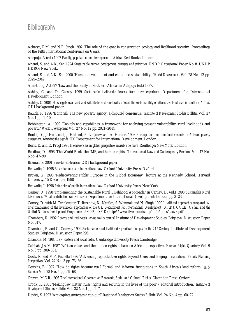## Bibliography

Acharya, R.M. and N.P. Singh 1992 'The role of the goat in conservation ecology and livelihood security.' Proceedings of the Fifth International Conference on Goats.

Adepoju, A.(ed.) 1997 *Family, population and development in Africa.* Zed Books: London.

Anand, S. and A.K. Sen 1994 *Sustainable human development: concepts and priorities*. UNDP Occasional Paper No 8: UNDP HDRO: New York.

Anand, S. and A.K. Sen 2000 'Human development and economic sustainability.' *World Development* Vol. 28 No. 12 pp. 2029–2049.

Armstrong, A.1997 'Law and the family in Southern Africa.' in Adepoju (ed.) 1997.

Ashley, C. and D. Carney 1999 *Sustainable livelihoods: lessons from early experience*. Department for International Development: London.

Ashley, C. 2001 *How rights over land and wildlife have dramatically affected the sustainability of alternative land uses in southern Africa.* ODI background paper.

Baulch, R. 1996 'Editorial: The new poverty agency: a disputed consensus.' *Institute of Development Studies Bulletin* Vol. 27 No. 1 pp. 1–10.

Bebbington, A. 1999 'Capitals and capabilities: a framework for analysing peasant vulnerability, rural livelihoods and poverty.' *World Development* Vol. 27 No. 12 pp. 2021–2044.

Booth, D., J. Hentschel, J. Holland, P. Lanjouw and A. Herbert 1998 *Participation and combined methods in African poverty assessment: renewing the agenda* UK Department for International Development: London.

Boris, E. and E. Prügl 1996 *Homeworkers in global perspective: invisible no more.* Routledge: New York, London.

Bradlow, D. 1996 'The World Bank, the IMF, and human rights.' *Transnational Law and Contemporary Problems* Vol. 47 No. 6 pp. 47–90.

Braman, S. 2001 *Ecuador eco-tourism.* ODI background paper.

Brownlie, I. 1995 *Basic documents in international law.* Oxford University Press: Oxford.

Brown, G. 1998 'Rediscovering Public Purpose in the Global Economy', lecture at the Kennedy School, Harvard University, 15 December 1998

Brownlie, I. 1998 *Principles of public international law.* Oxford University Press: New York.

Carney, D. 1998 'Implementing the Sustainable Rural Livelihood Approach.' in Carney, D. (ed.) 1998 *Sustainable Rural Livelihoods. What contribution can we make?* Department for International Development: London pp 3–23.

Carney, D. with M. Drinkwater, T. Rusinow, K. Neefjes, S. Wanmali and N. Singh 1999 *Livelihood approaches compared. A brief comparison of the livelihoods approaches of the UK Department for International Development (DFID), CARE, Oxfam and the United Nations Development Programme (UNDP).* DFID: http://www.livelihoods.org/info/docs/lacv3.pdf

Chambers, R. 1992 *Poverty and livelihoods: whose reality counts?* Institute of Development Studies: Brighton: Discussion Paper No. 347.

Chambers, R. and G. Conway 1992 Sustainable rural livelihoods: practical concepts for the 21<sup>st</sup> Century. Institute of Development Studies: Brighton: Discussion Paper 296.

Chanock, M. 1985 *Law, custom and social order.* Cambridge University Press: Cambridge.

Cobbah, J.A.M. 1987 'African values and the human rights debate: an African perspective.' *Human Rights Quarterly* Vol. 9 No. 3 pp. 309–331.

Cook, R. and M.F. Fathalla 1996 'Advancing reproductive rights beyond Cairo and Beijing.' *International Family Planning Perspectives* Vol. 22 No. 3 pp. 73–86.

Cousins, B. 1997 'How do rights become real? Formal and informal institutions in South Africa's land reform.' *IDS Bulletin* Vol. 28 No. 4 pp. 59–68.

Craven, M.C.R. 1995 *The International Covenant on Economic, Social and Cultural Rights.* Clarendon Press: Oxford.

Crook, R. 2001 'Making law matter: rules, rights and security in the lives of the poor – editorial introduction.' *Institute of Development Studies Bulletin* Vol. 32 No. 1 pp. 1–7.

Davies, S. 1993 'Are coping strategies a cop out?' *Institute of Development Studies Bulletin* Vol. 24 No. 4 pp. 60–72.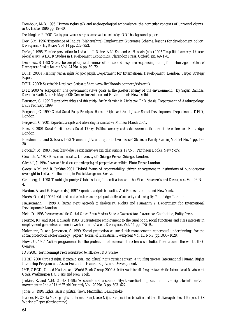Dembour, M-B. 1996 'Human rights talk and anthropological ambivalence: the particular contexts of universal claims.' in O. Harris 1996 pp. 19–40.

Deshingkar, P. 2001 *Goats, poor women's rights, conservation and policy.* ODI background paper.

Dev, S.M. 1996 'Experience of India's (Maharashtra) Employment Guarantee Scheme: lessons for development policy.' *Development Policy Review* Vol. 14 pp. 227–253.

Drèze, J.1995 'Famine prevention in India.' in J. Drèze, A.K. Sen and A. Hussain (eds.) 1995 *The political economy of hunger: selected essays.* WIDER Studies in Development Economics: Clarendon Press: Oxford: pp. 69–178.

Devereux, S. 1993 'Goats before ploughs: dilemmas of household response sequencing during food shortage.' *Institute of Development Studies Bulletin* Vol. 24 No. 4 pp. 60–72.

DFID 2000a *Realising human rights for poor people*. Department for International Development: London: Target Strategy Paper.

DFID 2000b *Sustainable Livelihood Guidance Sheet*. www.livelihoods-connect@ids.ac.uk.

DTE 2000 'A scapegoat? The government views goats as the greatest enemy of the environment.' By Sagari Ramdas. *Down To Earth* No. 31: May 2000: Centre for Science and Environment: New Delhi.

Ferguson, C. 1999 *Reproductive rights and citizenship: family planning in Zimbabwe.* PhD thesis: Department of Anthropology, LSE: February 1999.

Ferguson, C. 1999 *Global Social Policy Principles: Human Rights and Social Justice* Social Development Department, DFID, London.

Ferguson, C. 2001 *Reproductive rights and citizenship in Zimbabwe.* Mimeo: March 2001.

Fine, B. 2001 *Social Capital versus Social Theory: Political economy and social science at the turn of the millennium*, Routledge, London.

Freedman, L. and S. Isaacs 1993 'Human rights and reproductive choice.' *Studies in Family Planning* Vol. 24 No. 1 pp. 18– 30.

Foucault, M. 1980 *Power/knowledge: selected interviews and other writings, 1972–7.* Pantheon Books: New York.

Gewirth, A. 1978 *Reason and morality.* University of Chicago Press: Chicago, London.

Gledhill, J. 1994 *Power and its disguises: anthropological perspectives on politics.* Pluto Press: London.

Goetz, A.M. and R. Jenkins 2001 'Hybrid forms of accountability: citizen engagement in institutions of public-sector oversight in India.' Forthcoming in *Public Management Review*.

Grunberg, I. 1998 'Double Jeapordy: Globalisation, Liberalisation and the Fiscal Squeeze'*World Development* Vol 26 No. 4.

Hardon, A. and E. Hayes (eds.) 1997 *Reproductive rights in practice.* Zed Books: London and New York.

Harris, O. (ed.) 1996 *Inside and outside the law: anthropological studies of authority and ambiguity.* Routledge: London.

Hausermann, J. 1998 *A human rights approach to development.* Rights and Humanity / Department for International Development: London.

Held, D. 1995 *Democracy and the Global Order: From Modern State to Cosmopolitcan Governance* Cambridge, Polity Press.

Herring, R.J. and R.M. Edwards 1983 'Guaranteeing employment to the rural poor: social functions and class interests in employment guarantee scheme in western India.*' World Development* Vol. 11 pp. 575–92.

Holzmann, R. and Jorgensen, S. 1999 'Social protection as social risk management: conceptual underpinnings for the social protection sector strategy paper.' *Journal of International Development* Vol.11, No.7, pp.1005–1028.

Huws, U. 1995 Action programmes for the protection of homeworkers: ten case studies from around the world. ILO: Geneva.

IDS 2001 (forthcoming) *From consultation to influence.* IDS: Sussex.

IHRIP 2000 *Circle of rights. Economic, social and cultural rights training activism: a training resource.* International Human Rights Internship Program and Asian Forum for Human Rights and Development.

IMF, OECD, United Nations and World Bank Group 2000 *A better world for all. Progress towards the International Development Goals*. Washington DC, Paris and New York.

Jenkins, R. and A.M. Goetz 1999a 'Accounts and accountability: theoretical implications of the right-to-information movement in India.' *Third World Quarterly* Vol. 20 No. 3 pp. 603–622.

Jones, P. 1994 *Rights: issues in political theory*. Macmillan: Basingstoke.

Kabeer, N. 2001a *Making rights real in rural Bangladesh: Nijera Kori, social mobilisation and the collective capabilities of the poor. IDS* Working Paper (forthcoming).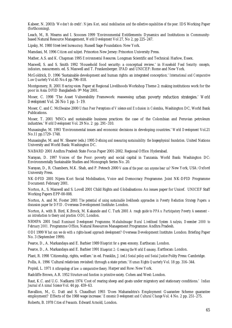Kabeer, N. 2001b *'We don't do credit': Nijera Kori, social mobilisation and the collective capabilities of the poor.* IDS Working Paper (forthcoming).

Leach, M., R. Mearns and I. Scoones 1999 'Environmental Entitlements: Dynamics and Institutions in Communitybased Natural Resource Management, *World Development* Vol 27, No 2, pp 225–247.

Lipsky, M. 1980 *Street-level bureaucracy.* Russell Sage Foundation: New York.

Mamdani, M. 1996 *Citizen and subject.* Princeton New Jersey: Princeton University Press.

Mather, A.S. and K. Chapman 1995 *Environmental Resources*. Longman Scientific and Technical: Harlow, Essex.

Maxwell, S. and S. Smith 1992 'Household food security: a conceptual review.' in *Household Food Security: concepts, indicators, measurements*. ed. S. Maxwell and T. Frankenberger. IFAD and UNICEF: Rome and New York.

McGoldrick, D. 1996 'Sustainable development and human rights: an integrated conception.' *International and Comparative Law Quarterly* Vol.45 No.4 pp.796–818.

Montgomery, R. 2001 *Hearing voices.* Paper at Regional Livelihoods Workshop Theme 2: making institutions work for the poor in Asia: DFID Bangladesh: 9th May 2001.

Moser, C. 1998 'The Asset Vulnerability Framework: reassessing urban poverty reduction strategies.' *World Development* Vol. 26 No 1 pp. 1–19.

Moser, C. and C. McIlwaine 2000 *Urban Poor Perceptions of Violence and Exclusion in Colombia*, Washington DC, World Bank Publications.

Moser, T. 2001 'MNCs and sustainable business practices: the case of the Colombian and Peruvian petroleum industries.' *World Development* Vol. 29 No. 2 pp. 291–310.

Munasinghe, M. 1993 'Environmental issues and economic decisions in developing countries.' *World Development* Vol.21 No.11 pp.1729–1748.

Munasinghe, M. and W. Shearer (eds.) 1995 *Defining and measuring sustainability: the biogeophysical foundation*. United Nations University and World Bank: Washington DC.

NABARD 2001 Andhra Pradesh State Focus Paper 2001-2002. Regional Office: Hyderabad.

Narayan, D. 1997 Voices of the Poor: poverty and social capital in Tanzania. World Bank: Washington DC: Environmentally Sustainable Studies and Monograph Series No. 20.

Narayan, D., R. Chambers, M.K. Shah, and P. Petesch 2000 *Voices of the poor: can anyone hear us?* New York, USA: Oxford University Press.

NK-DFID 2001 Nijera Kori Social Mobilisation, Voice and Democracy Programme. Joint NK-DFID Programme Document: February 2001.

Norton, A., S. Maxwell and S. Lovell 2001 Child Rights and Globalisations: An issues paper for Unicef. UNICEF Staff Working Papers EPP-00-008.

Norton, A. and M. Foster 2001 *The potential of using sustainable livelihoods approaches in Poverty Reduction Strategy Papers: a discussion paper for DFID*. Overseas Development Institute: London.

Norton, A. with B. Bird, K.Brock, M. Kakande and C. Turk 2001 *A rough guide to PPAs: Participatory Poverty Assessment – an introduction to theory and practice*. ODI, London.

NRMPA 2001 *Small Ruminant Development Programme, Mahabubnagar Rural Livelihood System Analysis, December 2000 to February 2001.* Programme Office, Natural Resources Management Programme: Andhra Pradesh.

ODI 1999 *What can we do with a rights-based approach development?* Overseas Development Institute: London: Briefing Paper No. 3 (September 1999).

Pearce, D., A. Markandaya and E. Barbier 1989 *Blueprint for a green economy*. Earthscan: London.

Pearce, D., A. Markandaya and E. Barbier 1991 *Blueprint 2: Greening the World Economy*. Earthscan: London.

Plant, R. 1998 'Citizenship, rights, welfare.' in ed. Franklin, J. (ed.) *Social policy and Social Justice* Polity Press: Cambridge.

Pollis, A. 1996 'Cultural relativism revisited: through a state prism.' *Human Rights Quarterly* Vol. 18 pp. 316–344.

Popisil, L. 1971 *Anthropology of law: a comparative theory.* Harper and Row: New York.

Radcliffe Brown, A.R. 1952 *Structure and function in primitive society.* Cohen and West: London.

Raut, K.C. and U.G. Nadkarni 1974 'Cost of rearing sheep and goats under migratory and stationary conditions.' *Indian Journal of Animal Science* Vol. 44 pp. 459–63.

Ravallion, M., G. Datt and S. Chaudhuri 1993 'Does Maharashtra's Employment Guarantee Scheme guarantee employment? Effects of the 1988 wage increase.' *Economic Development and Cultural Change* Vol. 4 No. 2 pp. 251–275.

Roberts, B. 1978 *Cities of Peasants.* Edward Arnold, London.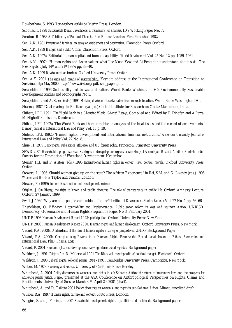Rowbotham, S. 1993 *Homeworkers worldwide.* Merlin Press: London.

Scoones, I. 1998 *Sustainable Rural Livelihoods: a framework for analysis.* IDS Working Paper No. 72.

Scruton, R. 1983 *A Dictionary of Political Thought.* Pan Books: London. First Published 1982.

Sen, A.K. 1981 *Poverty and famines: an essay on entitlement and deprivation.* Clarendon Press: Oxford.

Sen, A.K. 1989 *Hunger and Public Action* Clarendon Press, Oxford.

Sen, A.K. 1997a 'Editorial: human capital and human capability.' *World Development* Vol. 25 No. 12 pp. 1959–1961.

Sen, A.K. 1997b 'Human rights and Asian values: what Lee Kuan Yew and Li Peng don't understand about Asia.' *The New Republic* July 14th and 21st 1997: pp. 33–40.

Sen, A.K. 1999 *Development as freedom.* Oxford University Press: Oxford.

Sen, A.K. 2001 *The ends and means of sustainability.* Keynote address at the International Conference on Transition to Sustainability: May 2000: http://www.iisd.org/pdf/sen\_paper.pdf.

Serageldin, I. 1996 *Sustainability and the wealth of nations.* World Bank: Washington DC: Environmentally Sustainable Development Studies and Monographs No 5.

Serageldin, I. and A. Steer (eds.) 1994 *Making development sustainable: from concepts to action.* World Bank: Washington DC.

Sharma, 1987 'Goat rearing.' in Bhattacharya. (ed.) Central Institute for Research on Goats: Makhdoom, India.

Shihata, I.F.I. 1991 *The World Bank in a Changing World: Selected Essays*, Compiled and Edited by F. Tshofen and A.Parra, M. Nighoff Publishers, Dordrecht.

Shihata, I.F.I. 1992a 'The World Bank and human rights: an analysis of the legal issues and the record of achievements.' *Denver Journal of International Law and Policy* Vol. 17 p. 39.

Shihata, I.F.I. 1992b 'Human rights, development and international financial institutions.' *American University Journal of International Law and Policy* Vol. 27 No. 8.

Shue, H. 1977 *Basic rights: subsistence, affluence, and US foreign policy*. Princeton: Princeton University Press.

SPWD 2001 *Household coping / survival Strategies in drought-prone regions: a case study of Anantapur District, Andhra Pradesh, India.* Society for the Promotion of Wasteland Development: Hyderabad.

Steiner, H.J. and P. Alston (eds.) 1996 *International human rights in context: law, politics, morals.* Oxford University Press: Oxford.

Stewart, A. 1996 'Should women give up on the state? The African Experience.' in Rai, S.M. and G. Livesey (eds.) 1996 *Women and the state.* Taylor and Francis: London.

Stewart, F. (1999) *Income Distribution and Development,* mimeo.

Stiglizt, J. *On liberty, the right to know, and public discourse: The role of transparency in public life.* Oxford Amnesty Lecture: Oxford, 27 January 1999.

Swift, J. 1989 'Why are poor people vulnerable to famine?' *Institute of Development Studies Bulletin* Vol. 27 No. 1 pp. 56–66.

Therkildsen, O. *Efficiency, Accountability and Implementation. Public sector reform in east and southern Africa.* UNRISD: Democracy, Governance and Human Rights Programme Paper No 3: February 2001.

UNDP 1993 *Human Development Report 1993: participation.* Oxford University Press: New York.

UNDP 2000 *Human Development Report 2000: Human rights and human development*. Oxford University Press: New York.

Vizard, P.A. 2000a *Antecedents of the idea of human rights: a survey of perspectives*. UNDP Background Paper.

Vizard, P.A. 2000b *Conceptualising Poverty in a Human Rights Framework: Foundational Issues in Ethics, Economics and International Law.* PhD Thesis: LSE.

Vizard, P. 2001 *Human rights and development: evolving international agendas.* Background paper.

Waldron, J. 1991 'Rights.' in D. Miller *et al* 1991 *The Blackwell encyclopaedia of political thought.* Blackwell: Oxford.

Waldron, J. 1993 *Liberal rights: collected papers 1981–1991.* Cambridge University Press: Cambridge, New York.

Weber, M. 1978 *Economy and society*. University of California Press: Berkley.

Whitehead, A. 2001 *Policy discourses on women's land rights in sub-Saharan Africa: the return to 'customary law' and the prospects for achieving gender justice.* Paper presented at the ASA Conference on Anthropological Perspectives on Rights, Claims and Entitlements: University of Sussex: March 30th–April 2nd 2001 (draft).

Whitehead, A. and D. Tsikata 2001 *Policy discourses on women's land rights in sub-Saharan Africa.* Mimeo, unedited draft.

Wilson, R.A. 1997 *Human rights, culture and context.* Pluto Press: London.

Wiggins, S. and J. Farrington 2001 *Sustainable development, rights, capabilities and livelihoods.* Background paper.